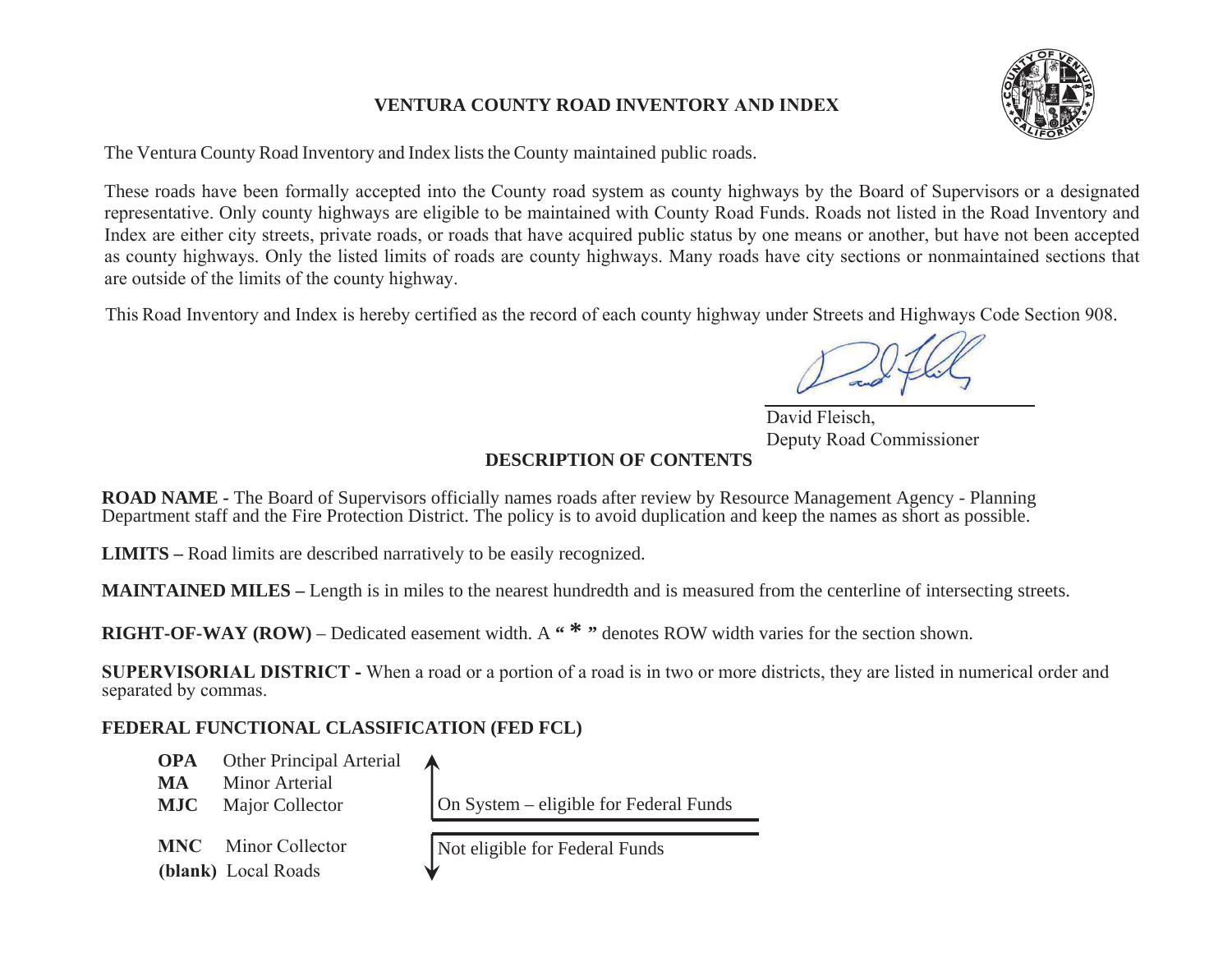#### **VENTURA COUNTY ROAD INVENTORY AND INDEX**

The Ventura County Road Inventory and Index lists the County maintained public roads.

These roads have been formally accepted into the County road system as county highways by the Board of Supervisors or a designated representative. Only county highways are eligible to be maintained with County Road Funds. Roads not listed in the Road Inventory and Index are either city streets, private roads, or roads that have acquired public status by one means or another, but have not been accepted as county highways. Only the listed limits of roads are county highways. Many roads have city sections or nonmaintained sections that are outside of the limits of the county highway.

This Road Inventory and Index is hereby certified as the record of each county highway under Streets and Highways Code Section 908.

### **DESCRIPTION OF CONTENTS**

**ROAD NAME -** The Board of Supervisors officially names roads after review by Resource Management Agency - Planning Department staff and the Fire Protection District. The policy is to avoid duplication and keep the names as short as possible.

**LIMITS –** Road limits are described narratively to be easily recognized.

**MAINTAINED MILES –** Length is in miles to the nearest hundredth and is measured from the centerline of intersecting streets.

**RIGHT-OF-WAY (ROW)** – Dedicated easement width. A "<sup>\*</sup>" denotes ROW width varies for the section shown.

**SUPERVISORIAL DISTRICT -** When a road or a portion of a road is in two or more districts, they are listed in numerical order and separated by commas.

### **FEDERAL FUNCTIONAL CLASSIFICATION (FED FCL)**

**OPA** Other Principal Arterial **MA** Minor Arterial **MJC**Major Collector  $\vert$  On System – eligible for Federal Funds **MNC** Minor Collector Not eligible for Federal Funds **(blank)** Local Roads

David Fleisch. Deputy Road Commissioner

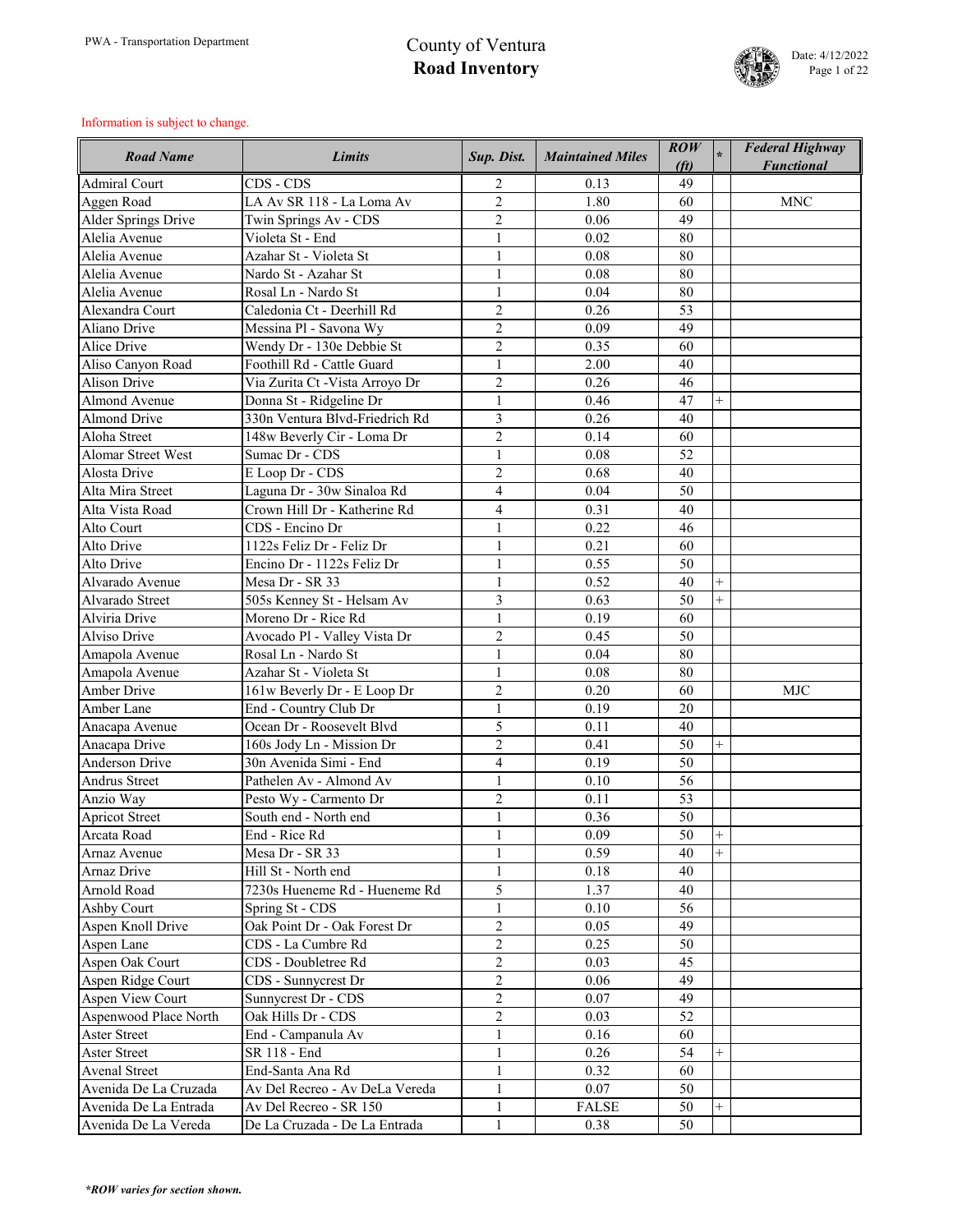

| <b>Road Name</b>           | <b>Limits</b>                   | Sup. Dist.              | <b>Maintained Miles</b> | ROW<br>(f <sub>t</sub> ) |                | <b>Federal Highway</b><br><b>Functional</b> |
|----------------------------|---------------------------------|-------------------------|-------------------------|--------------------------|----------------|---------------------------------------------|
| <b>Admiral Court</b>       | CDS - CDS                       | 2                       | 0.13                    | 49                       |                |                                             |
| Aggen Road                 | LA Av SR 118 - La Loma Av       | $\overline{2}$          | 1.80                    | 60                       |                | <b>MNC</b>                                  |
| <b>Alder Springs Drive</b> | Twin Springs Av - CDS           | $\overline{2}$          | 0.06                    | 49                       |                |                                             |
| Alelia Avenue              | Violeta St - End                | $\mathbf{1}$            | 0.02                    | 80                       |                |                                             |
| Alelia Avenue              | Azahar St - Violeta St          | $\mathbf{1}$            | 0.08                    | 80                       |                |                                             |
| Alelia Avenue              | Nardo St - Azahar St            | $\mathbf{1}$            | 0.08                    | 80                       |                |                                             |
| Alelia Avenue              | Rosal Ln - Nardo St             | $\mathbf{1}$            | 0.04                    | 80                       |                |                                             |
| Alexandra Court            | Caledonia Ct - Deerhill Rd      | $\overline{2}$          | 0.26                    | 53                       |                |                                             |
| Aliano Drive               | Messina Pl - Savona Wy          | $\overline{2}$          | 0.09                    | 49                       |                |                                             |
| <b>Alice Drive</b>         | Wendy Dr - 130e Debbie St       | $\overline{2}$          | 0.35                    | 60                       |                |                                             |
| Aliso Canyon Road          | Foothill Rd - Cattle Guard      | $\mathbf{1}$            | 2.00                    | 40                       |                |                                             |
| <b>Alison Drive</b>        | Via Zurita Ct - Vista Arroyo Dr | $\overline{2}$          | 0.26                    | 46                       |                |                                             |
| <b>Almond Avenue</b>       | Donna St - Ridgeline Dr         | $\mathbf{1}$            | 0.46                    | 47                       | $\overline{+}$ |                                             |
| <b>Almond Drive</b>        | 330n Ventura Blvd-Friedrich Rd  | 3                       | 0.26                    | 40                       |                |                                             |
| Aloha Street               | 148w Beverly Cir - Loma Dr      | $\overline{2}$          | 0.14                    | 60                       |                |                                             |
| <b>Alomar Street West</b>  | Sumac Dr - CDS                  | $\mathbf{1}$            | 0.08                    | 52                       |                |                                             |
| <b>Alosta Drive</b>        | E Loop Dr - CDS                 | $\overline{2}$          | 0.68                    | 40                       |                |                                             |
| Alta Mira Street           | Laguna Dr - 30w Sinaloa Rd      | $\overline{4}$          | 0.04                    | 50                       |                |                                             |
| Alta Vista Road            | Crown Hill Dr - Katherine Rd    | $\overline{\mathbf{4}}$ | 0.31                    | 40                       |                |                                             |
| Alto Court                 | CDS - Encino Dr                 | $\mathbf{1}$            | 0.22                    | 46                       |                |                                             |
| Alto Drive                 | 1122s Feliz Dr - Feliz Dr       | $\mathbf{1}$            | 0.21                    | 60                       |                |                                             |
| Alto Drive                 | Encino Dr - 1122s Feliz Dr      | $\mathbf{1}$            | 0.55                    | 50                       |                |                                             |
| Alvarado Avenue            | Mesa Dr - SR 33                 | $\mathbf{1}$            | 0.52                    | 40                       | $^{+}$         |                                             |
| Alvarado Street            | 505s Kenney St - Helsam Av      | 3                       | 0.63                    | 50                       | $^{+}$         |                                             |
| Alviria Drive              | Moreno Dr - Rice Rd             | $\mathbf{1}$            | 0.19                    | 60                       |                |                                             |
| Alviso Drive               | Avocado Pl - Valley Vista Dr    | $\overline{2}$          | 0.45                    | 50                       |                |                                             |
| Amapola Avenue             | Rosal Ln - Nardo St             |                         | 0.04                    | 80                       |                |                                             |
| Amapola Avenue             | Azahar St - Violeta St          | $\mathbf{1}$            | 0.08                    | 80                       |                |                                             |
| <b>Amber Drive</b>         | 161w Beverly Dr - E Loop Dr     | $\overline{2}$          | 0.20                    | 60                       |                | <b>MJC</b>                                  |
| Amber Lane                 | End - Country Club Dr           | $\mathbf{1}$            | 0.19                    | 20                       |                |                                             |
| Anacapa Avenue             | Ocean Dr - Roosevelt Blvd       | 5                       | 0.11                    | 40                       |                |                                             |
| Anacapa Drive              | 160s Jody Ln - Mission Dr       | $\overline{2}$          | 0.41                    | 50                       |                |                                             |
| <b>Anderson Drive</b>      | 30n Avenida Simi - End          | 4                       | 0.19                    | 50                       |                |                                             |
| <b>Andrus Street</b>       | Pathelen Av - Almond Av         | $\mathbf{1}$            | 0.10                    | 56                       |                |                                             |
| Anzio Way                  | Pesto Wy - Carmento Dr          | $\overline{2}$          | 0.11                    | 53                       |                |                                             |
| <b>Apricot Street</b>      | South end - North end           | $\mathbf{1}$            | 0.36                    | 50                       |                |                                             |
| Arcata Road                | End - Rice Rd                   | $\mathbf{1}$            | 0.09                    | 50                       | $^{+}$         |                                             |
| Arnaz Avenue               | Mesa Dr - SR 33                 | $\mathbf{1}$            | 0.59                    | 40                       |                |                                             |
| Arnaz Drive                | Hill St - North end             | $\mathbf{1}$            | 0.18                    | 40                       |                |                                             |
| Arnold Road                | 7230s Hueneme Rd - Hueneme Rd   | 5                       | 1.37                    | 40                       |                |                                             |
| <b>Ashby Court</b>         | Spring St - CDS                 | $\mathbf{1}$            | 0.10                    | 56                       |                |                                             |
| Aspen Knoll Drive          | Oak Point Dr - Oak Forest Dr    | $\overline{2}$          | 0.05                    | 49                       |                |                                             |
| Aspen Lane                 | CDS - La Cumbre Rd              | $\overline{2}$          | 0.25                    | 50                       |                |                                             |
| Aspen Oak Court            | CDS - Doubletree Rd             | $\overline{2}$          | 0.03                    | 45                       |                |                                             |
| Aspen Ridge Court          | CDS - Sunnycrest Dr             | $\overline{2}$          | 0.06                    | 49                       |                |                                             |
| Aspen View Court           | Sunnycrest Dr - CDS             | $\overline{2}$          | 0.07                    | 49                       |                |                                             |
| Aspenwood Place North      | Oak Hills Dr - CDS              | $\overline{2}$          | 0.03                    | 52                       |                |                                             |
| <b>Aster Street</b>        | End - Campanula Av              | $\mathbf{1}$            | 0.16                    | 60                       |                |                                             |
| <b>Aster Street</b>        | SR 118 - End                    | $\mathbf{1}$            | 0.26                    | 54                       |                |                                             |
| <b>Avenal Street</b>       | End-Santa Ana Rd                | $\mathbf{1}$            | 0.32                    | 60                       |                |                                             |
| Avenida De La Cruzada      | Av Del Recreo - Av DeLa Vereda  | $\mathbf{1}$            | 0.07                    | 50                       |                |                                             |
| Avenida De La Entrada      | Av Del Recreo - SR 150          | $\mathbf{1}$            | <b>FALSE</b>            | 50                       | $\! +$         |                                             |
| Avenida De La Vereda       | De La Cruzada - De La Entrada   | $\mathbf{1}$            | 0.38                    | 50                       |                |                                             |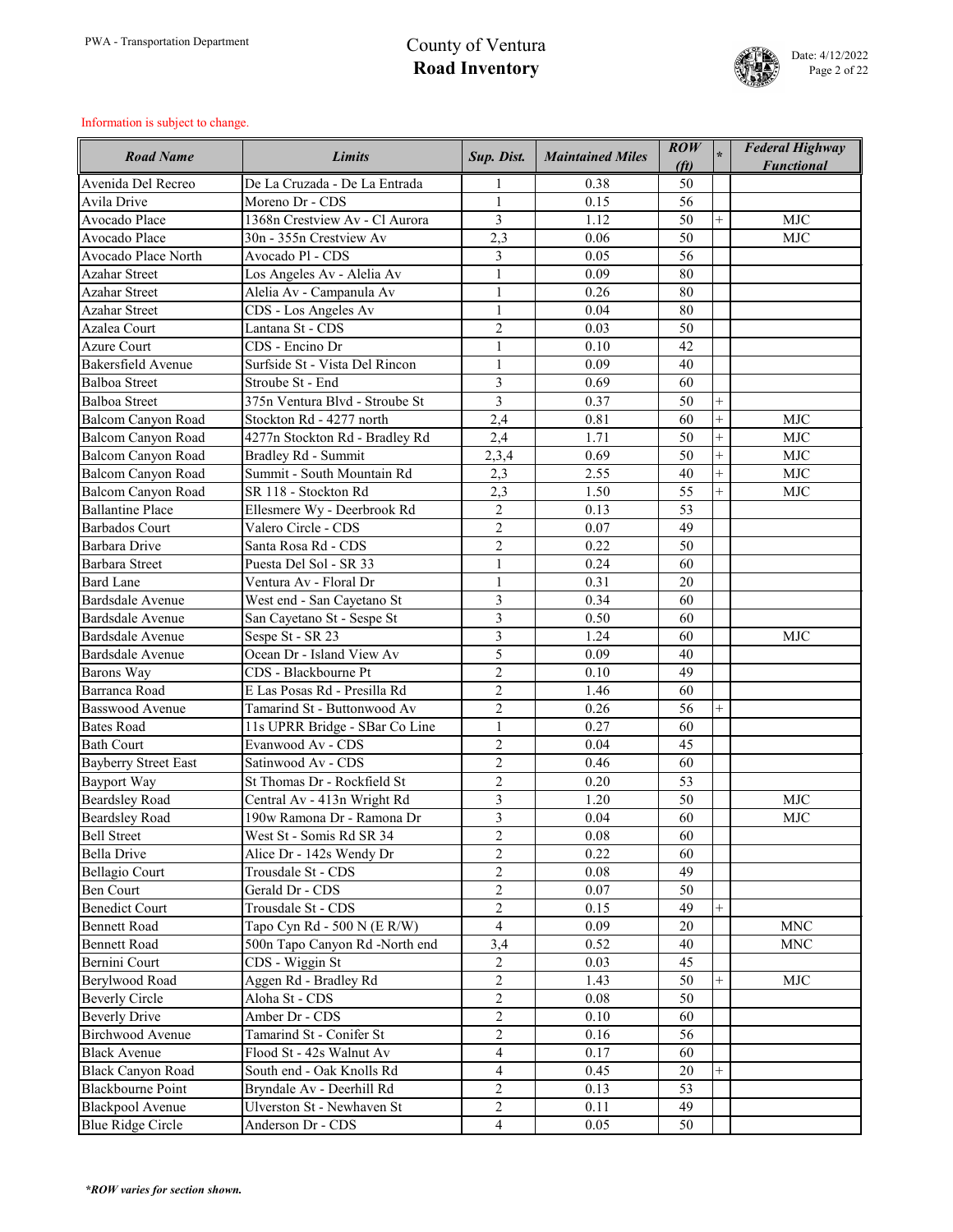

| <b>Road Name</b>            | Limits                            | Sup. Dist.     | <b>Maintained Miles</b> | $\mathbf{ROW}$<br>(f <sub>t</sub> ) | $\star$   | <b>Federal Highway</b><br><b>Functional</b> |
|-----------------------------|-----------------------------------|----------------|-------------------------|-------------------------------------|-----------|---------------------------------------------|
| Avenida Del Recreo          | De La Cruzada - De La Entrada     |                | 0.38                    | 50                                  |           |                                             |
| Avila Drive                 | Moreno Dr - CDS                   | $\mathbf{1}$   | 0.15                    | 56                                  |           |                                             |
| Avocado Place               | 1368n Crestview Av - Cl Aurora    | $\overline{3}$ | 1.12                    | 50                                  | $^{+}$    | <b>MJC</b>                                  |
| Avocado Place               | 30n - 355n Crestview Av           | 2,3            | 0.06                    | 50                                  |           | <b>MJC</b>                                  |
| Avocado Place North         | Avocado Pl - CDS                  | 3              | 0.05                    | 56                                  |           |                                             |
| <b>Azahar Street</b>        | Los Angeles Av - Alelia Av        | $\mathbf{1}$   | 0.09                    | 80                                  |           |                                             |
| <b>Azahar Street</b>        | Alelia Av - Campanula Av          | $\mathbf{1}$   | 0.26                    | 80                                  |           |                                             |
| <b>Azahar Street</b>        | CDS - Los Angeles Av              |                | 0.04                    | 80                                  |           |                                             |
| Azalea Court                | Lantana St - CDS                  | $\overline{2}$ | 0.03                    | 50                                  |           |                                             |
| <b>Azure Court</b>          | CDS - Encino Dr                   | $\mathbf{1}$   | 0.10                    | 42                                  |           |                                             |
| <b>Bakersfield Avenue</b>   | Surfside St - Vista Del Rincon    | $\mathbf{1}$   | 0.09                    | 40                                  |           |                                             |
| <b>Balboa Street</b>        | Stroube St - End                  | 3              | 0.69                    | 60                                  |           |                                             |
| <b>Balboa Street</b>        | 375n Ventura Blvd - Stroube St    | $\overline{3}$ | 0.37                    | 50                                  | $^{+}$    |                                             |
| <b>Balcom Canyon Road</b>   | Stockton Rd - 4277 north          | 2,4            | 0.81                    | 60                                  | $\ddot{}$ | <b>MJC</b>                                  |
| <b>Balcom Canyon Road</b>   | 4277n Stockton Rd - Bradley Rd    | 2,4            | 1.71                    | 50                                  | $^{+}$    | <b>MJC</b>                                  |
| <b>Balcom Canyon Road</b>   | <b>Bradley Rd - Summit</b>        | 2,3,4          | 0.69                    | 50                                  | $^{+}$    | <b>MJC</b>                                  |
| Balcom Canyon Road          | Summit - South Mountain Rd        | 2,3            | 2.55                    | 40                                  | $^{+}$    | <b>MJC</b>                                  |
| Balcom Canyon Road          | SR 118 - Stockton Rd              | 2,3            | 1.50                    | 55                                  | $^{+}$    | <b>MJC</b>                                  |
| <b>Ballantine Place</b>     | Ellesmere Wy - Deerbrook Rd       | $\overline{2}$ | 0.13                    | 53                                  |           |                                             |
| <b>Barbados Court</b>       | Valero Circle - CDS               | $\overline{2}$ | 0.07                    | 49                                  |           |                                             |
| <b>Barbara Drive</b>        | Santa Rosa Rd - CDS               | $\overline{2}$ | 0.22                    | 50                                  |           |                                             |
| <b>Barbara Street</b>       | Puesta Del Sol - SR 33            | $\mathbf{1}$   | 0.24                    | 60                                  |           |                                             |
| <b>Bard Lane</b>            | Ventura Av - Floral Dr            | $\mathbf{1}$   | 0.31                    | 20                                  |           |                                             |
| Bardsdale Avenue            | West end - San Cayetano St        | 3              | 0.34                    | 60                                  |           |                                             |
| Bardsdale Avenue            | San Cayetano St - Sespe St        | 3              | 0.50                    | 60                                  |           |                                             |
| Bardsdale Avenue            | Sespe St - SR 23                  | 3              | 1.24                    | 60                                  |           | <b>MJC</b>                                  |
| Bardsdale Avenue            | Ocean Dr - Island View Av         | 5              | 0.09                    | 40                                  |           |                                             |
| Barons Way                  | CDS - Blackbourne Pt              | $\overline{2}$ | 0.10                    | 49                                  |           |                                             |
| Barranca Road               | E Las Posas Rd - Presilla Rd      | $\overline{2}$ | 1.46                    | 60                                  |           |                                             |
| <b>Basswood Avenue</b>      | Tamarind St - Buttonwood Av       | $\overline{2}$ | 0.26                    | 56                                  | $^{+}$    |                                             |
| <b>Bates Road</b>           | 11s UPRR Bridge - SBar Co Line    | $\mathbf{1}$   | 0.27                    | 60                                  |           |                                             |
| <b>Bath Court</b>           | Evanwood Av - CDS                 | $\overline{2}$ | 0.04                    | 45                                  |           |                                             |
| <b>Bayberry Street East</b> | Satinwood Av - CDS                | $\overline{2}$ | 0.46                    | 60                                  |           |                                             |
| <b>Bayport Way</b>          | St Thomas Dr - Rockfield St       | $\overline{2}$ | 0.20                    | 53                                  |           |                                             |
| <b>Beardsley Road</b>       | Central Av - 413n Wright Rd       | 3              | 1.20                    | 50                                  |           | <b>MJC</b>                                  |
| <b>Beardsley Road</b>       | 190w Ramona Dr - Ramona Dr        | $\overline{3}$ | 0.04                    | 60                                  |           | <b>MJC</b>                                  |
| <b>Bell Street</b>          | West St - Somis Rd SR 34          | $\overline{2}$ | 0.08                    | 60                                  |           |                                             |
| <b>Bella Drive</b>          | Alice Dr - 142s Wendy Dr          | $\overline{2}$ | 0.22                    | 60                                  |           |                                             |
| <b>Bellagio Court</b>       | Trousdale St - CDS                | $\overline{2}$ | 0.08                    | 49                                  |           |                                             |
| <b>Ben Court</b>            | Gerald Dr - CDS                   | $\overline{2}$ | 0.07                    | 50                                  |           |                                             |
| <b>Benedict Court</b>       | Trousdale St - CDS                | $\overline{2}$ | 0.15                    | 49                                  | $^{+}$    |                                             |
| <b>Bennett Road</b>         | Tapo Cyn Rd - 500 N $(E R/W)$     | $\overline{4}$ | 0.09                    | 20                                  |           | <b>MNC</b>                                  |
| <b>Bennett Road</b>         | 500n Tapo Canyon Rd -North end    | 3,4            | 0.52                    | 40                                  |           | <b>MNC</b>                                  |
| Bernini Court               | CDS - Wiggin St                   | $\overline{2}$ | 0.03                    | 45                                  |           |                                             |
| Berylwood Road              | Aggen Rd - Bradley Rd             | $\overline{2}$ | 1.43                    | 50                                  | $^{+}$    | <b>MJC</b>                                  |
| <b>Beverly Circle</b>       | Aloha St - CDS                    | $\overline{2}$ | 0.08                    | 50                                  |           |                                             |
| <b>Beverly Drive</b>        | Amber Dr - CDS                    | $\overline{2}$ | 0.10                    | 60                                  |           |                                             |
| <b>Birchwood Avenue</b>     | Tamarind St - Conifer St          | $\overline{2}$ | 0.16                    | 56                                  |           |                                             |
| <b>Black Avenue</b>         | Flood St - 42s Walnut Av          | $\overline{4}$ | 0.17                    | 60                                  |           |                                             |
| <b>Black Canyon Road</b>    | South end - Oak Knolls Rd         | $\overline{4}$ | 0.45                    | 20                                  |           |                                             |
| <b>Blackbourne Point</b>    | Bryndale Av - Deerhill Rd         | $\overline{2}$ | 0.13                    | 53                                  |           |                                             |
| <b>Blackpool Avenue</b>     | <b>Ulverston St - Newhaven St</b> | $\overline{2}$ | 0.11                    | 49                                  |           |                                             |
| <b>Blue Ridge Circle</b>    | Anderson Dr - CDS                 | $\overline{4}$ | 0.05                    | 50                                  |           |                                             |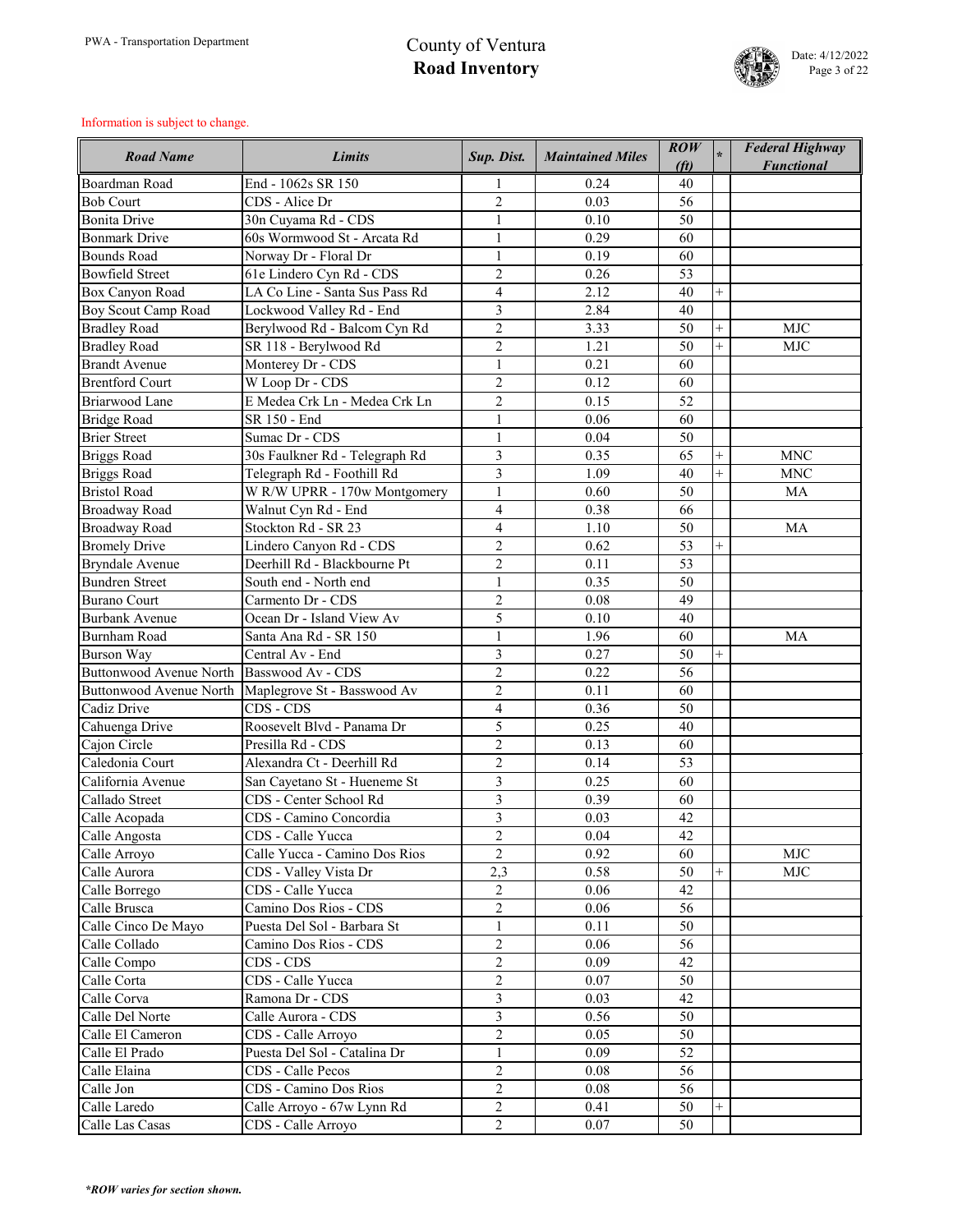

| <b>Boardman Road</b><br>End - 1062s SR 150<br>0.24<br>40<br><b>Bob Court</b><br>CDS - Alice Dr<br>$\overline{2}$<br>0.03<br>56<br><b>Bonita Drive</b><br>30n Cuyama Rd - CDS<br>0.10<br>50<br>1<br><b>Bonmark Drive</b><br>60s Wormwood St - Arcata Rd<br>0.29<br>$\mathbf{1}$<br>60<br><b>Bounds Road</b><br>Norway Dr - Floral Dr<br>0.19<br>$\mathbf{1}$<br>60<br><b>Bowfield Street</b><br>$\overline{2}$<br>0.26<br>53<br>61e Lindero Cyn Rd - CDS<br>LA Co Line - Santa Sus Pass Rd<br>$\overline{\mathbf{4}}$<br>Box Canyon Road<br>2.12<br>40<br>$^{+}$<br>3<br>Lockwood Valley Rd - End<br>2.84<br><b>Boy Scout Camp Road</b><br>40<br>$\overline{2}$<br>3.33<br><b>Bradley Road</b><br>Berylwood Rd - Balcom Cyn Rd<br>50<br><b>MJC</b><br>$\overline{+}$<br>$\overline{2}$<br>1.21<br>50<br><b>Bradley Road</b><br>SR 118 - Berylwood Rd<br>$^{+}$<br><b>MJC</b><br>0.21<br><b>Brandt Avenue</b><br>Monterey Dr - CDS<br>60<br>1<br><b>Brentford Court</b><br>W Loop Dr - CDS<br>$\overline{2}$<br>0.12<br>60<br><b>Briarwood Lane</b><br>$\overline{2}$<br>0.15<br>E Medea Crk Ln - Medea Crk Ln<br>52<br>SR 150 - End<br><b>Bridge Road</b><br>0.06<br>60<br>$\mathbf{1}$<br><b>Brier Street</b><br>Sumac Dr - CDS<br>$\mathbf{1}$<br>0.04<br>50<br>30s Faulkner Rd - Telegraph Rd<br>3<br>0.35<br><b>Briggs Road</b><br>65<br><b>MNC</b><br>$^{+}$<br>$\overline{3}$<br><b>Briggs Road</b><br>Telegraph Rd - Foothill Rd<br>1.09<br><b>MNC</b><br>40<br>$\overline{+}$<br><b>Bristol Road</b><br>$\mathbf{1}$<br>W R/W UPRR - 170w Montgomery<br>0.60<br>50<br><b>MA</b><br><b>Broadway Road</b><br>Walnut Cyn Rd - End<br>$\overline{\mathbf{4}}$<br>0.38<br>66<br>Stockton Rd - SR 23<br>$\overline{4}$<br><b>Broadway Road</b><br>1.10<br>50<br>MA<br>$\overline{2}$<br>Lindero Canyon Rd - CDS<br>0.62<br>53<br><b>Bromely Drive</b><br>$^{+}$<br>$\overline{2}$<br>Deerhill Rd - Blackbourne Pt<br><b>Bryndale Avenue</b><br>0.11<br>53<br>0.35<br><b>Bundren Street</b><br>South end - North end<br>$\mathbf{1}$<br>50<br><b>Burano Court</b><br>Carmento Dr - CDS<br>$\overline{2}$<br>0.08<br>49<br>5<br>0.10<br>Ocean Dr - Island View Av<br>40<br><b>Burbank Avenue</b><br><b>Burnham Road</b><br>Santa Ana Rd - SR 150<br>1.96<br>60<br><b>MA</b><br>$\overline{3}$<br>Burson Way<br>0.27<br>50<br>$^{+}$<br>Central Av - End<br>$\overline{2}$<br>Buttonwood Avenue North Basswood Av - CDS<br>56<br>0.22<br>$\overline{2}$<br>Buttonwood Avenue North   Maplegrove St - Basswood Av<br>0.11<br>60<br>$\overline{4}$<br>CDS - CDS<br>0.36<br>Cadiz Drive<br>50<br>Roosevelt Blvd - Panama Dr<br>5<br>Cahuenga Drive<br>0.25<br>40<br>$\overline{2}$<br>Cajon Circle<br>Presilla Rd - CDS<br>0.13<br>60<br>$\overline{2}$<br>Caledonia Court<br>Alexandra Ct - Deerhill Rd<br>0.14<br>53<br>3<br>California Avenue<br>San Cayetano St - Hueneme St<br>0.25<br>60<br>3<br>Callado Street<br>CDS - Center School Rd<br>0.39<br>60<br>$\overline{3}$<br>CDS - Camino Concordia<br>Calle Acopada<br>0.03<br>42<br>$\overline{2}$<br>0.04<br>42<br>Calle Angosta<br>CDS - Calle Yucca<br>$\overline{2}$<br>Calle Yucca - Camino Dos Rios<br>0.92<br>Calle Arroyo<br><b>MJC</b><br>60<br>Calle Aurora<br>2,3<br>0.58<br>50<br><b>MJC</b><br>CDS - Valley Vista Dr<br>$^{+}$<br>$\overline{2}$<br>CDS - Calle Yucca<br>0.06<br>Calle Borrego<br>42<br>$\overline{2}$<br>Calle Brusca<br>Camino Dos Rios - CDS<br>0.06<br>56<br>$\mathbf{1}$<br>0.11<br>Calle Cinco De Mayo<br>Puesta Del Sol - Barbara St<br>50<br>Calle Collado<br>Camino Dos Rios - CDS<br>$\overline{2}$<br>0.06<br>56<br>$\overline{2}$<br>Calle Compo<br>CDS - CDS<br>0.09<br>42<br>Calle Corta<br>$\overline{2}$<br>CDS - Calle Yucca<br>0.07<br>50<br>$\overline{3}$<br>Calle Corva<br>Ramona Dr - CDS<br>0.03<br>42<br>$\overline{3}$<br>Calle Aurora - CDS<br>Calle Del Norte<br>0.56<br>50<br>$\overline{2}$<br>Calle El Cameron<br>CDS - Calle Arroyo<br>0.05<br>50<br>Calle El Prado<br>Puesta Del Sol - Catalina Dr<br>$\mathbf{1}$<br>0.09<br>52<br>Calle Elaina<br>$\overline{2}$<br>CDS - Calle Pecos<br>0.08<br>56<br>$\overline{2}$<br>Calle Jon<br><b>CDS</b> - Camino Dos Rios<br>0.08<br>56<br>Calle Laredo<br>$\overline{2}$<br>Calle Arroyo - 67w Lynn Rd<br>0.41<br>50<br>$^{+}$ | <b>Road Name</b> | <b>Limits</b>      | Sup. Dist.     | <b>Maintained Miles</b> | $\mathbf{ROW}$<br>(f <sub>t</sub> ) | <b>Federal Highway</b><br><b>Functional</b> |
|--------------------------------------------------------------------------------------------------------------------------------------------------------------------------------------------------------------------------------------------------------------------------------------------------------------------------------------------------------------------------------------------------------------------------------------------------------------------------------------------------------------------------------------------------------------------------------------------------------------------------------------------------------------------------------------------------------------------------------------------------------------------------------------------------------------------------------------------------------------------------------------------------------------------------------------------------------------------------------------------------------------------------------------------------------------------------------------------------------------------------------------------------------------------------------------------------------------------------------------------------------------------------------------------------------------------------------------------------------------------------------------------------------------------------------------------------------------------------------------------------------------------------------------------------------------------------------------------------------------------------------------------------------------------------------------------------------------------------------------------------------------------------------------------------------------------------------------------------------------------------------------------------------------------------------------------------------------------------------------------------------------------------------------------------------------------------------------------------------------------------------------------------------------------------------------------------------------------------------------------------------------------------------------------------------------------------------------------------------------------------------------------------------------------------------------------------------------------------------------------------------------------------------------------------------------------------------------------------------------------------------------------------------------------------------------------------------------------------------------------------------------------------------------------------------------------------------------------------------------------------------------------------------------------------------------------------------------------------------------------------------------------------------------------------------------------------------------------------------------------------------------------------------------------------------------------------------------------------------------------------------------------------------------------------------------------------------------------------------------------------------------------------------------------------------------------------------------------------------------------------------------------------------------------------------------------------------------------------------------------------------------------------------------------------------------------------------------------------------------------------------------------------------------------------------------------------------------------------------------------------------------------------------------------------------------------------------------------------------------------------------------------------------------------------------------------------------------------------------------------------------------------------------------------------------------------------------------------------------------------------------------------------------------------|------------------|--------------------|----------------|-------------------------|-------------------------------------|---------------------------------------------|
|                                                                                                                                                                                                                                                                                                                                                                                                                                                                                                                                                                                                                                                                                                                                                                                                                                                                                                                                                                                                                                                                                                                                                                                                                                                                                                                                                                                                                                                                                                                                                                                                                                                                                                                                                                                                                                                                                                                                                                                                                                                                                                                                                                                                                                                                                                                                                                                                                                                                                                                                                                                                                                                                                                                                                                                                                                                                                                                                                                                                                                                                                                                                                                                                                                                                                                                                                                                                                                                                                                                                                                                                                                                                                                                                                                                                                                                                                                                                                                                                                                                                                                                                                                                                                                                                                            |                  |                    |                |                         |                                     |                                             |
|                                                                                                                                                                                                                                                                                                                                                                                                                                                                                                                                                                                                                                                                                                                                                                                                                                                                                                                                                                                                                                                                                                                                                                                                                                                                                                                                                                                                                                                                                                                                                                                                                                                                                                                                                                                                                                                                                                                                                                                                                                                                                                                                                                                                                                                                                                                                                                                                                                                                                                                                                                                                                                                                                                                                                                                                                                                                                                                                                                                                                                                                                                                                                                                                                                                                                                                                                                                                                                                                                                                                                                                                                                                                                                                                                                                                                                                                                                                                                                                                                                                                                                                                                                                                                                                                                            |                  |                    |                |                         |                                     |                                             |
|                                                                                                                                                                                                                                                                                                                                                                                                                                                                                                                                                                                                                                                                                                                                                                                                                                                                                                                                                                                                                                                                                                                                                                                                                                                                                                                                                                                                                                                                                                                                                                                                                                                                                                                                                                                                                                                                                                                                                                                                                                                                                                                                                                                                                                                                                                                                                                                                                                                                                                                                                                                                                                                                                                                                                                                                                                                                                                                                                                                                                                                                                                                                                                                                                                                                                                                                                                                                                                                                                                                                                                                                                                                                                                                                                                                                                                                                                                                                                                                                                                                                                                                                                                                                                                                                                            |                  |                    |                |                         |                                     |                                             |
|                                                                                                                                                                                                                                                                                                                                                                                                                                                                                                                                                                                                                                                                                                                                                                                                                                                                                                                                                                                                                                                                                                                                                                                                                                                                                                                                                                                                                                                                                                                                                                                                                                                                                                                                                                                                                                                                                                                                                                                                                                                                                                                                                                                                                                                                                                                                                                                                                                                                                                                                                                                                                                                                                                                                                                                                                                                                                                                                                                                                                                                                                                                                                                                                                                                                                                                                                                                                                                                                                                                                                                                                                                                                                                                                                                                                                                                                                                                                                                                                                                                                                                                                                                                                                                                                                            |                  |                    |                |                         |                                     |                                             |
|                                                                                                                                                                                                                                                                                                                                                                                                                                                                                                                                                                                                                                                                                                                                                                                                                                                                                                                                                                                                                                                                                                                                                                                                                                                                                                                                                                                                                                                                                                                                                                                                                                                                                                                                                                                                                                                                                                                                                                                                                                                                                                                                                                                                                                                                                                                                                                                                                                                                                                                                                                                                                                                                                                                                                                                                                                                                                                                                                                                                                                                                                                                                                                                                                                                                                                                                                                                                                                                                                                                                                                                                                                                                                                                                                                                                                                                                                                                                                                                                                                                                                                                                                                                                                                                                                            |                  |                    |                |                         |                                     |                                             |
|                                                                                                                                                                                                                                                                                                                                                                                                                                                                                                                                                                                                                                                                                                                                                                                                                                                                                                                                                                                                                                                                                                                                                                                                                                                                                                                                                                                                                                                                                                                                                                                                                                                                                                                                                                                                                                                                                                                                                                                                                                                                                                                                                                                                                                                                                                                                                                                                                                                                                                                                                                                                                                                                                                                                                                                                                                                                                                                                                                                                                                                                                                                                                                                                                                                                                                                                                                                                                                                                                                                                                                                                                                                                                                                                                                                                                                                                                                                                                                                                                                                                                                                                                                                                                                                                                            |                  |                    |                |                         |                                     |                                             |
|                                                                                                                                                                                                                                                                                                                                                                                                                                                                                                                                                                                                                                                                                                                                                                                                                                                                                                                                                                                                                                                                                                                                                                                                                                                                                                                                                                                                                                                                                                                                                                                                                                                                                                                                                                                                                                                                                                                                                                                                                                                                                                                                                                                                                                                                                                                                                                                                                                                                                                                                                                                                                                                                                                                                                                                                                                                                                                                                                                                                                                                                                                                                                                                                                                                                                                                                                                                                                                                                                                                                                                                                                                                                                                                                                                                                                                                                                                                                                                                                                                                                                                                                                                                                                                                                                            |                  |                    |                |                         |                                     |                                             |
|                                                                                                                                                                                                                                                                                                                                                                                                                                                                                                                                                                                                                                                                                                                                                                                                                                                                                                                                                                                                                                                                                                                                                                                                                                                                                                                                                                                                                                                                                                                                                                                                                                                                                                                                                                                                                                                                                                                                                                                                                                                                                                                                                                                                                                                                                                                                                                                                                                                                                                                                                                                                                                                                                                                                                                                                                                                                                                                                                                                                                                                                                                                                                                                                                                                                                                                                                                                                                                                                                                                                                                                                                                                                                                                                                                                                                                                                                                                                                                                                                                                                                                                                                                                                                                                                                            |                  |                    |                |                         |                                     |                                             |
|                                                                                                                                                                                                                                                                                                                                                                                                                                                                                                                                                                                                                                                                                                                                                                                                                                                                                                                                                                                                                                                                                                                                                                                                                                                                                                                                                                                                                                                                                                                                                                                                                                                                                                                                                                                                                                                                                                                                                                                                                                                                                                                                                                                                                                                                                                                                                                                                                                                                                                                                                                                                                                                                                                                                                                                                                                                                                                                                                                                                                                                                                                                                                                                                                                                                                                                                                                                                                                                                                                                                                                                                                                                                                                                                                                                                                                                                                                                                                                                                                                                                                                                                                                                                                                                                                            |                  |                    |                |                         |                                     |                                             |
|                                                                                                                                                                                                                                                                                                                                                                                                                                                                                                                                                                                                                                                                                                                                                                                                                                                                                                                                                                                                                                                                                                                                                                                                                                                                                                                                                                                                                                                                                                                                                                                                                                                                                                                                                                                                                                                                                                                                                                                                                                                                                                                                                                                                                                                                                                                                                                                                                                                                                                                                                                                                                                                                                                                                                                                                                                                                                                                                                                                                                                                                                                                                                                                                                                                                                                                                                                                                                                                                                                                                                                                                                                                                                                                                                                                                                                                                                                                                                                                                                                                                                                                                                                                                                                                                                            |                  |                    |                |                         |                                     |                                             |
|                                                                                                                                                                                                                                                                                                                                                                                                                                                                                                                                                                                                                                                                                                                                                                                                                                                                                                                                                                                                                                                                                                                                                                                                                                                                                                                                                                                                                                                                                                                                                                                                                                                                                                                                                                                                                                                                                                                                                                                                                                                                                                                                                                                                                                                                                                                                                                                                                                                                                                                                                                                                                                                                                                                                                                                                                                                                                                                                                                                                                                                                                                                                                                                                                                                                                                                                                                                                                                                                                                                                                                                                                                                                                                                                                                                                                                                                                                                                                                                                                                                                                                                                                                                                                                                                                            |                  |                    |                |                         |                                     |                                             |
|                                                                                                                                                                                                                                                                                                                                                                                                                                                                                                                                                                                                                                                                                                                                                                                                                                                                                                                                                                                                                                                                                                                                                                                                                                                                                                                                                                                                                                                                                                                                                                                                                                                                                                                                                                                                                                                                                                                                                                                                                                                                                                                                                                                                                                                                                                                                                                                                                                                                                                                                                                                                                                                                                                                                                                                                                                                                                                                                                                                                                                                                                                                                                                                                                                                                                                                                                                                                                                                                                                                                                                                                                                                                                                                                                                                                                                                                                                                                                                                                                                                                                                                                                                                                                                                                                            |                  |                    |                |                         |                                     |                                             |
|                                                                                                                                                                                                                                                                                                                                                                                                                                                                                                                                                                                                                                                                                                                                                                                                                                                                                                                                                                                                                                                                                                                                                                                                                                                                                                                                                                                                                                                                                                                                                                                                                                                                                                                                                                                                                                                                                                                                                                                                                                                                                                                                                                                                                                                                                                                                                                                                                                                                                                                                                                                                                                                                                                                                                                                                                                                                                                                                                                                                                                                                                                                                                                                                                                                                                                                                                                                                                                                                                                                                                                                                                                                                                                                                                                                                                                                                                                                                                                                                                                                                                                                                                                                                                                                                                            |                  |                    |                |                         |                                     |                                             |
|                                                                                                                                                                                                                                                                                                                                                                                                                                                                                                                                                                                                                                                                                                                                                                                                                                                                                                                                                                                                                                                                                                                                                                                                                                                                                                                                                                                                                                                                                                                                                                                                                                                                                                                                                                                                                                                                                                                                                                                                                                                                                                                                                                                                                                                                                                                                                                                                                                                                                                                                                                                                                                                                                                                                                                                                                                                                                                                                                                                                                                                                                                                                                                                                                                                                                                                                                                                                                                                                                                                                                                                                                                                                                                                                                                                                                                                                                                                                                                                                                                                                                                                                                                                                                                                                                            |                  |                    |                |                         |                                     |                                             |
|                                                                                                                                                                                                                                                                                                                                                                                                                                                                                                                                                                                                                                                                                                                                                                                                                                                                                                                                                                                                                                                                                                                                                                                                                                                                                                                                                                                                                                                                                                                                                                                                                                                                                                                                                                                                                                                                                                                                                                                                                                                                                                                                                                                                                                                                                                                                                                                                                                                                                                                                                                                                                                                                                                                                                                                                                                                                                                                                                                                                                                                                                                                                                                                                                                                                                                                                                                                                                                                                                                                                                                                                                                                                                                                                                                                                                                                                                                                                                                                                                                                                                                                                                                                                                                                                                            |                  |                    |                |                         |                                     |                                             |
|                                                                                                                                                                                                                                                                                                                                                                                                                                                                                                                                                                                                                                                                                                                                                                                                                                                                                                                                                                                                                                                                                                                                                                                                                                                                                                                                                                                                                                                                                                                                                                                                                                                                                                                                                                                                                                                                                                                                                                                                                                                                                                                                                                                                                                                                                                                                                                                                                                                                                                                                                                                                                                                                                                                                                                                                                                                                                                                                                                                                                                                                                                                                                                                                                                                                                                                                                                                                                                                                                                                                                                                                                                                                                                                                                                                                                                                                                                                                                                                                                                                                                                                                                                                                                                                                                            |                  |                    |                |                         |                                     |                                             |
|                                                                                                                                                                                                                                                                                                                                                                                                                                                                                                                                                                                                                                                                                                                                                                                                                                                                                                                                                                                                                                                                                                                                                                                                                                                                                                                                                                                                                                                                                                                                                                                                                                                                                                                                                                                                                                                                                                                                                                                                                                                                                                                                                                                                                                                                                                                                                                                                                                                                                                                                                                                                                                                                                                                                                                                                                                                                                                                                                                                                                                                                                                                                                                                                                                                                                                                                                                                                                                                                                                                                                                                                                                                                                                                                                                                                                                                                                                                                                                                                                                                                                                                                                                                                                                                                                            |                  |                    |                |                         |                                     |                                             |
|                                                                                                                                                                                                                                                                                                                                                                                                                                                                                                                                                                                                                                                                                                                                                                                                                                                                                                                                                                                                                                                                                                                                                                                                                                                                                                                                                                                                                                                                                                                                                                                                                                                                                                                                                                                                                                                                                                                                                                                                                                                                                                                                                                                                                                                                                                                                                                                                                                                                                                                                                                                                                                                                                                                                                                                                                                                                                                                                                                                                                                                                                                                                                                                                                                                                                                                                                                                                                                                                                                                                                                                                                                                                                                                                                                                                                                                                                                                                                                                                                                                                                                                                                                                                                                                                                            |                  |                    |                |                         |                                     |                                             |
|                                                                                                                                                                                                                                                                                                                                                                                                                                                                                                                                                                                                                                                                                                                                                                                                                                                                                                                                                                                                                                                                                                                                                                                                                                                                                                                                                                                                                                                                                                                                                                                                                                                                                                                                                                                                                                                                                                                                                                                                                                                                                                                                                                                                                                                                                                                                                                                                                                                                                                                                                                                                                                                                                                                                                                                                                                                                                                                                                                                                                                                                                                                                                                                                                                                                                                                                                                                                                                                                                                                                                                                                                                                                                                                                                                                                                                                                                                                                                                                                                                                                                                                                                                                                                                                                                            |                  |                    |                |                         |                                     |                                             |
|                                                                                                                                                                                                                                                                                                                                                                                                                                                                                                                                                                                                                                                                                                                                                                                                                                                                                                                                                                                                                                                                                                                                                                                                                                                                                                                                                                                                                                                                                                                                                                                                                                                                                                                                                                                                                                                                                                                                                                                                                                                                                                                                                                                                                                                                                                                                                                                                                                                                                                                                                                                                                                                                                                                                                                                                                                                                                                                                                                                                                                                                                                                                                                                                                                                                                                                                                                                                                                                                                                                                                                                                                                                                                                                                                                                                                                                                                                                                                                                                                                                                                                                                                                                                                                                                                            |                  |                    |                |                         |                                     |                                             |
|                                                                                                                                                                                                                                                                                                                                                                                                                                                                                                                                                                                                                                                                                                                                                                                                                                                                                                                                                                                                                                                                                                                                                                                                                                                                                                                                                                                                                                                                                                                                                                                                                                                                                                                                                                                                                                                                                                                                                                                                                                                                                                                                                                                                                                                                                                                                                                                                                                                                                                                                                                                                                                                                                                                                                                                                                                                                                                                                                                                                                                                                                                                                                                                                                                                                                                                                                                                                                                                                                                                                                                                                                                                                                                                                                                                                                                                                                                                                                                                                                                                                                                                                                                                                                                                                                            |                  |                    |                |                         |                                     |                                             |
|                                                                                                                                                                                                                                                                                                                                                                                                                                                                                                                                                                                                                                                                                                                                                                                                                                                                                                                                                                                                                                                                                                                                                                                                                                                                                                                                                                                                                                                                                                                                                                                                                                                                                                                                                                                                                                                                                                                                                                                                                                                                                                                                                                                                                                                                                                                                                                                                                                                                                                                                                                                                                                                                                                                                                                                                                                                                                                                                                                                                                                                                                                                                                                                                                                                                                                                                                                                                                                                                                                                                                                                                                                                                                                                                                                                                                                                                                                                                                                                                                                                                                                                                                                                                                                                                                            |                  |                    |                |                         |                                     |                                             |
|                                                                                                                                                                                                                                                                                                                                                                                                                                                                                                                                                                                                                                                                                                                                                                                                                                                                                                                                                                                                                                                                                                                                                                                                                                                                                                                                                                                                                                                                                                                                                                                                                                                                                                                                                                                                                                                                                                                                                                                                                                                                                                                                                                                                                                                                                                                                                                                                                                                                                                                                                                                                                                                                                                                                                                                                                                                                                                                                                                                                                                                                                                                                                                                                                                                                                                                                                                                                                                                                                                                                                                                                                                                                                                                                                                                                                                                                                                                                                                                                                                                                                                                                                                                                                                                                                            |                  |                    |                |                         |                                     |                                             |
|                                                                                                                                                                                                                                                                                                                                                                                                                                                                                                                                                                                                                                                                                                                                                                                                                                                                                                                                                                                                                                                                                                                                                                                                                                                                                                                                                                                                                                                                                                                                                                                                                                                                                                                                                                                                                                                                                                                                                                                                                                                                                                                                                                                                                                                                                                                                                                                                                                                                                                                                                                                                                                                                                                                                                                                                                                                                                                                                                                                                                                                                                                                                                                                                                                                                                                                                                                                                                                                                                                                                                                                                                                                                                                                                                                                                                                                                                                                                                                                                                                                                                                                                                                                                                                                                                            |                  |                    |                |                         |                                     |                                             |
|                                                                                                                                                                                                                                                                                                                                                                                                                                                                                                                                                                                                                                                                                                                                                                                                                                                                                                                                                                                                                                                                                                                                                                                                                                                                                                                                                                                                                                                                                                                                                                                                                                                                                                                                                                                                                                                                                                                                                                                                                                                                                                                                                                                                                                                                                                                                                                                                                                                                                                                                                                                                                                                                                                                                                                                                                                                                                                                                                                                                                                                                                                                                                                                                                                                                                                                                                                                                                                                                                                                                                                                                                                                                                                                                                                                                                                                                                                                                                                                                                                                                                                                                                                                                                                                                                            |                  |                    |                |                         |                                     |                                             |
|                                                                                                                                                                                                                                                                                                                                                                                                                                                                                                                                                                                                                                                                                                                                                                                                                                                                                                                                                                                                                                                                                                                                                                                                                                                                                                                                                                                                                                                                                                                                                                                                                                                                                                                                                                                                                                                                                                                                                                                                                                                                                                                                                                                                                                                                                                                                                                                                                                                                                                                                                                                                                                                                                                                                                                                                                                                                                                                                                                                                                                                                                                                                                                                                                                                                                                                                                                                                                                                                                                                                                                                                                                                                                                                                                                                                                                                                                                                                                                                                                                                                                                                                                                                                                                                                                            |                  |                    |                |                         |                                     |                                             |
|                                                                                                                                                                                                                                                                                                                                                                                                                                                                                                                                                                                                                                                                                                                                                                                                                                                                                                                                                                                                                                                                                                                                                                                                                                                                                                                                                                                                                                                                                                                                                                                                                                                                                                                                                                                                                                                                                                                                                                                                                                                                                                                                                                                                                                                                                                                                                                                                                                                                                                                                                                                                                                                                                                                                                                                                                                                                                                                                                                                                                                                                                                                                                                                                                                                                                                                                                                                                                                                                                                                                                                                                                                                                                                                                                                                                                                                                                                                                                                                                                                                                                                                                                                                                                                                                                            |                  |                    |                |                         |                                     |                                             |
|                                                                                                                                                                                                                                                                                                                                                                                                                                                                                                                                                                                                                                                                                                                                                                                                                                                                                                                                                                                                                                                                                                                                                                                                                                                                                                                                                                                                                                                                                                                                                                                                                                                                                                                                                                                                                                                                                                                                                                                                                                                                                                                                                                                                                                                                                                                                                                                                                                                                                                                                                                                                                                                                                                                                                                                                                                                                                                                                                                                                                                                                                                                                                                                                                                                                                                                                                                                                                                                                                                                                                                                                                                                                                                                                                                                                                                                                                                                                                                                                                                                                                                                                                                                                                                                                                            |                  |                    |                |                         |                                     |                                             |
|                                                                                                                                                                                                                                                                                                                                                                                                                                                                                                                                                                                                                                                                                                                                                                                                                                                                                                                                                                                                                                                                                                                                                                                                                                                                                                                                                                                                                                                                                                                                                                                                                                                                                                                                                                                                                                                                                                                                                                                                                                                                                                                                                                                                                                                                                                                                                                                                                                                                                                                                                                                                                                                                                                                                                                                                                                                                                                                                                                                                                                                                                                                                                                                                                                                                                                                                                                                                                                                                                                                                                                                                                                                                                                                                                                                                                                                                                                                                                                                                                                                                                                                                                                                                                                                                                            |                  |                    |                |                         |                                     |                                             |
|                                                                                                                                                                                                                                                                                                                                                                                                                                                                                                                                                                                                                                                                                                                                                                                                                                                                                                                                                                                                                                                                                                                                                                                                                                                                                                                                                                                                                                                                                                                                                                                                                                                                                                                                                                                                                                                                                                                                                                                                                                                                                                                                                                                                                                                                                                                                                                                                                                                                                                                                                                                                                                                                                                                                                                                                                                                                                                                                                                                                                                                                                                                                                                                                                                                                                                                                                                                                                                                                                                                                                                                                                                                                                                                                                                                                                                                                                                                                                                                                                                                                                                                                                                                                                                                                                            |                  |                    |                |                         |                                     |                                             |
|                                                                                                                                                                                                                                                                                                                                                                                                                                                                                                                                                                                                                                                                                                                                                                                                                                                                                                                                                                                                                                                                                                                                                                                                                                                                                                                                                                                                                                                                                                                                                                                                                                                                                                                                                                                                                                                                                                                                                                                                                                                                                                                                                                                                                                                                                                                                                                                                                                                                                                                                                                                                                                                                                                                                                                                                                                                                                                                                                                                                                                                                                                                                                                                                                                                                                                                                                                                                                                                                                                                                                                                                                                                                                                                                                                                                                                                                                                                                                                                                                                                                                                                                                                                                                                                                                            |                  |                    |                |                         |                                     |                                             |
|                                                                                                                                                                                                                                                                                                                                                                                                                                                                                                                                                                                                                                                                                                                                                                                                                                                                                                                                                                                                                                                                                                                                                                                                                                                                                                                                                                                                                                                                                                                                                                                                                                                                                                                                                                                                                                                                                                                                                                                                                                                                                                                                                                                                                                                                                                                                                                                                                                                                                                                                                                                                                                                                                                                                                                                                                                                                                                                                                                                                                                                                                                                                                                                                                                                                                                                                                                                                                                                                                                                                                                                                                                                                                                                                                                                                                                                                                                                                                                                                                                                                                                                                                                                                                                                                                            |                  |                    |                |                         |                                     |                                             |
|                                                                                                                                                                                                                                                                                                                                                                                                                                                                                                                                                                                                                                                                                                                                                                                                                                                                                                                                                                                                                                                                                                                                                                                                                                                                                                                                                                                                                                                                                                                                                                                                                                                                                                                                                                                                                                                                                                                                                                                                                                                                                                                                                                                                                                                                                                                                                                                                                                                                                                                                                                                                                                                                                                                                                                                                                                                                                                                                                                                                                                                                                                                                                                                                                                                                                                                                                                                                                                                                                                                                                                                                                                                                                                                                                                                                                                                                                                                                                                                                                                                                                                                                                                                                                                                                                            |                  |                    |                |                         |                                     |                                             |
|                                                                                                                                                                                                                                                                                                                                                                                                                                                                                                                                                                                                                                                                                                                                                                                                                                                                                                                                                                                                                                                                                                                                                                                                                                                                                                                                                                                                                                                                                                                                                                                                                                                                                                                                                                                                                                                                                                                                                                                                                                                                                                                                                                                                                                                                                                                                                                                                                                                                                                                                                                                                                                                                                                                                                                                                                                                                                                                                                                                                                                                                                                                                                                                                                                                                                                                                                                                                                                                                                                                                                                                                                                                                                                                                                                                                                                                                                                                                                                                                                                                                                                                                                                                                                                                                                            |                  |                    |                |                         |                                     |                                             |
|                                                                                                                                                                                                                                                                                                                                                                                                                                                                                                                                                                                                                                                                                                                                                                                                                                                                                                                                                                                                                                                                                                                                                                                                                                                                                                                                                                                                                                                                                                                                                                                                                                                                                                                                                                                                                                                                                                                                                                                                                                                                                                                                                                                                                                                                                                                                                                                                                                                                                                                                                                                                                                                                                                                                                                                                                                                                                                                                                                                                                                                                                                                                                                                                                                                                                                                                                                                                                                                                                                                                                                                                                                                                                                                                                                                                                                                                                                                                                                                                                                                                                                                                                                                                                                                                                            |                  |                    |                |                         |                                     |                                             |
|                                                                                                                                                                                                                                                                                                                                                                                                                                                                                                                                                                                                                                                                                                                                                                                                                                                                                                                                                                                                                                                                                                                                                                                                                                                                                                                                                                                                                                                                                                                                                                                                                                                                                                                                                                                                                                                                                                                                                                                                                                                                                                                                                                                                                                                                                                                                                                                                                                                                                                                                                                                                                                                                                                                                                                                                                                                                                                                                                                                                                                                                                                                                                                                                                                                                                                                                                                                                                                                                                                                                                                                                                                                                                                                                                                                                                                                                                                                                                                                                                                                                                                                                                                                                                                                                                            |                  |                    |                |                         |                                     |                                             |
|                                                                                                                                                                                                                                                                                                                                                                                                                                                                                                                                                                                                                                                                                                                                                                                                                                                                                                                                                                                                                                                                                                                                                                                                                                                                                                                                                                                                                                                                                                                                                                                                                                                                                                                                                                                                                                                                                                                                                                                                                                                                                                                                                                                                                                                                                                                                                                                                                                                                                                                                                                                                                                                                                                                                                                                                                                                                                                                                                                                                                                                                                                                                                                                                                                                                                                                                                                                                                                                                                                                                                                                                                                                                                                                                                                                                                                                                                                                                                                                                                                                                                                                                                                                                                                                                                            |                  |                    |                |                         |                                     |                                             |
|                                                                                                                                                                                                                                                                                                                                                                                                                                                                                                                                                                                                                                                                                                                                                                                                                                                                                                                                                                                                                                                                                                                                                                                                                                                                                                                                                                                                                                                                                                                                                                                                                                                                                                                                                                                                                                                                                                                                                                                                                                                                                                                                                                                                                                                                                                                                                                                                                                                                                                                                                                                                                                                                                                                                                                                                                                                                                                                                                                                                                                                                                                                                                                                                                                                                                                                                                                                                                                                                                                                                                                                                                                                                                                                                                                                                                                                                                                                                                                                                                                                                                                                                                                                                                                                                                            |                  |                    |                |                         |                                     |                                             |
|                                                                                                                                                                                                                                                                                                                                                                                                                                                                                                                                                                                                                                                                                                                                                                                                                                                                                                                                                                                                                                                                                                                                                                                                                                                                                                                                                                                                                                                                                                                                                                                                                                                                                                                                                                                                                                                                                                                                                                                                                                                                                                                                                                                                                                                                                                                                                                                                                                                                                                                                                                                                                                                                                                                                                                                                                                                                                                                                                                                                                                                                                                                                                                                                                                                                                                                                                                                                                                                                                                                                                                                                                                                                                                                                                                                                                                                                                                                                                                                                                                                                                                                                                                                                                                                                                            |                  |                    |                |                         |                                     |                                             |
|                                                                                                                                                                                                                                                                                                                                                                                                                                                                                                                                                                                                                                                                                                                                                                                                                                                                                                                                                                                                                                                                                                                                                                                                                                                                                                                                                                                                                                                                                                                                                                                                                                                                                                                                                                                                                                                                                                                                                                                                                                                                                                                                                                                                                                                                                                                                                                                                                                                                                                                                                                                                                                                                                                                                                                                                                                                                                                                                                                                                                                                                                                                                                                                                                                                                                                                                                                                                                                                                                                                                                                                                                                                                                                                                                                                                                                                                                                                                                                                                                                                                                                                                                                                                                                                                                            |                  |                    |                |                         |                                     |                                             |
|                                                                                                                                                                                                                                                                                                                                                                                                                                                                                                                                                                                                                                                                                                                                                                                                                                                                                                                                                                                                                                                                                                                                                                                                                                                                                                                                                                                                                                                                                                                                                                                                                                                                                                                                                                                                                                                                                                                                                                                                                                                                                                                                                                                                                                                                                                                                                                                                                                                                                                                                                                                                                                                                                                                                                                                                                                                                                                                                                                                                                                                                                                                                                                                                                                                                                                                                                                                                                                                                                                                                                                                                                                                                                                                                                                                                                                                                                                                                                                                                                                                                                                                                                                                                                                                                                            |                  |                    |                |                         |                                     |                                             |
|                                                                                                                                                                                                                                                                                                                                                                                                                                                                                                                                                                                                                                                                                                                                                                                                                                                                                                                                                                                                                                                                                                                                                                                                                                                                                                                                                                                                                                                                                                                                                                                                                                                                                                                                                                                                                                                                                                                                                                                                                                                                                                                                                                                                                                                                                                                                                                                                                                                                                                                                                                                                                                                                                                                                                                                                                                                                                                                                                                                                                                                                                                                                                                                                                                                                                                                                                                                                                                                                                                                                                                                                                                                                                                                                                                                                                                                                                                                                                                                                                                                                                                                                                                                                                                                                                            |                  |                    |                |                         |                                     |                                             |
|                                                                                                                                                                                                                                                                                                                                                                                                                                                                                                                                                                                                                                                                                                                                                                                                                                                                                                                                                                                                                                                                                                                                                                                                                                                                                                                                                                                                                                                                                                                                                                                                                                                                                                                                                                                                                                                                                                                                                                                                                                                                                                                                                                                                                                                                                                                                                                                                                                                                                                                                                                                                                                                                                                                                                                                                                                                                                                                                                                                                                                                                                                                                                                                                                                                                                                                                                                                                                                                                                                                                                                                                                                                                                                                                                                                                                                                                                                                                                                                                                                                                                                                                                                                                                                                                                            |                  |                    |                |                         |                                     |                                             |
|                                                                                                                                                                                                                                                                                                                                                                                                                                                                                                                                                                                                                                                                                                                                                                                                                                                                                                                                                                                                                                                                                                                                                                                                                                                                                                                                                                                                                                                                                                                                                                                                                                                                                                                                                                                                                                                                                                                                                                                                                                                                                                                                                                                                                                                                                                                                                                                                                                                                                                                                                                                                                                                                                                                                                                                                                                                                                                                                                                                                                                                                                                                                                                                                                                                                                                                                                                                                                                                                                                                                                                                                                                                                                                                                                                                                                                                                                                                                                                                                                                                                                                                                                                                                                                                                                            |                  |                    |                |                         |                                     |                                             |
|                                                                                                                                                                                                                                                                                                                                                                                                                                                                                                                                                                                                                                                                                                                                                                                                                                                                                                                                                                                                                                                                                                                                                                                                                                                                                                                                                                                                                                                                                                                                                                                                                                                                                                                                                                                                                                                                                                                                                                                                                                                                                                                                                                                                                                                                                                                                                                                                                                                                                                                                                                                                                                                                                                                                                                                                                                                                                                                                                                                                                                                                                                                                                                                                                                                                                                                                                                                                                                                                                                                                                                                                                                                                                                                                                                                                                                                                                                                                                                                                                                                                                                                                                                                                                                                                                            |                  |                    |                |                         |                                     |                                             |
|                                                                                                                                                                                                                                                                                                                                                                                                                                                                                                                                                                                                                                                                                                                                                                                                                                                                                                                                                                                                                                                                                                                                                                                                                                                                                                                                                                                                                                                                                                                                                                                                                                                                                                                                                                                                                                                                                                                                                                                                                                                                                                                                                                                                                                                                                                                                                                                                                                                                                                                                                                                                                                                                                                                                                                                                                                                                                                                                                                                                                                                                                                                                                                                                                                                                                                                                                                                                                                                                                                                                                                                                                                                                                                                                                                                                                                                                                                                                                                                                                                                                                                                                                                                                                                                                                            |                  |                    |                |                         |                                     |                                             |
|                                                                                                                                                                                                                                                                                                                                                                                                                                                                                                                                                                                                                                                                                                                                                                                                                                                                                                                                                                                                                                                                                                                                                                                                                                                                                                                                                                                                                                                                                                                                                                                                                                                                                                                                                                                                                                                                                                                                                                                                                                                                                                                                                                                                                                                                                                                                                                                                                                                                                                                                                                                                                                                                                                                                                                                                                                                                                                                                                                                                                                                                                                                                                                                                                                                                                                                                                                                                                                                                                                                                                                                                                                                                                                                                                                                                                                                                                                                                                                                                                                                                                                                                                                                                                                                                                            |                  |                    |                |                         |                                     |                                             |
|                                                                                                                                                                                                                                                                                                                                                                                                                                                                                                                                                                                                                                                                                                                                                                                                                                                                                                                                                                                                                                                                                                                                                                                                                                                                                                                                                                                                                                                                                                                                                                                                                                                                                                                                                                                                                                                                                                                                                                                                                                                                                                                                                                                                                                                                                                                                                                                                                                                                                                                                                                                                                                                                                                                                                                                                                                                                                                                                                                                                                                                                                                                                                                                                                                                                                                                                                                                                                                                                                                                                                                                                                                                                                                                                                                                                                                                                                                                                                                                                                                                                                                                                                                                                                                                                                            |                  |                    |                |                         |                                     |                                             |
|                                                                                                                                                                                                                                                                                                                                                                                                                                                                                                                                                                                                                                                                                                                                                                                                                                                                                                                                                                                                                                                                                                                                                                                                                                                                                                                                                                                                                                                                                                                                                                                                                                                                                                                                                                                                                                                                                                                                                                                                                                                                                                                                                                                                                                                                                                                                                                                                                                                                                                                                                                                                                                                                                                                                                                                                                                                                                                                                                                                                                                                                                                                                                                                                                                                                                                                                                                                                                                                                                                                                                                                                                                                                                                                                                                                                                                                                                                                                                                                                                                                                                                                                                                                                                                                                                            |                  |                    |                |                         |                                     |                                             |
|                                                                                                                                                                                                                                                                                                                                                                                                                                                                                                                                                                                                                                                                                                                                                                                                                                                                                                                                                                                                                                                                                                                                                                                                                                                                                                                                                                                                                                                                                                                                                                                                                                                                                                                                                                                                                                                                                                                                                                                                                                                                                                                                                                                                                                                                                                                                                                                                                                                                                                                                                                                                                                                                                                                                                                                                                                                                                                                                                                                                                                                                                                                                                                                                                                                                                                                                                                                                                                                                                                                                                                                                                                                                                                                                                                                                                                                                                                                                                                                                                                                                                                                                                                                                                                                                                            |                  |                    |                |                         |                                     |                                             |
|                                                                                                                                                                                                                                                                                                                                                                                                                                                                                                                                                                                                                                                                                                                                                                                                                                                                                                                                                                                                                                                                                                                                                                                                                                                                                                                                                                                                                                                                                                                                                                                                                                                                                                                                                                                                                                                                                                                                                                                                                                                                                                                                                                                                                                                                                                                                                                                                                                                                                                                                                                                                                                                                                                                                                                                                                                                                                                                                                                                                                                                                                                                                                                                                                                                                                                                                                                                                                                                                                                                                                                                                                                                                                                                                                                                                                                                                                                                                                                                                                                                                                                                                                                                                                                                                                            |                  |                    |                |                         |                                     |                                             |
|                                                                                                                                                                                                                                                                                                                                                                                                                                                                                                                                                                                                                                                                                                                                                                                                                                                                                                                                                                                                                                                                                                                                                                                                                                                                                                                                                                                                                                                                                                                                                                                                                                                                                                                                                                                                                                                                                                                                                                                                                                                                                                                                                                                                                                                                                                                                                                                                                                                                                                                                                                                                                                                                                                                                                                                                                                                                                                                                                                                                                                                                                                                                                                                                                                                                                                                                                                                                                                                                                                                                                                                                                                                                                                                                                                                                                                                                                                                                                                                                                                                                                                                                                                                                                                                                                            |                  |                    |                |                         |                                     |                                             |
|                                                                                                                                                                                                                                                                                                                                                                                                                                                                                                                                                                                                                                                                                                                                                                                                                                                                                                                                                                                                                                                                                                                                                                                                                                                                                                                                                                                                                                                                                                                                                                                                                                                                                                                                                                                                                                                                                                                                                                                                                                                                                                                                                                                                                                                                                                                                                                                                                                                                                                                                                                                                                                                                                                                                                                                                                                                                                                                                                                                                                                                                                                                                                                                                                                                                                                                                                                                                                                                                                                                                                                                                                                                                                                                                                                                                                                                                                                                                                                                                                                                                                                                                                                                                                                                                                            | Calle Las Casas  | CDS - Calle Arroyo | $\overline{2}$ | 0.07                    | 50                                  |                                             |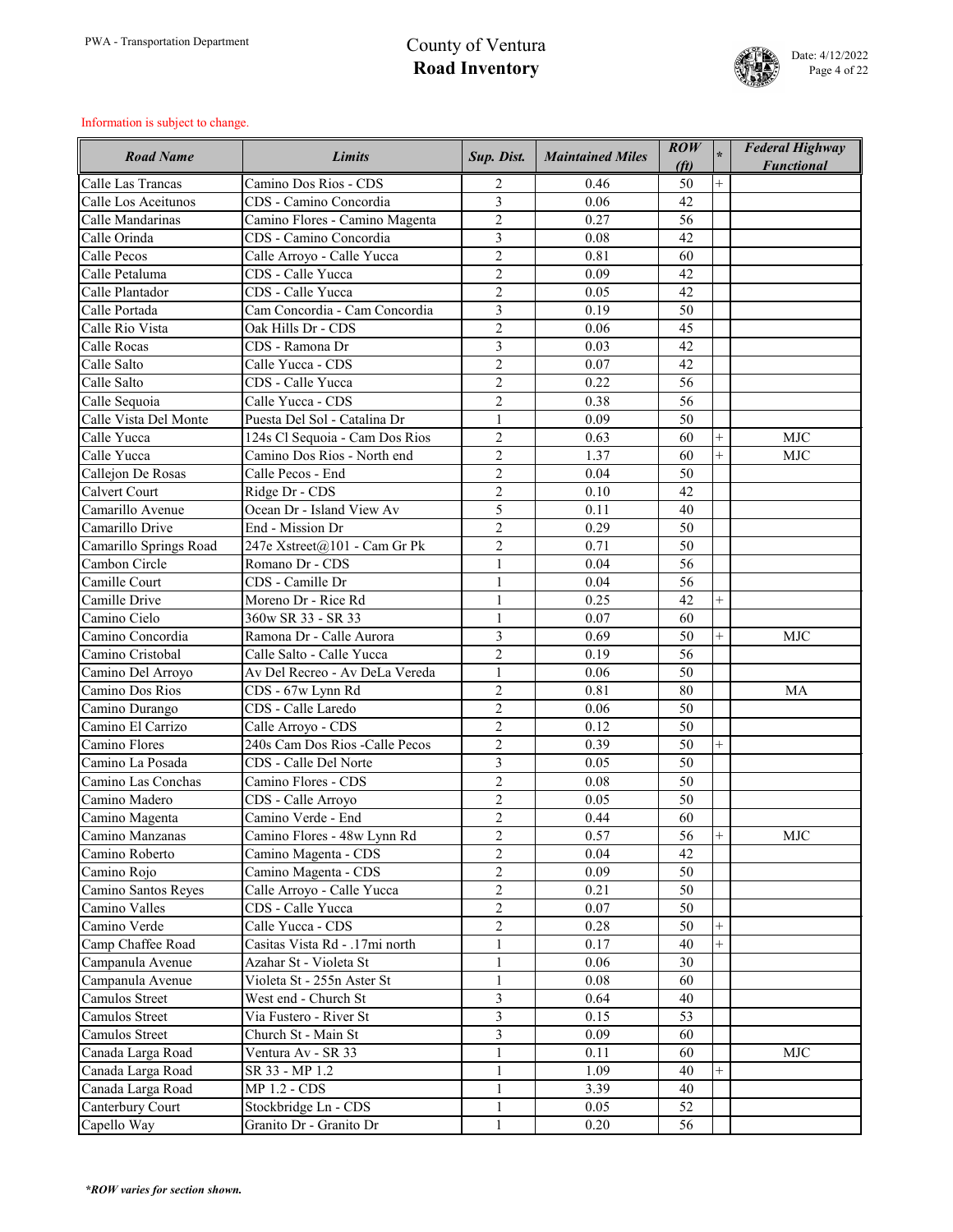

| <b>Road Name</b>       | <b>Limits</b>                   | Sup. Dist.     | <b>Maintained Miles</b> | $\mathbf{ROW}$<br>(f <sub>t</sub> ) | $\star$        | <b>Federal Highway</b><br><b>Functional</b> |
|------------------------|---------------------------------|----------------|-------------------------|-------------------------------------|----------------|---------------------------------------------|
| Calle Las Trancas      | Camino Dos Rios - CDS           | $\overline{2}$ | 0.46                    | 50                                  | $^{+}$         |                                             |
| Calle Los Aceitunos    | CDS - Camino Concordia          | 3              | 0.06                    | 42                                  |                |                                             |
| Calle Mandarinas       | Camino Flores - Camino Magenta  | $\overline{2}$ | 0.27                    | 56                                  |                |                                             |
| Calle Orinda           | CDS - Camino Concordia          | 3              | 0.08                    | 42                                  |                |                                             |
| Calle Pecos            | Calle Arroyo - Calle Yucca      | $\overline{2}$ | 0.81                    | 60                                  |                |                                             |
| Calle Petaluma         | CDS - Calle Yucca               | $\overline{2}$ | 0.09                    | 42                                  |                |                                             |
| Calle Plantador        | CDS - Calle Yucca               | $\overline{2}$ | 0.05                    | 42                                  |                |                                             |
| Calle Portada          | Cam Concordia - Cam Concordia   | $\overline{3}$ | 0.19                    | 50                                  |                |                                             |
| Calle Rio Vista        | Oak Hills Dr - CDS              | $\overline{2}$ | 0.06                    | 45                                  |                |                                             |
| <b>Calle Rocas</b>     | CDS - Ramona Dr                 | 3              | 0.03                    | 42                                  |                |                                             |
| Calle Salto            | Calle Yucca - CDS               | $\overline{2}$ | 0.07                    | 42                                  |                |                                             |
| Calle Salto            | CDS - Calle Yucca               | $\overline{2}$ | 0.22                    | 56                                  |                |                                             |
| Calle Sequoia          | Calle Yucca - CDS               | $\overline{2}$ | 0.38                    | 56                                  |                |                                             |
| Calle Vista Del Monte  | Puesta Del Sol - Catalina Dr    | $\mathbf{1}$   | 0.09                    | 50                                  |                |                                             |
| Calle Yucca            | 124s Cl Sequoia - Cam Dos Rios  | $\overline{2}$ | 0.63                    | 60                                  | $^{+}$         | <b>MJC</b>                                  |
| Calle Yucca            | Camino Dos Rios - North end     | $\overline{2}$ | 1.37                    | 60                                  | $^{+}$         | <b>MJC</b>                                  |
| Callejon De Rosas      | Calle Pecos - End               | $\overline{2}$ | 0.04                    | 50                                  |                |                                             |
| <b>Calvert Court</b>   | Ridge Dr - CDS                  | $\overline{2}$ | 0.10                    | 42                                  |                |                                             |
| Camarillo Avenue       | Ocean Dr - Island View Av       | 5              | 0.11                    | 40                                  |                |                                             |
| Camarillo Drive        | End - Mission Dr                | $\overline{2}$ | 0.29                    | 50                                  |                |                                             |
| Camarillo Springs Road | 247e Xstreet@101 - Cam Gr Pk    | $\overline{2}$ | 0.71                    | 50                                  |                |                                             |
| Cambon Circle          | Romano Dr - CDS                 | $\mathbf{1}$   | 0.04                    | 56                                  |                |                                             |
| Camille Court          | CDS - Camille Dr                | $\mathbf{1}$   | 0.04                    | 56                                  |                |                                             |
| Camille Drive          | Moreno Dr - Rice Rd             | 1              | 0.25                    | 42                                  | $^{+}$         |                                             |
| Camino Cielo           | 360w SR 33 - SR 33              | $\mathbf{1}$   | 0.07                    | 60                                  |                |                                             |
| Camino Concordia       | Ramona Dr - Calle Aurora        | 3              | 0.69                    | 50                                  | $^{+}$         | <b>MJC</b>                                  |
| Camino Cristobal       | Calle Salto - Calle Yucca       | $\overline{2}$ | 0.19                    | 56                                  |                |                                             |
| Camino Del Arroyo      | Av Del Recreo - Av DeLa Vereda  |                | 0.06                    | 50                                  |                |                                             |
| Camino Dos Rios        | CDS - 67w Lynn Rd               | $\overline{2}$ | 0.81                    | 80                                  |                | <b>MA</b>                                   |
| Camino Durango         | CDS - Calle Laredo              | $\overline{2}$ | 0.06                    | 50                                  |                |                                             |
| Camino El Carrizo      | Calle Arroyo - CDS              | $\overline{2}$ | 0.12                    | 50                                  |                |                                             |
| Camino Flores          | 240s Cam Dos Rios - Calle Pecos | $\overline{2}$ | 0.39                    | 50                                  | $^{+}$         |                                             |
| Camino La Posada       | CDS - Calle Del Norte           | $\overline{3}$ | 0.05                    | 50                                  |                |                                             |
| Camino Las Conchas     | Camino Flores - CDS             | $\overline{2}$ | 0.08                    | 50                                  |                |                                             |
| Camino Madero          | CDS - Calle Arroyo              | $\overline{2}$ | 0.05                    | 50                                  |                |                                             |
| Camino Magenta         | Camino Verde - End              | $\overline{2}$ | 0.44                    | 60                                  |                |                                             |
| Camino Manzanas        | Camino Flores - 48w Lynn Rd     | $\overline{2}$ | 0.57                    | 56                                  | $^{+}$         | <b>MJC</b>                                  |
| Camino Roberto         | Camino Magenta - CDS            | $\overline{2}$ | 0.04                    | 42                                  |                |                                             |
| Camino Rojo            | Camino Magenta - CDS            | $\overline{2}$ | 0.09                    | 50                                  |                |                                             |
| Camino Santos Reyes    | Calle Arroyo - Calle Yucca      | $\overline{2}$ | 0.21                    | 50                                  |                |                                             |
| Camino Valles          | CDS - Calle Yucca               | $\overline{2}$ | 0.07                    | 50                                  |                |                                             |
| Camino Verde           | Calle Yucca - CDS               | $\overline{2}$ | 0.28                    | 50                                  | $^{+}$         |                                             |
| Camp Chaffee Road      | Casitas Vista Rd - .17mi north  | $\mathbf{1}$   | 0.17                    | 40                                  | $\overline{+}$ |                                             |
| Campanula Avenue       | Azahar St - Violeta St          | $\mathbf{1}$   | 0.06                    | 30                                  |                |                                             |
| Campanula Avenue       | Violeta St - 255n Aster St      | $\mathbf{1}$   | 0.08                    | 60                                  |                |                                             |
| <b>Camulos Street</b>  | West end - Church St            | 3              | 0.64                    | 40                                  |                |                                             |
| Camulos Street         | Via Fustero - River St          | 3              | 0.15                    | 53                                  |                |                                             |
| <b>Camulos Street</b>  | Church St - Main St             | 3              | 0.09                    | 60                                  |                |                                             |
| Canada Larga Road      | Ventura Av - SR 33              |                | 0.11                    | 60                                  |                | <b>MJC</b>                                  |
| Canada Larga Road      | SR 33 - MP 1.2                  | $\mathbf{1}$   | 1.09                    | 40                                  | $^{+}$         |                                             |
| Canada Larga Road      | <b>MP 1.2 - CDS</b>             | $\mathbf{1}$   | 3.39                    | 40                                  |                |                                             |
| Canterbury Court       | Stockbridge Ln - CDS            | $\mathbf{1}$   | 0.05                    | 52                                  |                |                                             |
| Capello Way            | Granito Dr - Granito Dr         | $\mathbf{1}$   | 0.20                    | 56                                  |                |                                             |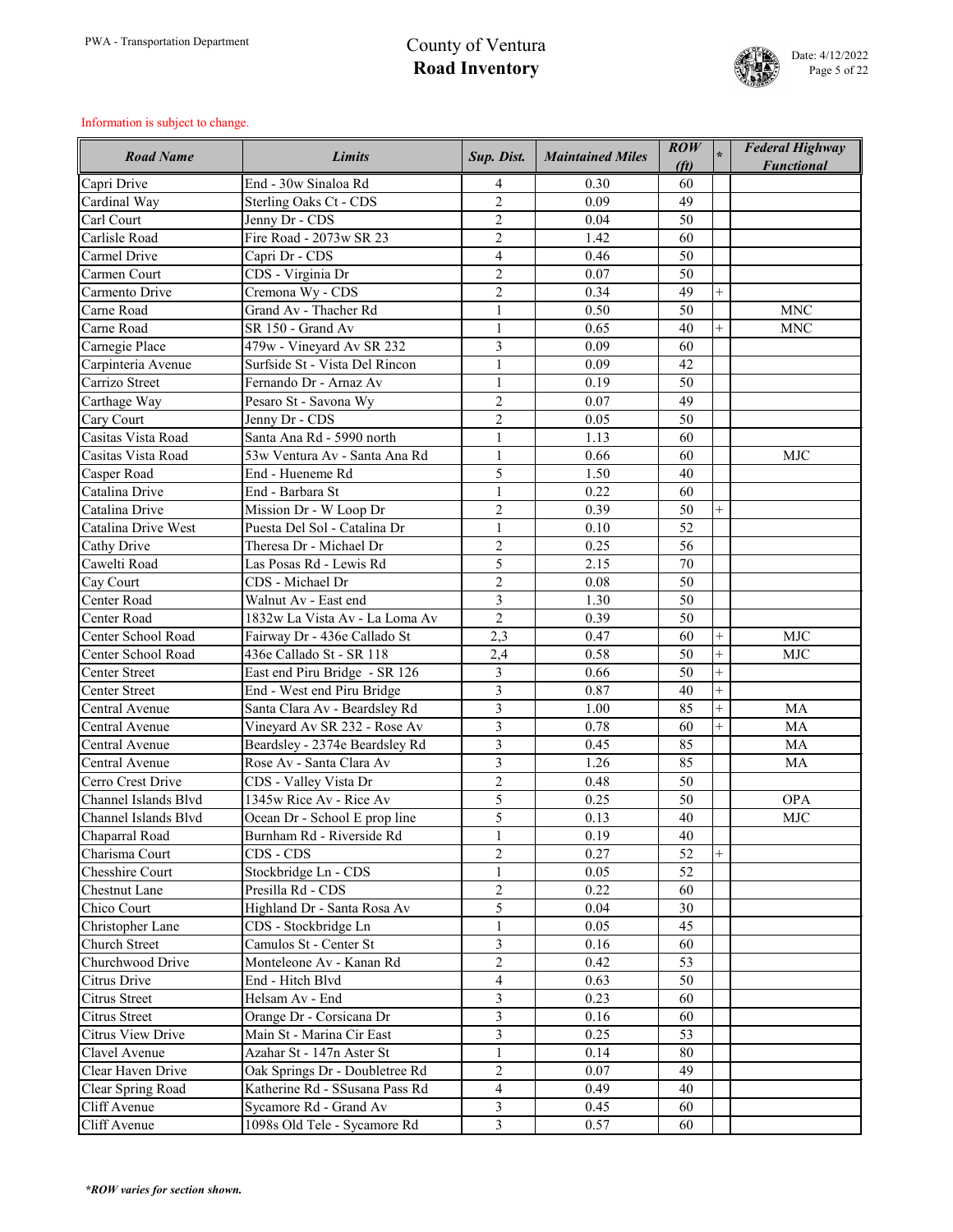

| Capri Drive<br>End - 30w Sinaloa Rd<br>0.30<br>60<br>4<br>$\overline{2}$<br>0.09<br>Cardinal Way<br>Sterling Oaks Ct - CDS<br>49<br>$\overline{2}$<br>Carl Court<br>Jenny Dr - CDS<br>0.04<br>50<br>$\overline{2}$<br>Carlisle Road<br>Fire Road - 2073w SR 23<br>1.42<br>60<br>Carmel Drive<br>$\overline{4}$<br>Capri Dr - CDS<br>0.46<br>50<br>$\overline{2}$<br>CDS - Virginia Dr<br>0.07<br>Carmen Court<br>50<br>$\overline{2}$<br>Carmento Drive<br>Cremona Wy - CDS<br>0.34<br>49<br>$^{+}$<br>Grand Av - Thacher Rd<br>0.50<br><b>MNC</b><br>Carne Road<br>50<br>$\mathbf{1}$<br>SR 150 - Grand Av<br>Carne Road<br>0.65<br>40<br><b>MNC</b><br>$\mathbf{1}$<br>$\overline{+}$<br>3<br>Carnegie Place<br>0.09<br>479w - Vineyard Av SR 232<br>60<br>Surfside St - Vista Del Rincon<br>0.09<br>42<br>Carpinteria Avenue<br>Carrizo Street<br>Fernando Dr - Arnaz Av<br>$\mathbf{1}$<br>0.19<br>50<br>$\overline{2}$<br>0.07<br>Carthage Way<br>Pesaro St - Savona Wy<br>49<br>$\overline{2}$<br>Jenny Dr - CDS<br>0.05<br>Cary Court<br>50<br>Casitas Vista Road<br>Santa Ana Rd - 5990 north<br>$\mathbf{1}$<br>1.13<br>60<br>0.66<br>Casitas Vista Road<br>53w Ventura Av - Santa Ana Rd<br>$\mathbf{1}$<br>60<br><b>MJC</b><br>5<br>End - Hueneme Rd<br>1.50<br>Casper Road<br>40<br>Catalina Drive<br>End - Barbara St<br>$\mathbf{1}$<br>0.22<br>60<br>Catalina Drive<br>Mission Dr - W Loop Dr<br>$\overline{2}$<br>0.39<br>50<br><b>Catalina Drive West</b><br>Puesta Del Sol - Catalina Dr<br>0.10<br>$\mathbf{1}$<br>52<br>$\overline{2}$<br>Theresa Dr - Michael Dr<br>0.25<br>56<br><b>Cathy Drive</b><br>5<br>Cawelti Road<br>Las Posas Rd - Lewis Rd<br>2.15<br>70<br>$\overline{2}$<br>CDS - Michael Dr<br>0.08<br>50<br>Cay Court<br>3<br><b>Center Road</b><br>Walnut Av - East end<br>1.30<br>50<br>$\overline{2}$<br>0.39<br>Center Road<br>1832w La Vista Av - La Loma Av<br>50<br>Center School Road<br>2,3<br><b>MJC</b><br>Fairway Dr - 436e Callado St<br>0.47<br>60<br>$^{+}$<br>$+$<br>2,4<br>Center School Road<br>0.58<br>50<br>MJC<br>436e Callado St - SR 118<br>$\overline{3}$<br>$\ddot{}$<br>East end Piru Bridge - SR 126<br>50<br><b>Center Street</b><br>0.66<br>3<br>End - West end Piru Bridge<br><b>Center Street</b><br>0.87<br>$^{+}$<br>40<br>$\overline{3}$<br>Santa Clara Av - Beardsley Rd<br>85<br>$^{+}$<br>1.00<br><b>MA</b><br>Central Avenue<br>$\overline{3}$<br>Vineyard Av SR 232 - Rose Av<br>Central Avenue<br>0.78<br>60<br>$^{+}$<br>MA<br>$\overline{3}$<br>Beardsley - 2374e Beardsley Rd<br>85<br>Central Avenue<br>0.45<br><b>MA</b><br>$\overline{3}$<br>Rose Av - Santa Clara Av<br>1.26<br>85<br>Central Avenue<br><b>MA</b><br>$\overline{2}$<br>Cerro Crest Drive<br>CDS - Valley Vista Dr<br>0.48<br>50<br>5<br>Channel Islands Blvd<br>1345w Rice Av - Rice Av<br>0.25<br><b>OPA</b><br>50<br>5<br>Channel Islands Blvd<br>Ocean Dr - School E prop line<br>0.13<br><b>MJC</b><br>40<br>Burnham Rd - Riverside Rd<br>0.19<br>Chaparral Road<br>$\mathbf{1}$<br>40<br>$\overline{2}$<br>Charisma Court<br>CDS - CDS<br>0.27<br>52<br><b>Chesshire Court</b><br>Stockbridge Ln - CDS<br>$\mathbf{1}$<br>0.05<br>52<br>$\overline{2}$<br>Presilla Rd - CDS<br><b>Chestnut Lane</b><br>0.22<br>60<br>5<br>Chico Court<br>Highland Dr - Santa Rosa Av<br>0.04<br>30<br>0.05<br><b>Christopher Lane</b><br>CDS - Stockbridge Ln<br>$\mathbf{1}$<br>45<br>3<br><b>Church Street</b><br>Camulos St - Center St<br>0.16<br>60<br>$\overline{2}$<br>Churchwood Drive<br>Monteleone Av - Kanan Rd<br>0.42<br>53<br>Citrus Drive<br>0.63<br>End - Hitch Blvd<br>$\overline{4}$<br>50<br>$\overline{3}$<br><b>Citrus Street</b><br>Helsam Av - End<br>0.23<br>60<br>$\overline{3}$<br>0.16<br><b>Citrus Street</b><br>Orange Dr - Corsicana Dr<br>60<br>3<br><b>Citrus View Drive</b><br>Main St - Marina Cir East<br>0.25<br>53<br>Clavel Avenue<br>Azahar St - 147n Aster St<br>$\mathbf{1}$<br>0.14<br>80<br>$\overline{2}$<br>Clear Haven Drive<br>0.07<br>Oak Springs Dr - Doubletree Rd<br>49<br>Katherine Rd - SSusana Pass Rd<br>$\overline{4}$<br>Clear Spring Road<br>0.49<br>40<br>$\mathfrak{Z}$<br>Cliff Avenue<br>Sycamore Rd - Grand Av<br>0.45<br>60 | <b>Road Name</b> | <b>Limits</b>                | Sup. Dist.     | <b>Maintained Miles</b> | $\overline{ROW}$<br>(f <sub>t</sub> ) | <b>Federal Highway</b><br><b>Functional</b> |
|------------------------------------------------------------------------------------------------------------------------------------------------------------------------------------------------------------------------------------------------------------------------------------------------------------------------------------------------------------------------------------------------------------------------------------------------------------------------------------------------------------------------------------------------------------------------------------------------------------------------------------------------------------------------------------------------------------------------------------------------------------------------------------------------------------------------------------------------------------------------------------------------------------------------------------------------------------------------------------------------------------------------------------------------------------------------------------------------------------------------------------------------------------------------------------------------------------------------------------------------------------------------------------------------------------------------------------------------------------------------------------------------------------------------------------------------------------------------------------------------------------------------------------------------------------------------------------------------------------------------------------------------------------------------------------------------------------------------------------------------------------------------------------------------------------------------------------------------------------------------------------------------------------------------------------------------------------------------------------------------------------------------------------------------------------------------------------------------------------------------------------------------------------------------------------------------------------------------------------------------------------------------------------------------------------------------------------------------------------------------------------------------------------------------------------------------------------------------------------------------------------------------------------------------------------------------------------------------------------------------------------------------------------------------------------------------------------------------------------------------------------------------------------------------------------------------------------------------------------------------------------------------------------------------------------------------------------------------------------------------------------------------------------------------------------------------------------------------------------------------------------------------------------------------------------------------------------------------------------------------------------------------------------------------------------------------------------------------------------------------------------------------------------------------------------------------------------------------------------------------------------------------------------------------------------------------------------------------------------------------------------------------------------------------------------------------------------------------------------------------------------------------------------------------------------------------------------------------------------------------------------------------------------------------------------------------------------------------------------------------------------------------------------------------------------------------------------------------------------------------------------------------------------------------------------------------------------------------------------|------------------|------------------------------|----------------|-------------------------|---------------------------------------|---------------------------------------------|
|                                                                                                                                                                                                                                                                                                                                                                                                                                                                                                                                                                                                                                                                                                                                                                                                                                                                                                                                                                                                                                                                                                                                                                                                                                                                                                                                                                                                                                                                                                                                                                                                                                                                                                                                                                                                                                                                                                                                                                                                                                                                                                                                                                                                                                                                                                                                                                                                                                                                                                                                                                                                                                                                                                                                                                                                                                                                                                                                                                                                                                                                                                                                                                                                                                                                                                                                                                                                                                                                                                                                                                                                                                                                                                                                                                                                                                                                                                                                                                                                                                                                                                                                                                                                                                    |                  |                              |                |                         |                                       |                                             |
|                                                                                                                                                                                                                                                                                                                                                                                                                                                                                                                                                                                                                                                                                                                                                                                                                                                                                                                                                                                                                                                                                                                                                                                                                                                                                                                                                                                                                                                                                                                                                                                                                                                                                                                                                                                                                                                                                                                                                                                                                                                                                                                                                                                                                                                                                                                                                                                                                                                                                                                                                                                                                                                                                                                                                                                                                                                                                                                                                                                                                                                                                                                                                                                                                                                                                                                                                                                                                                                                                                                                                                                                                                                                                                                                                                                                                                                                                                                                                                                                                                                                                                                                                                                                                                    |                  |                              |                |                         |                                       |                                             |
|                                                                                                                                                                                                                                                                                                                                                                                                                                                                                                                                                                                                                                                                                                                                                                                                                                                                                                                                                                                                                                                                                                                                                                                                                                                                                                                                                                                                                                                                                                                                                                                                                                                                                                                                                                                                                                                                                                                                                                                                                                                                                                                                                                                                                                                                                                                                                                                                                                                                                                                                                                                                                                                                                                                                                                                                                                                                                                                                                                                                                                                                                                                                                                                                                                                                                                                                                                                                                                                                                                                                                                                                                                                                                                                                                                                                                                                                                                                                                                                                                                                                                                                                                                                                                                    |                  |                              |                |                         |                                       |                                             |
|                                                                                                                                                                                                                                                                                                                                                                                                                                                                                                                                                                                                                                                                                                                                                                                                                                                                                                                                                                                                                                                                                                                                                                                                                                                                                                                                                                                                                                                                                                                                                                                                                                                                                                                                                                                                                                                                                                                                                                                                                                                                                                                                                                                                                                                                                                                                                                                                                                                                                                                                                                                                                                                                                                                                                                                                                                                                                                                                                                                                                                                                                                                                                                                                                                                                                                                                                                                                                                                                                                                                                                                                                                                                                                                                                                                                                                                                                                                                                                                                                                                                                                                                                                                                                                    |                  |                              |                |                         |                                       |                                             |
|                                                                                                                                                                                                                                                                                                                                                                                                                                                                                                                                                                                                                                                                                                                                                                                                                                                                                                                                                                                                                                                                                                                                                                                                                                                                                                                                                                                                                                                                                                                                                                                                                                                                                                                                                                                                                                                                                                                                                                                                                                                                                                                                                                                                                                                                                                                                                                                                                                                                                                                                                                                                                                                                                                                                                                                                                                                                                                                                                                                                                                                                                                                                                                                                                                                                                                                                                                                                                                                                                                                                                                                                                                                                                                                                                                                                                                                                                                                                                                                                                                                                                                                                                                                                                                    |                  |                              |                |                         |                                       |                                             |
|                                                                                                                                                                                                                                                                                                                                                                                                                                                                                                                                                                                                                                                                                                                                                                                                                                                                                                                                                                                                                                                                                                                                                                                                                                                                                                                                                                                                                                                                                                                                                                                                                                                                                                                                                                                                                                                                                                                                                                                                                                                                                                                                                                                                                                                                                                                                                                                                                                                                                                                                                                                                                                                                                                                                                                                                                                                                                                                                                                                                                                                                                                                                                                                                                                                                                                                                                                                                                                                                                                                                                                                                                                                                                                                                                                                                                                                                                                                                                                                                                                                                                                                                                                                                                                    |                  |                              |                |                         |                                       |                                             |
|                                                                                                                                                                                                                                                                                                                                                                                                                                                                                                                                                                                                                                                                                                                                                                                                                                                                                                                                                                                                                                                                                                                                                                                                                                                                                                                                                                                                                                                                                                                                                                                                                                                                                                                                                                                                                                                                                                                                                                                                                                                                                                                                                                                                                                                                                                                                                                                                                                                                                                                                                                                                                                                                                                                                                                                                                                                                                                                                                                                                                                                                                                                                                                                                                                                                                                                                                                                                                                                                                                                                                                                                                                                                                                                                                                                                                                                                                                                                                                                                                                                                                                                                                                                                                                    |                  |                              |                |                         |                                       |                                             |
|                                                                                                                                                                                                                                                                                                                                                                                                                                                                                                                                                                                                                                                                                                                                                                                                                                                                                                                                                                                                                                                                                                                                                                                                                                                                                                                                                                                                                                                                                                                                                                                                                                                                                                                                                                                                                                                                                                                                                                                                                                                                                                                                                                                                                                                                                                                                                                                                                                                                                                                                                                                                                                                                                                                                                                                                                                                                                                                                                                                                                                                                                                                                                                                                                                                                                                                                                                                                                                                                                                                                                                                                                                                                                                                                                                                                                                                                                                                                                                                                                                                                                                                                                                                                                                    |                  |                              |                |                         |                                       |                                             |
|                                                                                                                                                                                                                                                                                                                                                                                                                                                                                                                                                                                                                                                                                                                                                                                                                                                                                                                                                                                                                                                                                                                                                                                                                                                                                                                                                                                                                                                                                                                                                                                                                                                                                                                                                                                                                                                                                                                                                                                                                                                                                                                                                                                                                                                                                                                                                                                                                                                                                                                                                                                                                                                                                                                                                                                                                                                                                                                                                                                                                                                                                                                                                                                                                                                                                                                                                                                                                                                                                                                                                                                                                                                                                                                                                                                                                                                                                                                                                                                                                                                                                                                                                                                                                                    |                  |                              |                |                         |                                       |                                             |
|                                                                                                                                                                                                                                                                                                                                                                                                                                                                                                                                                                                                                                                                                                                                                                                                                                                                                                                                                                                                                                                                                                                                                                                                                                                                                                                                                                                                                                                                                                                                                                                                                                                                                                                                                                                                                                                                                                                                                                                                                                                                                                                                                                                                                                                                                                                                                                                                                                                                                                                                                                                                                                                                                                                                                                                                                                                                                                                                                                                                                                                                                                                                                                                                                                                                                                                                                                                                                                                                                                                                                                                                                                                                                                                                                                                                                                                                                                                                                                                                                                                                                                                                                                                                                                    |                  |                              |                |                         |                                       |                                             |
|                                                                                                                                                                                                                                                                                                                                                                                                                                                                                                                                                                                                                                                                                                                                                                                                                                                                                                                                                                                                                                                                                                                                                                                                                                                                                                                                                                                                                                                                                                                                                                                                                                                                                                                                                                                                                                                                                                                                                                                                                                                                                                                                                                                                                                                                                                                                                                                                                                                                                                                                                                                                                                                                                                                                                                                                                                                                                                                                                                                                                                                                                                                                                                                                                                                                                                                                                                                                                                                                                                                                                                                                                                                                                                                                                                                                                                                                                                                                                                                                                                                                                                                                                                                                                                    |                  |                              |                |                         |                                       |                                             |
|                                                                                                                                                                                                                                                                                                                                                                                                                                                                                                                                                                                                                                                                                                                                                                                                                                                                                                                                                                                                                                                                                                                                                                                                                                                                                                                                                                                                                                                                                                                                                                                                                                                                                                                                                                                                                                                                                                                                                                                                                                                                                                                                                                                                                                                                                                                                                                                                                                                                                                                                                                                                                                                                                                                                                                                                                                                                                                                                                                                                                                                                                                                                                                                                                                                                                                                                                                                                                                                                                                                                                                                                                                                                                                                                                                                                                                                                                                                                                                                                                                                                                                                                                                                                                                    |                  |                              |                |                         |                                       |                                             |
|                                                                                                                                                                                                                                                                                                                                                                                                                                                                                                                                                                                                                                                                                                                                                                                                                                                                                                                                                                                                                                                                                                                                                                                                                                                                                                                                                                                                                                                                                                                                                                                                                                                                                                                                                                                                                                                                                                                                                                                                                                                                                                                                                                                                                                                                                                                                                                                                                                                                                                                                                                                                                                                                                                                                                                                                                                                                                                                                                                                                                                                                                                                                                                                                                                                                                                                                                                                                                                                                                                                                                                                                                                                                                                                                                                                                                                                                                                                                                                                                                                                                                                                                                                                                                                    |                  |                              |                |                         |                                       |                                             |
|                                                                                                                                                                                                                                                                                                                                                                                                                                                                                                                                                                                                                                                                                                                                                                                                                                                                                                                                                                                                                                                                                                                                                                                                                                                                                                                                                                                                                                                                                                                                                                                                                                                                                                                                                                                                                                                                                                                                                                                                                                                                                                                                                                                                                                                                                                                                                                                                                                                                                                                                                                                                                                                                                                                                                                                                                                                                                                                                                                                                                                                                                                                                                                                                                                                                                                                                                                                                                                                                                                                                                                                                                                                                                                                                                                                                                                                                                                                                                                                                                                                                                                                                                                                                                                    |                  |                              |                |                         |                                       |                                             |
|                                                                                                                                                                                                                                                                                                                                                                                                                                                                                                                                                                                                                                                                                                                                                                                                                                                                                                                                                                                                                                                                                                                                                                                                                                                                                                                                                                                                                                                                                                                                                                                                                                                                                                                                                                                                                                                                                                                                                                                                                                                                                                                                                                                                                                                                                                                                                                                                                                                                                                                                                                                                                                                                                                                                                                                                                                                                                                                                                                                                                                                                                                                                                                                                                                                                                                                                                                                                                                                                                                                                                                                                                                                                                                                                                                                                                                                                                                                                                                                                                                                                                                                                                                                                                                    |                  |                              |                |                         |                                       |                                             |
|                                                                                                                                                                                                                                                                                                                                                                                                                                                                                                                                                                                                                                                                                                                                                                                                                                                                                                                                                                                                                                                                                                                                                                                                                                                                                                                                                                                                                                                                                                                                                                                                                                                                                                                                                                                                                                                                                                                                                                                                                                                                                                                                                                                                                                                                                                                                                                                                                                                                                                                                                                                                                                                                                                                                                                                                                                                                                                                                                                                                                                                                                                                                                                                                                                                                                                                                                                                                                                                                                                                                                                                                                                                                                                                                                                                                                                                                                                                                                                                                                                                                                                                                                                                                                                    |                  |                              |                |                         |                                       |                                             |
|                                                                                                                                                                                                                                                                                                                                                                                                                                                                                                                                                                                                                                                                                                                                                                                                                                                                                                                                                                                                                                                                                                                                                                                                                                                                                                                                                                                                                                                                                                                                                                                                                                                                                                                                                                                                                                                                                                                                                                                                                                                                                                                                                                                                                                                                                                                                                                                                                                                                                                                                                                                                                                                                                                                                                                                                                                                                                                                                                                                                                                                                                                                                                                                                                                                                                                                                                                                                                                                                                                                                                                                                                                                                                                                                                                                                                                                                                                                                                                                                                                                                                                                                                                                                                                    |                  |                              |                |                         |                                       |                                             |
|                                                                                                                                                                                                                                                                                                                                                                                                                                                                                                                                                                                                                                                                                                                                                                                                                                                                                                                                                                                                                                                                                                                                                                                                                                                                                                                                                                                                                                                                                                                                                                                                                                                                                                                                                                                                                                                                                                                                                                                                                                                                                                                                                                                                                                                                                                                                                                                                                                                                                                                                                                                                                                                                                                                                                                                                                                                                                                                                                                                                                                                                                                                                                                                                                                                                                                                                                                                                                                                                                                                                                                                                                                                                                                                                                                                                                                                                                                                                                                                                                                                                                                                                                                                                                                    |                  |                              |                |                         |                                       |                                             |
|                                                                                                                                                                                                                                                                                                                                                                                                                                                                                                                                                                                                                                                                                                                                                                                                                                                                                                                                                                                                                                                                                                                                                                                                                                                                                                                                                                                                                                                                                                                                                                                                                                                                                                                                                                                                                                                                                                                                                                                                                                                                                                                                                                                                                                                                                                                                                                                                                                                                                                                                                                                                                                                                                                                                                                                                                                                                                                                                                                                                                                                                                                                                                                                                                                                                                                                                                                                                                                                                                                                                                                                                                                                                                                                                                                                                                                                                                                                                                                                                                                                                                                                                                                                                                                    |                  |                              |                |                         |                                       |                                             |
|                                                                                                                                                                                                                                                                                                                                                                                                                                                                                                                                                                                                                                                                                                                                                                                                                                                                                                                                                                                                                                                                                                                                                                                                                                                                                                                                                                                                                                                                                                                                                                                                                                                                                                                                                                                                                                                                                                                                                                                                                                                                                                                                                                                                                                                                                                                                                                                                                                                                                                                                                                                                                                                                                                                                                                                                                                                                                                                                                                                                                                                                                                                                                                                                                                                                                                                                                                                                                                                                                                                                                                                                                                                                                                                                                                                                                                                                                                                                                                                                                                                                                                                                                                                                                                    |                  |                              |                |                         |                                       |                                             |
|                                                                                                                                                                                                                                                                                                                                                                                                                                                                                                                                                                                                                                                                                                                                                                                                                                                                                                                                                                                                                                                                                                                                                                                                                                                                                                                                                                                                                                                                                                                                                                                                                                                                                                                                                                                                                                                                                                                                                                                                                                                                                                                                                                                                                                                                                                                                                                                                                                                                                                                                                                                                                                                                                                                                                                                                                                                                                                                                                                                                                                                                                                                                                                                                                                                                                                                                                                                                                                                                                                                                                                                                                                                                                                                                                                                                                                                                                                                                                                                                                                                                                                                                                                                                                                    |                  |                              |                |                         |                                       |                                             |
|                                                                                                                                                                                                                                                                                                                                                                                                                                                                                                                                                                                                                                                                                                                                                                                                                                                                                                                                                                                                                                                                                                                                                                                                                                                                                                                                                                                                                                                                                                                                                                                                                                                                                                                                                                                                                                                                                                                                                                                                                                                                                                                                                                                                                                                                                                                                                                                                                                                                                                                                                                                                                                                                                                                                                                                                                                                                                                                                                                                                                                                                                                                                                                                                                                                                                                                                                                                                                                                                                                                                                                                                                                                                                                                                                                                                                                                                                                                                                                                                                                                                                                                                                                                                                                    |                  |                              |                |                         |                                       |                                             |
|                                                                                                                                                                                                                                                                                                                                                                                                                                                                                                                                                                                                                                                                                                                                                                                                                                                                                                                                                                                                                                                                                                                                                                                                                                                                                                                                                                                                                                                                                                                                                                                                                                                                                                                                                                                                                                                                                                                                                                                                                                                                                                                                                                                                                                                                                                                                                                                                                                                                                                                                                                                                                                                                                                                                                                                                                                                                                                                                                                                                                                                                                                                                                                                                                                                                                                                                                                                                                                                                                                                                                                                                                                                                                                                                                                                                                                                                                                                                                                                                                                                                                                                                                                                                                                    |                  |                              |                |                         |                                       |                                             |
|                                                                                                                                                                                                                                                                                                                                                                                                                                                                                                                                                                                                                                                                                                                                                                                                                                                                                                                                                                                                                                                                                                                                                                                                                                                                                                                                                                                                                                                                                                                                                                                                                                                                                                                                                                                                                                                                                                                                                                                                                                                                                                                                                                                                                                                                                                                                                                                                                                                                                                                                                                                                                                                                                                                                                                                                                                                                                                                                                                                                                                                                                                                                                                                                                                                                                                                                                                                                                                                                                                                                                                                                                                                                                                                                                                                                                                                                                                                                                                                                                                                                                                                                                                                                                                    |                  |                              |                |                         |                                       |                                             |
|                                                                                                                                                                                                                                                                                                                                                                                                                                                                                                                                                                                                                                                                                                                                                                                                                                                                                                                                                                                                                                                                                                                                                                                                                                                                                                                                                                                                                                                                                                                                                                                                                                                                                                                                                                                                                                                                                                                                                                                                                                                                                                                                                                                                                                                                                                                                                                                                                                                                                                                                                                                                                                                                                                                                                                                                                                                                                                                                                                                                                                                                                                                                                                                                                                                                                                                                                                                                                                                                                                                                                                                                                                                                                                                                                                                                                                                                                                                                                                                                                                                                                                                                                                                                                                    |                  |                              |                |                         |                                       |                                             |
|                                                                                                                                                                                                                                                                                                                                                                                                                                                                                                                                                                                                                                                                                                                                                                                                                                                                                                                                                                                                                                                                                                                                                                                                                                                                                                                                                                                                                                                                                                                                                                                                                                                                                                                                                                                                                                                                                                                                                                                                                                                                                                                                                                                                                                                                                                                                                                                                                                                                                                                                                                                                                                                                                                                                                                                                                                                                                                                                                                                                                                                                                                                                                                                                                                                                                                                                                                                                                                                                                                                                                                                                                                                                                                                                                                                                                                                                                                                                                                                                                                                                                                                                                                                                                                    |                  |                              |                |                         |                                       |                                             |
|                                                                                                                                                                                                                                                                                                                                                                                                                                                                                                                                                                                                                                                                                                                                                                                                                                                                                                                                                                                                                                                                                                                                                                                                                                                                                                                                                                                                                                                                                                                                                                                                                                                                                                                                                                                                                                                                                                                                                                                                                                                                                                                                                                                                                                                                                                                                                                                                                                                                                                                                                                                                                                                                                                                                                                                                                                                                                                                                                                                                                                                                                                                                                                                                                                                                                                                                                                                                                                                                                                                                                                                                                                                                                                                                                                                                                                                                                                                                                                                                                                                                                                                                                                                                                                    |                  |                              |                |                         |                                       |                                             |
|                                                                                                                                                                                                                                                                                                                                                                                                                                                                                                                                                                                                                                                                                                                                                                                                                                                                                                                                                                                                                                                                                                                                                                                                                                                                                                                                                                                                                                                                                                                                                                                                                                                                                                                                                                                                                                                                                                                                                                                                                                                                                                                                                                                                                                                                                                                                                                                                                                                                                                                                                                                                                                                                                                                                                                                                                                                                                                                                                                                                                                                                                                                                                                                                                                                                                                                                                                                                                                                                                                                                                                                                                                                                                                                                                                                                                                                                                                                                                                                                                                                                                                                                                                                                                                    |                  |                              |                |                         |                                       |                                             |
|                                                                                                                                                                                                                                                                                                                                                                                                                                                                                                                                                                                                                                                                                                                                                                                                                                                                                                                                                                                                                                                                                                                                                                                                                                                                                                                                                                                                                                                                                                                                                                                                                                                                                                                                                                                                                                                                                                                                                                                                                                                                                                                                                                                                                                                                                                                                                                                                                                                                                                                                                                                                                                                                                                                                                                                                                                                                                                                                                                                                                                                                                                                                                                                                                                                                                                                                                                                                                                                                                                                                                                                                                                                                                                                                                                                                                                                                                                                                                                                                                                                                                                                                                                                                                                    |                  |                              |                |                         |                                       |                                             |
|                                                                                                                                                                                                                                                                                                                                                                                                                                                                                                                                                                                                                                                                                                                                                                                                                                                                                                                                                                                                                                                                                                                                                                                                                                                                                                                                                                                                                                                                                                                                                                                                                                                                                                                                                                                                                                                                                                                                                                                                                                                                                                                                                                                                                                                                                                                                                                                                                                                                                                                                                                                                                                                                                                                                                                                                                                                                                                                                                                                                                                                                                                                                                                                                                                                                                                                                                                                                                                                                                                                                                                                                                                                                                                                                                                                                                                                                                                                                                                                                                                                                                                                                                                                                                                    |                  |                              |                |                         |                                       |                                             |
|                                                                                                                                                                                                                                                                                                                                                                                                                                                                                                                                                                                                                                                                                                                                                                                                                                                                                                                                                                                                                                                                                                                                                                                                                                                                                                                                                                                                                                                                                                                                                                                                                                                                                                                                                                                                                                                                                                                                                                                                                                                                                                                                                                                                                                                                                                                                                                                                                                                                                                                                                                                                                                                                                                                                                                                                                                                                                                                                                                                                                                                                                                                                                                                                                                                                                                                                                                                                                                                                                                                                                                                                                                                                                                                                                                                                                                                                                                                                                                                                                                                                                                                                                                                                                                    |                  |                              |                |                         |                                       |                                             |
|                                                                                                                                                                                                                                                                                                                                                                                                                                                                                                                                                                                                                                                                                                                                                                                                                                                                                                                                                                                                                                                                                                                                                                                                                                                                                                                                                                                                                                                                                                                                                                                                                                                                                                                                                                                                                                                                                                                                                                                                                                                                                                                                                                                                                                                                                                                                                                                                                                                                                                                                                                                                                                                                                                                                                                                                                                                                                                                                                                                                                                                                                                                                                                                                                                                                                                                                                                                                                                                                                                                                                                                                                                                                                                                                                                                                                                                                                                                                                                                                                                                                                                                                                                                                                                    |                  |                              |                |                         |                                       |                                             |
|                                                                                                                                                                                                                                                                                                                                                                                                                                                                                                                                                                                                                                                                                                                                                                                                                                                                                                                                                                                                                                                                                                                                                                                                                                                                                                                                                                                                                                                                                                                                                                                                                                                                                                                                                                                                                                                                                                                                                                                                                                                                                                                                                                                                                                                                                                                                                                                                                                                                                                                                                                                                                                                                                                                                                                                                                                                                                                                                                                                                                                                                                                                                                                                                                                                                                                                                                                                                                                                                                                                                                                                                                                                                                                                                                                                                                                                                                                                                                                                                                                                                                                                                                                                                                                    |                  |                              |                |                         |                                       |                                             |
|                                                                                                                                                                                                                                                                                                                                                                                                                                                                                                                                                                                                                                                                                                                                                                                                                                                                                                                                                                                                                                                                                                                                                                                                                                                                                                                                                                                                                                                                                                                                                                                                                                                                                                                                                                                                                                                                                                                                                                                                                                                                                                                                                                                                                                                                                                                                                                                                                                                                                                                                                                                                                                                                                                                                                                                                                                                                                                                                                                                                                                                                                                                                                                                                                                                                                                                                                                                                                                                                                                                                                                                                                                                                                                                                                                                                                                                                                                                                                                                                                                                                                                                                                                                                                                    |                  |                              |                |                         |                                       |                                             |
|                                                                                                                                                                                                                                                                                                                                                                                                                                                                                                                                                                                                                                                                                                                                                                                                                                                                                                                                                                                                                                                                                                                                                                                                                                                                                                                                                                                                                                                                                                                                                                                                                                                                                                                                                                                                                                                                                                                                                                                                                                                                                                                                                                                                                                                                                                                                                                                                                                                                                                                                                                                                                                                                                                                                                                                                                                                                                                                                                                                                                                                                                                                                                                                                                                                                                                                                                                                                                                                                                                                                                                                                                                                                                                                                                                                                                                                                                                                                                                                                                                                                                                                                                                                                                                    |                  |                              |                |                         |                                       |                                             |
|                                                                                                                                                                                                                                                                                                                                                                                                                                                                                                                                                                                                                                                                                                                                                                                                                                                                                                                                                                                                                                                                                                                                                                                                                                                                                                                                                                                                                                                                                                                                                                                                                                                                                                                                                                                                                                                                                                                                                                                                                                                                                                                                                                                                                                                                                                                                                                                                                                                                                                                                                                                                                                                                                                                                                                                                                                                                                                                                                                                                                                                                                                                                                                                                                                                                                                                                                                                                                                                                                                                                                                                                                                                                                                                                                                                                                                                                                                                                                                                                                                                                                                                                                                                                                                    |                  |                              |                |                         |                                       |                                             |
|                                                                                                                                                                                                                                                                                                                                                                                                                                                                                                                                                                                                                                                                                                                                                                                                                                                                                                                                                                                                                                                                                                                                                                                                                                                                                                                                                                                                                                                                                                                                                                                                                                                                                                                                                                                                                                                                                                                                                                                                                                                                                                                                                                                                                                                                                                                                                                                                                                                                                                                                                                                                                                                                                                                                                                                                                                                                                                                                                                                                                                                                                                                                                                                                                                                                                                                                                                                                                                                                                                                                                                                                                                                                                                                                                                                                                                                                                                                                                                                                                                                                                                                                                                                                                                    |                  |                              |                |                         |                                       |                                             |
|                                                                                                                                                                                                                                                                                                                                                                                                                                                                                                                                                                                                                                                                                                                                                                                                                                                                                                                                                                                                                                                                                                                                                                                                                                                                                                                                                                                                                                                                                                                                                                                                                                                                                                                                                                                                                                                                                                                                                                                                                                                                                                                                                                                                                                                                                                                                                                                                                                                                                                                                                                                                                                                                                                                                                                                                                                                                                                                                                                                                                                                                                                                                                                                                                                                                                                                                                                                                                                                                                                                                                                                                                                                                                                                                                                                                                                                                                                                                                                                                                                                                                                                                                                                                                                    |                  |                              |                |                         |                                       |                                             |
|                                                                                                                                                                                                                                                                                                                                                                                                                                                                                                                                                                                                                                                                                                                                                                                                                                                                                                                                                                                                                                                                                                                                                                                                                                                                                                                                                                                                                                                                                                                                                                                                                                                                                                                                                                                                                                                                                                                                                                                                                                                                                                                                                                                                                                                                                                                                                                                                                                                                                                                                                                                                                                                                                                                                                                                                                                                                                                                                                                                                                                                                                                                                                                                                                                                                                                                                                                                                                                                                                                                                                                                                                                                                                                                                                                                                                                                                                                                                                                                                                                                                                                                                                                                                                                    |                  |                              |                |                         |                                       |                                             |
|                                                                                                                                                                                                                                                                                                                                                                                                                                                                                                                                                                                                                                                                                                                                                                                                                                                                                                                                                                                                                                                                                                                                                                                                                                                                                                                                                                                                                                                                                                                                                                                                                                                                                                                                                                                                                                                                                                                                                                                                                                                                                                                                                                                                                                                                                                                                                                                                                                                                                                                                                                                                                                                                                                                                                                                                                                                                                                                                                                                                                                                                                                                                                                                                                                                                                                                                                                                                                                                                                                                                                                                                                                                                                                                                                                                                                                                                                                                                                                                                                                                                                                                                                                                                                                    |                  |                              |                |                         |                                       |                                             |
|                                                                                                                                                                                                                                                                                                                                                                                                                                                                                                                                                                                                                                                                                                                                                                                                                                                                                                                                                                                                                                                                                                                                                                                                                                                                                                                                                                                                                                                                                                                                                                                                                                                                                                                                                                                                                                                                                                                                                                                                                                                                                                                                                                                                                                                                                                                                                                                                                                                                                                                                                                                                                                                                                                                                                                                                                                                                                                                                                                                                                                                                                                                                                                                                                                                                                                                                                                                                                                                                                                                                                                                                                                                                                                                                                                                                                                                                                                                                                                                                                                                                                                                                                                                                                                    |                  |                              |                |                         |                                       |                                             |
|                                                                                                                                                                                                                                                                                                                                                                                                                                                                                                                                                                                                                                                                                                                                                                                                                                                                                                                                                                                                                                                                                                                                                                                                                                                                                                                                                                                                                                                                                                                                                                                                                                                                                                                                                                                                                                                                                                                                                                                                                                                                                                                                                                                                                                                                                                                                                                                                                                                                                                                                                                                                                                                                                                                                                                                                                                                                                                                                                                                                                                                                                                                                                                                                                                                                                                                                                                                                                                                                                                                                                                                                                                                                                                                                                                                                                                                                                                                                                                                                                                                                                                                                                                                                                                    |                  |                              |                |                         |                                       |                                             |
|                                                                                                                                                                                                                                                                                                                                                                                                                                                                                                                                                                                                                                                                                                                                                                                                                                                                                                                                                                                                                                                                                                                                                                                                                                                                                                                                                                                                                                                                                                                                                                                                                                                                                                                                                                                                                                                                                                                                                                                                                                                                                                                                                                                                                                                                                                                                                                                                                                                                                                                                                                                                                                                                                                                                                                                                                                                                                                                                                                                                                                                                                                                                                                                                                                                                                                                                                                                                                                                                                                                                                                                                                                                                                                                                                                                                                                                                                                                                                                                                                                                                                                                                                                                                                                    |                  |                              |                |                         |                                       |                                             |
|                                                                                                                                                                                                                                                                                                                                                                                                                                                                                                                                                                                                                                                                                                                                                                                                                                                                                                                                                                                                                                                                                                                                                                                                                                                                                                                                                                                                                                                                                                                                                                                                                                                                                                                                                                                                                                                                                                                                                                                                                                                                                                                                                                                                                                                                                                                                                                                                                                                                                                                                                                                                                                                                                                                                                                                                                                                                                                                                                                                                                                                                                                                                                                                                                                                                                                                                                                                                                                                                                                                                                                                                                                                                                                                                                                                                                                                                                                                                                                                                                                                                                                                                                                                                                                    |                  |                              |                |                         |                                       |                                             |
|                                                                                                                                                                                                                                                                                                                                                                                                                                                                                                                                                                                                                                                                                                                                                                                                                                                                                                                                                                                                                                                                                                                                                                                                                                                                                                                                                                                                                                                                                                                                                                                                                                                                                                                                                                                                                                                                                                                                                                                                                                                                                                                                                                                                                                                                                                                                                                                                                                                                                                                                                                                                                                                                                                                                                                                                                                                                                                                                                                                                                                                                                                                                                                                                                                                                                                                                                                                                                                                                                                                                                                                                                                                                                                                                                                                                                                                                                                                                                                                                                                                                                                                                                                                                                                    |                  |                              |                |                         |                                       |                                             |
|                                                                                                                                                                                                                                                                                                                                                                                                                                                                                                                                                                                                                                                                                                                                                                                                                                                                                                                                                                                                                                                                                                                                                                                                                                                                                                                                                                                                                                                                                                                                                                                                                                                                                                                                                                                                                                                                                                                                                                                                                                                                                                                                                                                                                                                                                                                                                                                                                                                                                                                                                                                                                                                                                                                                                                                                                                                                                                                                                                                                                                                                                                                                                                                                                                                                                                                                                                                                                                                                                                                                                                                                                                                                                                                                                                                                                                                                                                                                                                                                                                                                                                                                                                                                                                    |                  |                              |                |                         |                                       |                                             |
|                                                                                                                                                                                                                                                                                                                                                                                                                                                                                                                                                                                                                                                                                                                                                                                                                                                                                                                                                                                                                                                                                                                                                                                                                                                                                                                                                                                                                                                                                                                                                                                                                                                                                                                                                                                                                                                                                                                                                                                                                                                                                                                                                                                                                                                                                                                                                                                                                                                                                                                                                                                                                                                                                                                                                                                                                                                                                                                                                                                                                                                                                                                                                                                                                                                                                                                                                                                                                                                                                                                                                                                                                                                                                                                                                                                                                                                                                                                                                                                                                                                                                                                                                                                                                                    |                  |                              |                |                         |                                       |                                             |
|                                                                                                                                                                                                                                                                                                                                                                                                                                                                                                                                                                                                                                                                                                                                                                                                                                                                                                                                                                                                                                                                                                                                                                                                                                                                                                                                                                                                                                                                                                                                                                                                                                                                                                                                                                                                                                                                                                                                                                                                                                                                                                                                                                                                                                                                                                                                                                                                                                                                                                                                                                                                                                                                                                                                                                                                                                                                                                                                                                                                                                                                                                                                                                                                                                                                                                                                                                                                                                                                                                                                                                                                                                                                                                                                                                                                                                                                                                                                                                                                                                                                                                                                                                                                                                    |                  |                              |                |                         |                                       |                                             |
|                                                                                                                                                                                                                                                                                                                                                                                                                                                                                                                                                                                                                                                                                                                                                                                                                                                                                                                                                                                                                                                                                                                                                                                                                                                                                                                                                                                                                                                                                                                                                                                                                                                                                                                                                                                                                                                                                                                                                                                                                                                                                                                                                                                                                                                                                                                                                                                                                                                                                                                                                                                                                                                                                                                                                                                                                                                                                                                                                                                                                                                                                                                                                                                                                                                                                                                                                                                                                                                                                                                                                                                                                                                                                                                                                                                                                                                                                                                                                                                                                                                                                                                                                                                                                                    |                  |                              |                |                         |                                       |                                             |
|                                                                                                                                                                                                                                                                                                                                                                                                                                                                                                                                                                                                                                                                                                                                                                                                                                                                                                                                                                                                                                                                                                                                                                                                                                                                                                                                                                                                                                                                                                                                                                                                                                                                                                                                                                                                                                                                                                                                                                                                                                                                                                                                                                                                                                                                                                                                                                                                                                                                                                                                                                                                                                                                                                                                                                                                                                                                                                                                                                                                                                                                                                                                                                                                                                                                                                                                                                                                                                                                                                                                                                                                                                                                                                                                                                                                                                                                                                                                                                                                                                                                                                                                                                                                                                    |                  |                              |                |                         |                                       |                                             |
|                                                                                                                                                                                                                                                                                                                                                                                                                                                                                                                                                                                                                                                                                                                                                                                                                                                                                                                                                                                                                                                                                                                                                                                                                                                                                                                                                                                                                                                                                                                                                                                                                                                                                                                                                                                                                                                                                                                                                                                                                                                                                                                                                                                                                                                                                                                                                                                                                                                                                                                                                                                                                                                                                                                                                                                                                                                                                                                                                                                                                                                                                                                                                                                                                                                                                                                                                                                                                                                                                                                                                                                                                                                                                                                                                                                                                                                                                                                                                                                                                                                                                                                                                                                                                                    |                  |                              |                |                         |                                       |                                             |
|                                                                                                                                                                                                                                                                                                                                                                                                                                                                                                                                                                                                                                                                                                                                                                                                                                                                                                                                                                                                                                                                                                                                                                                                                                                                                                                                                                                                                                                                                                                                                                                                                                                                                                                                                                                                                                                                                                                                                                                                                                                                                                                                                                                                                                                                                                                                                                                                                                                                                                                                                                                                                                                                                                                                                                                                                                                                                                                                                                                                                                                                                                                                                                                                                                                                                                                                                                                                                                                                                                                                                                                                                                                                                                                                                                                                                                                                                                                                                                                                                                                                                                                                                                                                                                    |                  |                              |                |                         |                                       |                                             |
|                                                                                                                                                                                                                                                                                                                                                                                                                                                                                                                                                                                                                                                                                                                                                                                                                                                                                                                                                                                                                                                                                                                                                                                                                                                                                                                                                                                                                                                                                                                                                                                                                                                                                                                                                                                                                                                                                                                                                                                                                                                                                                                                                                                                                                                                                                                                                                                                                                                                                                                                                                                                                                                                                                                                                                                                                                                                                                                                                                                                                                                                                                                                                                                                                                                                                                                                                                                                                                                                                                                                                                                                                                                                                                                                                                                                                                                                                                                                                                                                                                                                                                                                                                                                                                    | Cliff Avenue     | 1098s Old Tele - Sycamore Rd | $\overline{3}$ | 0.57                    | 60                                    |                                             |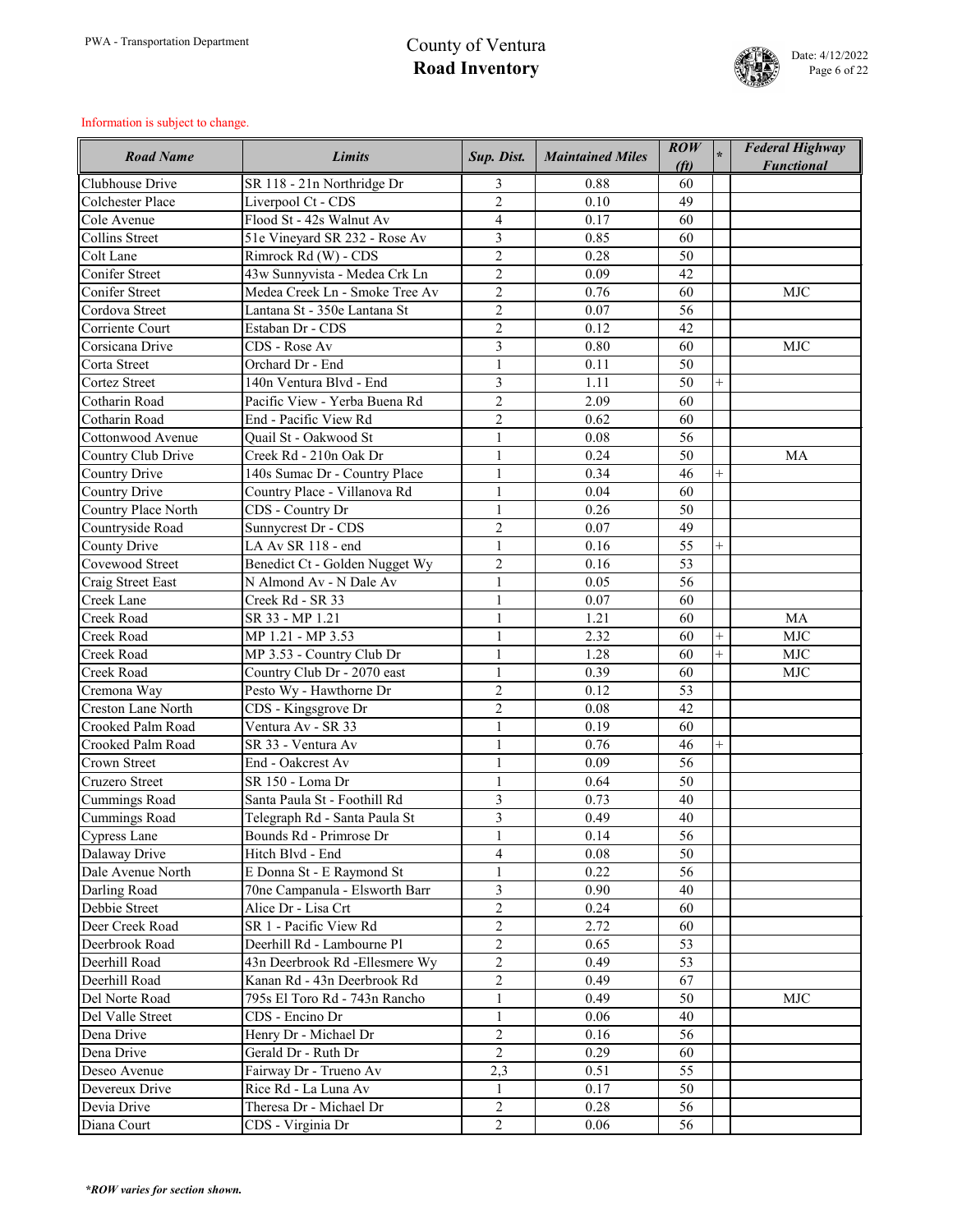

| <b>Road Name</b>                   | <b>Limits</b>                                            | Sup. Dist.                     | <b>Maintained Miles</b> | $\mathbf{ROW}$<br>(f <sub>t</sub> ) |        | <b>Federal Highway</b><br><b>Functional</b> |
|------------------------------------|----------------------------------------------------------|--------------------------------|-------------------------|-------------------------------------|--------|---------------------------------------------|
| Clubhouse Drive                    | SR 118 - 21n Northridge Dr                               | 3                              | 0.88                    | 60                                  |        |                                             |
| <b>Colchester Place</b>            | Liverpool Ct - CDS                                       | $\overline{2}$                 | 0.10                    | 49                                  |        |                                             |
| Cole Avenue                        | Flood St - 42s Walnut Av                                 | $\overline{4}$                 | 0.17                    | 60                                  |        |                                             |
| <b>Collins Street</b>              | 51e Vineyard SR 232 - Rose Av                            | 3                              | 0.85                    | 60                                  |        |                                             |
| Colt Lane                          | Rimrock Rd (W) - CDS                                     | $\overline{2}$                 | 0.28                    | 50                                  |        |                                             |
| Conifer Street                     | 43w Sunnyvista - Medea Crk Ln                            | $\overline{2}$                 | 0.09                    | 42                                  |        |                                             |
| <b>Conifer Street</b>              | Medea Creek Ln - Smoke Tree Av                           | $\overline{2}$                 | 0.76                    | 60                                  |        | <b>MJC</b>                                  |
| Cordova Street                     | Lantana St - 350e Lantana St                             | $\overline{2}$                 | 0.07                    | 56                                  |        |                                             |
| Corriente Court                    | Estaban Dr - CDS                                         | $\overline{2}$                 | 0.12                    | 42                                  |        |                                             |
| Corsicana Drive                    | CDS - Rose Av                                            | 3                              | 0.80                    | 60                                  |        | <b>MJC</b>                                  |
| Corta Street                       | Orchard Dr - End                                         | $\mathbf{1}$                   | 0.11                    | 50                                  |        |                                             |
| <b>Cortez Street</b>               | 140n Ventura Blvd - End                                  | $\overline{3}$                 | 1.11                    | 50                                  |        |                                             |
| Cotharin Road                      | Pacific View - Yerba Buena Rd                            | $\overline{2}$                 | 2.09                    | 60                                  |        |                                             |
| Cotharin Road                      | End - Pacific View Rd                                    | $\overline{2}$                 | 0.62                    | 60                                  |        |                                             |
| Cottonwood Avenue                  | Quail St - Oakwood St                                    | $\mathbf{1}$                   | 0.08                    | 56                                  |        |                                             |
| Country Club Drive                 | Creek Rd - 210n Oak Dr                                   |                                | 0.24                    | 50                                  |        | <b>MA</b>                                   |
| <b>Country Drive</b>               | 140s Sumac Dr - Country Place                            | $\mathbf{1}$                   | 0.34                    | 46                                  | $^{+}$ |                                             |
| <b>Country Drive</b>               | Country Place - Villanova Rd                             | $\mathbf{1}$                   | 0.04                    | 60                                  |        |                                             |
| Country Place North                | CDS - Country Dr                                         | $\mathbf{1}$                   | 0.26                    | 50                                  |        |                                             |
| Countryside Road                   | Sunnycrest Dr - CDS                                      | $\overline{2}$                 | 0.07                    | 49                                  |        |                                             |
| <b>County Drive</b>                | LA Av SR 118 - end                                       | $\mathbf{1}$                   | 0.16                    | 55                                  | $^{+}$ |                                             |
| Covewood Street                    | Benedict Ct - Golden Nugget Wy                           | $\overline{2}$                 | 0.16                    | 53                                  |        |                                             |
| Craig Street East                  | N Almond Av - N Dale Av                                  | $\mathbf{1}$                   | 0.05                    | 56                                  |        |                                             |
| Creek Lane                         | Creek Rd - SR 33                                         | $\mathbf{1}$                   | 0.07                    | 60                                  |        |                                             |
| <b>Creek Road</b>                  | SR 33 - MP 1.21                                          | $\mathbf{1}$                   | 1.21                    | 60                                  |        | MA                                          |
| <b>Creek Road</b>                  | MP 1.21 - MP 3.53                                        | 1                              | 2.32                    | 60                                  | $^{+}$ | <b>MJC</b>                                  |
| <b>Creek Road</b>                  | MP 3.53 - Country Club Dr                                |                                | 1.28                    | 60                                  | $^{+}$ | <b>MJC</b>                                  |
| Creek Road                         | Country Club Dr - 2070 east                              | $\mathbf{1}$                   | 0.39                    | 60                                  |        | <b>MJC</b>                                  |
| Cremona Way                        | Pesto Wy - Hawthorne Dr                                  | $\overline{2}$                 | 0.12                    | 53                                  |        |                                             |
| <b>Creston Lane North</b>          | CDS - Kingsgrove Dr                                      | $\overline{2}$                 | 0.08                    | 42                                  |        |                                             |
| Crooked Palm Road                  | Ventura Av - SR 33                                       |                                | 0.19                    | 60                                  |        |                                             |
| Crooked Palm Road                  | SR 33 - Ventura Av                                       | $\mathbf{1}$                   | 0.76                    | 46                                  | $^{+}$ |                                             |
| <b>Crown Street</b>                | End - Oakcrest Av                                        | $\mathbf{1}$                   | 0.09                    | 56                                  |        |                                             |
| Cruzero Street                     | SR 150 - Loma Dr                                         | $\mathbf{1}$                   | 0.64                    | 50                                  |        |                                             |
| <b>Cummings Road</b>               | Santa Paula St - Foothill Rd                             | $\overline{3}$                 | 0.73                    | 40                                  |        |                                             |
|                                    |                                                          | $\overline{3}$                 | 0.49                    | 40                                  |        |                                             |
| Cummings Road                      | Telegraph Rd - Santa Paula St<br>Bounds Rd - Primrose Dr |                                | 0.14                    | 56                                  |        |                                             |
| <b>Cypress Lane</b>                | Hitch Blvd - End                                         | $\mathbf{1}$                   | 0.08                    | 50                                  |        |                                             |
| Dalaway Drive<br>Dale Avenue North |                                                          | $\overline{4}$<br>$\mathbf{1}$ | 0.22                    | 56                                  |        |                                             |
|                                    | E Donna St - E Raymond St                                |                                |                         |                                     |        |                                             |
| Darling Road                       | 70ne Campanula - Elsworth Barr                           | $\overline{3}$                 | 0.90                    | 40                                  |        |                                             |
| Debbie Street                      | Alice Dr - Lisa Crt                                      | $\overline{2}$                 | 0.24                    | 60                                  |        |                                             |
| Deer Creek Road                    | SR 1 - Pacific View Rd                                   | $\overline{2}$                 | 2.72                    | 60                                  |        |                                             |
| Deerbrook Road                     | Deerhill Rd - Lambourne Pl                               | $\overline{2}$                 | 0.65                    | 53                                  |        |                                             |
| Deerhill Road                      | 43n Deerbrook Rd - Ellesmere Wy                          | $\overline{2}$                 | 0.49                    | 53                                  |        |                                             |
| Deerhill Road                      | Kanan Rd - 43n Deerbrook Rd                              | $\overline{2}$                 | 0.49                    | 67                                  |        |                                             |
| Del Norte Road                     | 795s El Toro Rd - 743n Rancho                            | $\mathbf{1}$                   | 0.49                    | 50                                  |        | <b>MJC</b>                                  |
| Del Valle Street                   | CDS - Encino Dr                                          | $\mathbf{1}$                   | 0.06                    | 40                                  |        |                                             |
| Dena Drive                         | Henry Dr - Michael Dr                                    | $\overline{2}$                 | 0.16                    | 56                                  |        |                                             |
| Dena Drive                         | Gerald Dr - Ruth Dr                                      | $\overline{2}$                 | 0.29                    | 60                                  |        |                                             |
| Deseo Avenue                       | Fairway Dr - Trueno Av                                   | 2,3                            | 0.51                    | 55                                  |        |                                             |
| Devereux Drive                     | Rice Rd - La Luna Av                                     | $\mathbf{1}$                   | 0.17                    | 50                                  |        |                                             |
| Devia Drive                        | Theresa Dr - Michael Dr                                  | $\overline{2}$                 | 0.28                    | 56                                  |        |                                             |
| Diana Court                        | CDS - Virginia Dr                                        | $\overline{2}$                 | 0.06                    | 56                                  |        |                                             |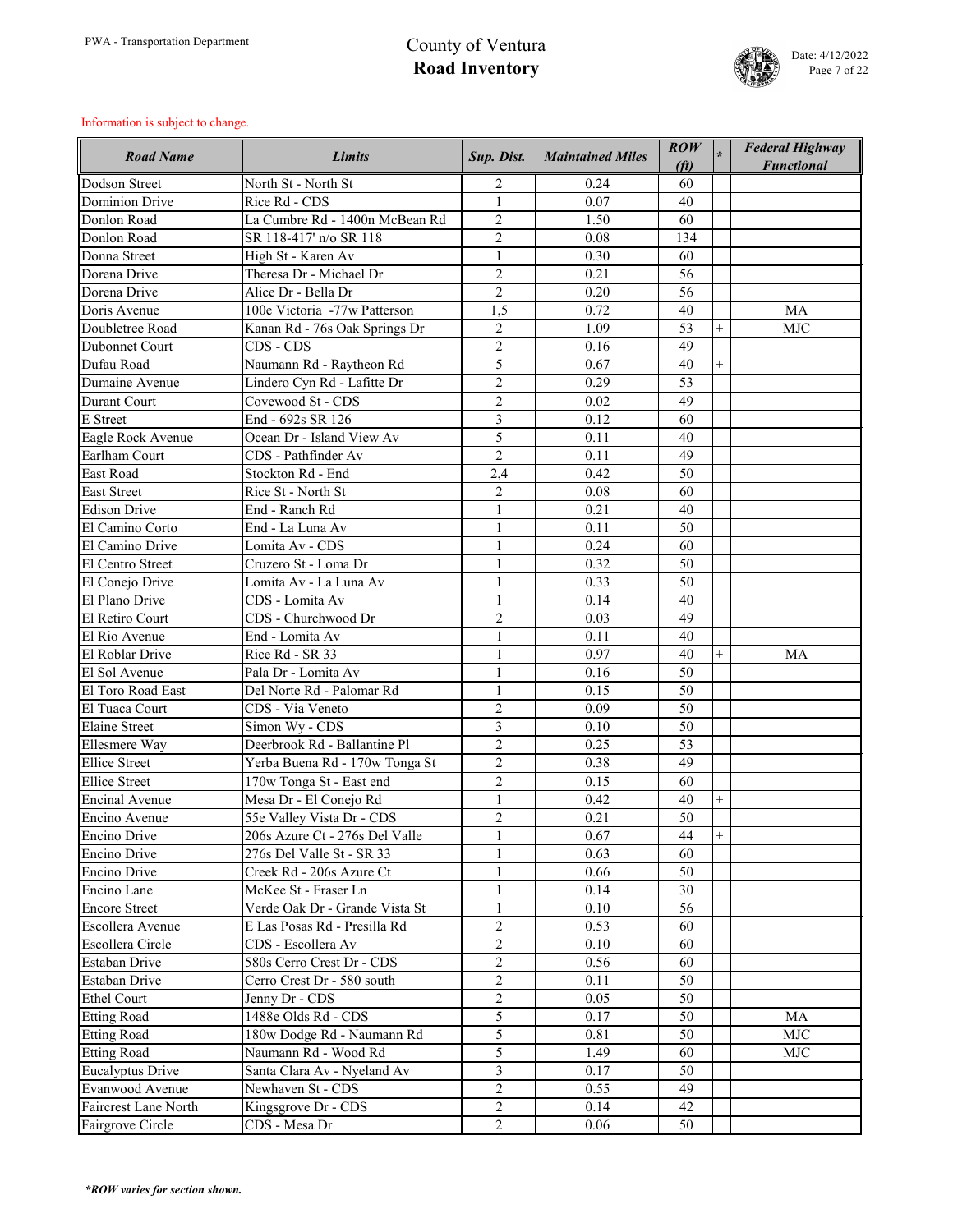

| <b>Road Name</b>            | <b>Limits</b>                  | Sup. Dist.     | <b>Maintained Miles</b> | $\overline{ROW}$<br>(f <sub>t</sub> ) |        | <b>Federal Highway</b><br><b>Functional</b> |
|-----------------------------|--------------------------------|----------------|-------------------------|---------------------------------------|--------|---------------------------------------------|
| Dodson Street               | North St - North St            | $\overline{2}$ | 0.24                    | 60                                    |        |                                             |
| <b>Dominion Drive</b>       | Rice Rd - CDS                  | $\mathbf{1}$   | 0.07                    | 40                                    |        |                                             |
| Donlon Road                 | La Cumbre Rd - 1400n McBean Rd | $\overline{2}$ | 1.50                    | 60                                    |        |                                             |
| Donlon Road                 | SR 118-417' n/o SR 118         | $\overline{2}$ | 0.08                    | 134                                   |        |                                             |
| Donna Street                | High St - Karen Av             | $\mathbf{1}$   | 0.30                    | 60                                    |        |                                             |
| Dorena Drive                | Theresa Dr - Michael Dr        | $\overline{2}$ | 0.21                    | 56                                    |        |                                             |
| Dorena Drive                | Alice Dr - Bella Dr            | $\overline{2}$ | 0.20                    | 56                                    |        |                                             |
| Doris Avenue                | 100e Victoria -77w Patterson   | 1,5            | 0.72                    | 40                                    |        | <b>MA</b>                                   |
| Doubletree Road             | Kanan Rd - 76s Oak Springs Dr  | $\overline{2}$ | 1.09                    | 53                                    | $+$    | <b>MJC</b>                                  |
| Dubonnet Court              | CDS - CDS                      | $\overline{2}$ | 0.16                    | 49                                    |        |                                             |
| Dufau Road                  | Naumann Rd - Raytheon Rd       | 5              | 0.67                    | 40                                    | $+$    |                                             |
| Dumaine Avenue              | Lindero Cyn Rd - Lafitte Dr    | $\overline{2}$ | 0.29                    | 53                                    |        |                                             |
| <b>Durant Court</b>         | Covewood St - CDS              | $\overline{2}$ | 0.02                    | 49                                    |        |                                             |
| E Street                    | End - 692s SR 126              | $\overline{3}$ | 0.12                    | 60                                    |        |                                             |
| Eagle Rock Avenue           | Ocean Dr - Island View Av      | 5              | 0.11                    | 40                                    |        |                                             |
| Earlham Court               | CDS - Pathfinder Av            | $\overline{2}$ | 0.11                    | 49                                    |        |                                             |
| <b>East Road</b>            | Stockton Rd - End              | 2,4            | 0.42                    | 50                                    |        |                                             |
| <b>East Street</b>          | Rice St - North St             | $\overline{2}$ | 0.08                    | 60                                    |        |                                             |
| <b>Edison Drive</b>         | End - Ranch Rd                 | $\mathbf{1}$   | 0.21                    | 40                                    |        |                                             |
| El Camino Corto             | End - La Luna Av               | $\mathbf{1}$   | 0.11                    | 50                                    |        |                                             |
| El Camino Drive             | Lomita Av - CDS                | $\mathbf{1}$   | 0.24                    | 60                                    |        |                                             |
| El Centro Street            | Cruzero St - Loma Dr           |                | 0.32                    | 50                                    |        |                                             |
| El Conejo Drive             | Lomita Av - La Luna Av         | $\mathbf{1}$   | 0.33                    | 50                                    |        |                                             |
| El Plano Drive              | CDS - Lomita Av                | $\mathbf{1}$   | 0.14                    | 40                                    |        |                                             |
| El Retiro Court             | CDS - Churchwood Dr            | $\overline{2}$ | 0.03                    | 49                                    |        |                                             |
| El Rio Avenue               | End - Lomita Av                |                | 0.11                    | 40                                    |        |                                             |
| El Roblar Drive             | Rice Rd - SR 33                |                | 0.97                    | 40                                    | $^{+}$ | MA                                          |
| El Sol Avenue               | Pala Dr - Lomita Av            |                | 0.16                    | 50                                    |        |                                             |
| El Toro Road East           | Del Norte Rd - Palomar Rd      | $\mathbf{1}$   | 0.15                    | 50                                    |        |                                             |
| El Tuaca Court              | CDS - Via Veneto               | $\overline{2}$ | 0.09                    | 50                                    |        |                                             |
| <b>Elaine Street</b>        | Simon Wy - CDS                 | $\overline{3}$ | 0.10                    | 50                                    |        |                                             |
| Ellesmere Way               | Deerbrook Rd - Ballantine Pl   | $\overline{2}$ | 0.25                    | 53                                    |        |                                             |
| <b>Ellice Street</b>        | Yerba Buena Rd - 170w Tonga St | $\overline{2}$ | 0.38                    | 49                                    |        |                                             |
| <b>Ellice Street</b>        | 170w Tonga St - East end       | $\overline{2}$ | 0.15                    | 60                                    |        |                                             |
| <b>Encinal Avenue</b>       | Mesa Dr - El Conejo Rd         | $\mathbf{1}$   | 0.42                    | 40                                    |        |                                             |
| Encino Avenue               | 55e Valley Vista Dr - CDS      | $\overline{2}$ | 0.21                    | 50                                    |        |                                             |
| <b>Encino Drive</b>         | 206s Azure Ct - 276s Del Valle | $\mathbf{1}$   | 0.67                    | 44                                    | $^{+}$ |                                             |
| Encino Drive                | 276s Del Valle St - SR 33      | $\mathbf{1}$   | 0.63                    | 60                                    |        |                                             |
| Encino Drive                | Creek Rd - 206s Azure Ct       | $\mathbf{1}$   | 0.66                    | 50                                    |        |                                             |
| Encino Lane                 | McKee St - Fraser Ln           | $\mathbf{1}$   | 0.14                    | 30                                    |        |                                             |
| <b>Encore Street</b>        | Verde Oak Dr - Grande Vista St | $\mathbf{1}$   | 0.10                    | 56                                    |        |                                             |
| Escollera Avenue            | E Las Posas Rd - Presilla Rd   | $\overline{2}$ | 0.53                    | 60                                    |        |                                             |
| Escollera Circle            | CDS - Escollera Av             | $\overline{2}$ | 0.10                    | 60                                    |        |                                             |
| <b>Estaban Drive</b>        | 580s Cerro Crest Dr - CDS      | $\overline{2}$ | 0.56                    | 60                                    |        |                                             |
| <b>Estaban Drive</b>        | Cerro Crest Dr - 580 south     | $\overline{2}$ | 0.11                    | 50                                    |        |                                             |
| <b>Ethel Court</b>          | Jenny Dr - CDS                 | $\overline{2}$ | 0.05                    | 50                                    |        |                                             |
| <b>Etting Road</b>          | 1488e Olds Rd - CDS            | 5              | 0.17                    | 50                                    |        | <b>MA</b>                                   |
| <b>Etting Road</b>          | 180w Dodge Rd - Naumann Rd     | 5              | 0.81                    | 50                                    |        | <b>MJC</b>                                  |
| <b>Etting Road</b>          | Naumann Rd - Wood Rd           | 5              | 1.49                    | 60                                    |        | <b>MJC</b>                                  |
| <b>Eucalyptus Drive</b>     | Santa Clara Av - Nyeland Av    | $\overline{3}$ | 0.17                    | 50                                    |        |                                             |
| Evanwood Avenue             | Newhaven St - CDS              | $\overline{2}$ | 0.55                    | 49                                    |        |                                             |
| <b>Faircrest Lane North</b> | Kingsgrove Dr - CDS            | $\overline{2}$ | 0.14                    | 42                                    |        |                                             |
| Fairgrove Circle            | CDS - Mesa Dr                  | $\overline{2}$ | 0.06                    | 50                                    |        |                                             |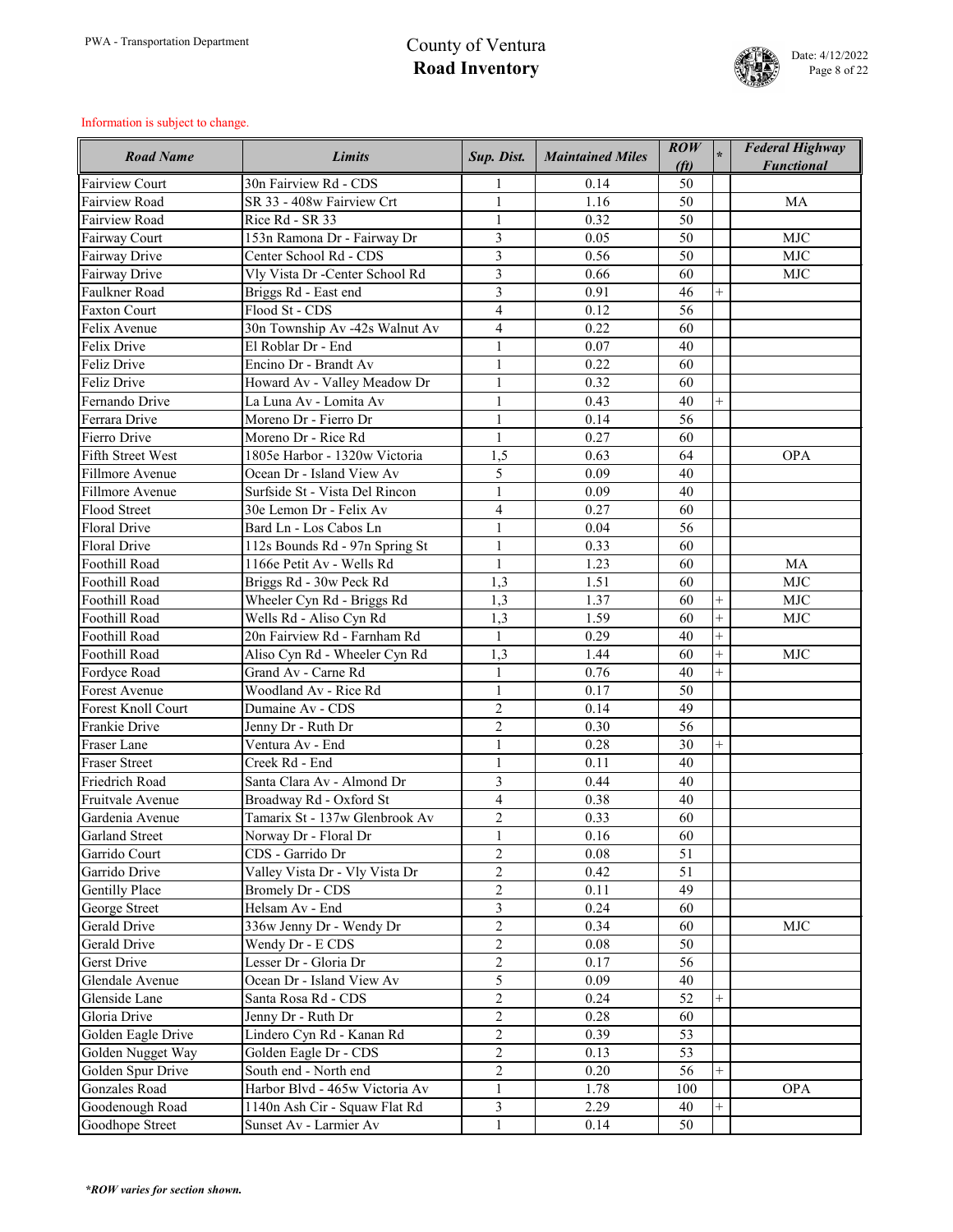

| <b>Road Name</b>          | <b>Limits</b>                  | Sup. Dist.              | <b>Maintained Miles</b> | $\mathbf{ROW}$<br>(f <sub>t</sub> ) |                | <b>Federal Highway</b><br><b>Functional</b> |
|---------------------------|--------------------------------|-------------------------|-------------------------|-------------------------------------|----------------|---------------------------------------------|
| <b>Fairview Court</b>     | 30n Fairview Rd - CDS          |                         | 0.14                    | 50                                  |                |                                             |
| <b>Fairview Road</b>      | SR 33 - 408w Fairview Crt      | $\mathbf{1}$            | 1.16                    | 50                                  |                | MA                                          |
| <b>Fairview Road</b>      | Rice Rd - SR 33                | $\mathbf{1}$            | 0.32                    | 50                                  |                |                                             |
| <b>Fairway Court</b>      | 153n Ramona Dr - Fairway Dr    | 3                       | 0.05                    | 50                                  |                | <b>MJC</b>                                  |
| Fairway Drive             | Center School Rd - CDS         | 3                       | 0.56                    | 50                                  |                | <b>MJC</b>                                  |
| Fairway Drive             | Vly Vista Dr -Center School Rd | 3                       | 0.66                    | 60                                  |                | <b>MJC</b>                                  |
| Faulkner Road             | Briggs Rd - East end           | $\overline{3}$          | 0.91                    | 46                                  | $^{+}$         |                                             |
| <b>Faxton Court</b>       | Flood St - CDS                 | $\overline{4}$          | 0.12                    | 56                                  |                |                                             |
| Felix Avenue              | 30n Township Av -42s Walnut Av | $\overline{4}$          | 0.22                    | 60                                  |                |                                             |
| Felix Drive               | El Roblar Dr - End             | $\mathbf{1}$            | 0.07                    | 40                                  |                |                                             |
| <b>Feliz Drive</b>        | Encino Dr - Brandt Av          | $\mathbf{1}$            | 0.22                    | 60                                  |                |                                             |
| <b>Feliz Drive</b>        | Howard Av - Valley Meadow Dr   | $\mathbf{1}$            | 0.32                    | 60                                  |                |                                             |
| Fernando Drive            | La Luna Av - Lomita Av         | $\mathbf{1}$            | 0.43                    | 40                                  | $^{+}$         |                                             |
| Ferrara Drive             | Moreno Dr - Fierro Dr          | $\mathbf{1}$            | 0.14                    | 56                                  |                |                                             |
| Fierro Drive              | Moreno Dr - Rice Rd            | $\mathbf{1}$            | 0.27                    | 60                                  |                |                                             |
| <b>Fifth Street West</b>  | 1805e Harbor - 1320w Victoria  | 1,5                     | 0.63                    | 64                                  |                | <b>OPA</b>                                  |
| Fillmore Avenue           | Ocean Dr - Island View Av      | 5                       | 0.09                    | 40                                  |                |                                             |
| Fillmore Avenue           | Surfside St - Vista Del Rincon | $\mathbf{1}$            | 0.09                    | 40                                  |                |                                             |
| Flood Street              | 30e Lemon Dr - Felix Av        | $\overline{\mathbf{4}}$ | 0.27                    | 60                                  |                |                                             |
| <b>Floral Drive</b>       | Bard Ln - Los Cabos Ln         | $\mathbf{1}$            | 0.04                    | 56                                  |                |                                             |
| <b>Floral Drive</b>       | 112s Bounds Rd - 97n Spring St | $\mathbf{1}$            | 0.33                    | 60                                  |                |                                             |
| Foothill Road             | 1166e Petit Av - Wells Rd      | $\mathbf{1}$            | 1.23                    | 60                                  |                | <b>MA</b>                                   |
| Foothill Road             | Briggs Rd - 30w Peck Rd        | 1,3                     | 1.51                    | 60                                  |                | <b>MJC</b>                                  |
| Foothill Road             | Wheeler Cyn Rd - Briggs Rd     | 1,3                     | 1.37                    | 60                                  | $^{+}$         | <b>MJC</b>                                  |
| Foothill Road             | Wells Rd - Aliso Cyn Rd        | 1,3                     | 1.59                    | 60                                  | $^{+}$         | <b>MJC</b>                                  |
| Foothill Road             | 20n Fairview Rd - Farnham Rd   | $\mathbf{1}$            | 0.29                    | 40                                  | $\overline{+}$ |                                             |
| Foothill Road             | Aliso Cyn Rd - Wheeler Cyn Rd  | 1,3                     | 1.44                    | 60                                  | $^{+}$         | MJC                                         |
| Fordyce Road              | Grand Av - Carne Rd            |                         | 0.76                    | 40                                  | $+$            |                                             |
| <b>Forest Avenue</b>      | Woodland Av - Rice Rd          | $\mathbf{1}$            | 0.17                    | 50                                  |                |                                             |
| <b>Forest Knoll Court</b> | Dumaine Av - CDS               | $\overline{2}$          | 0.14                    | 49                                  |                |                                             |
| <b>Frankie Drive</b>      | Jenny Dr - Ruth Dr             | $\overline{2}$          | 0.30                    | 56                                  |                |                                             |
| <b>Fraser Lane</b>        | Ventura Av - End               | $\mathbf{1}$            | 0.28                    | 30                                  | $^{+}$         |                                             |
| <b>Fraser Street</b>      | Creek Rd - End                 | $\mathbf{1}$            | 0.11                    | 40                                  |                |                                             |
| <b>Friedrich Road</b>     | Santa Clara Av - Almond Dr     | 3                       | 0.44                    | 40                                  |                |                                             |
| Fruitvale Avenue          | Broadway Rd - Oxford St        | $\overline{4}$          | 0.38                    | 40                                  |                |                                             |
| Gardenia Avenue           | Tamarix St - 137w Glenbrook Av | $\overline{2}$          | 0.33                    | 60                                  |                |                                             |
| <b>Garland Street</b>     | Norway Dr - Floral Dr          | $\mathbf{1}$            | 0.16                    | 60                                  |                |                                             |
| Garrido Court             | CDS - Garrido Dr               | $\overline{2}$          | 0.08                    | 51                                  |                |                                             |
| Garrido Drive             | Valley Vista Dr - Vly Vista Dr | $\overline{2}$          | 0.42                    | 51                                  |                |                                             |
| <b>Gentilly Place</b>     | <b>Bromely Dr - CDS</b>        | $\overline{2}$          | 0.11                    | 49                                  |                |                                             |
| George Street             | Helsam Av - End                | $\overline{3}$          | 0.24                    | 60                                  |                |                                             |
| <b>Gerald Drive</b>       | 336w Jenny Dr - Wendy Dr       | $\overline{2}$          | 0.34                    | 60                                  |                | <b>MJC</b>                                  |
| <b>Gerald Drive</b>       | Wendy Dr - E CDS               | $\overline{2}$          | 0.08                    | 50                                  |                |                                             |
| <b>Gerst Drive</b>        | Lesser Dr - Gloria Dr          | $\overline{2}$          | 0.17                    | 56                                  |                |                                             |
| Glendale Avenue           | Ocean Dr - Island View Av      | 5                       | 0.09                    | 40                                  |                |                                             |
| Glenside Lane             | Santa Rosa Rd - CDS            | $\overline{2}$          | 0.24                    | 52                                  |                |                                             |
| Gloria Drive              | Jenny Dr - Ruth Dr             | $\overline{2}$          | 0.28                    | 60                                  |                |                                             |
| Golden Eagle Drive        | Lindero Cyn Rd - Kanan Rd      | $\overline{2}$          | 0.39                    | 53                                  |                |                                             |
| Golden Nugget Way         | Golden Eagle Dr - CDS          | $\overline{2}$          | 0.13                    | 53                                  |                |                                             |
| Golden Spur Drive         | South end - North end          | $\overline{2}$          | 0.20                    | 56                                  | $^{+}$         |                                             |
| <b>Gonzales Road</b>      | Harbor Blvd - 465w Victoria Av | $\mathbf{1}$            | 1.78                    | 100                                 |                | <b>OPA</b>                                  |
| Goodenough Road           | 1140n Ash Cir - Squaw Flat Rd  | 3                       | 2.29                    | 40                                  | $^{+}$         |                                             |
| Goodhope Street           | Sunset Av - Larmier Av         | $\mathbf{1}$            | 0.14                    | 50                                  |                |                                             |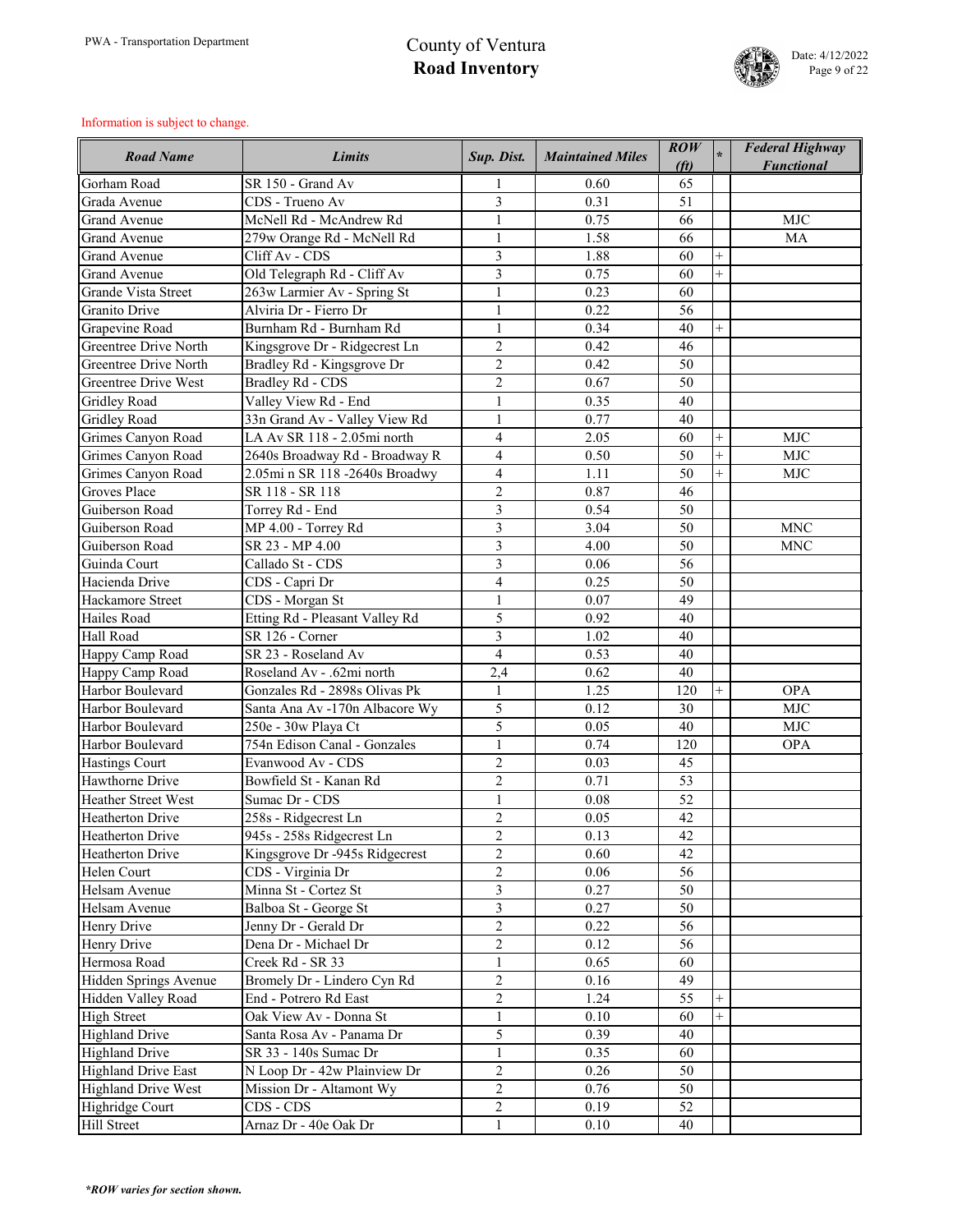

| <b>Road Name</b>                         | <b>Limits</b>                  | Sup. Dist.                       | <b>Maintained Miles</b> | $\mathbf{ROW}$<br>(f <sub>t</sub> ) |        | <b>Federal Highway</b><br><b>Functional</b> |
|------------------------------------------|--------------------------------|----------------------------------|-------------------------|-------------------------------------|--------|---------------------------------------------|
| Gorham Road                              | SR 150 - Grand Av              |                                  | 0.60                    | 65                                  |        |                                             |
| Grada Avenue                             | CDS - Trueno Av                | 3                                | 0.31                    | 51                                  |        |                                             |
| <b>Grand Avenue</b>                      | McNell Rd - McAndrew Rd        |                                  | 0.75                    | 66                                  |        | <b>MJC</b>                                  |
| <b>Grand Avenue</b>                      | 279w Orange Rd - McNell Rd     | $\mathbf{1}$                     | 1.58                    | 66                                  |        | <b>MA</b>                                   |
| <b>Grand Avenue</b>                      | Cliff Av - CDS                 | 3                                | 1.88                    | 60                                  |        |                                             |
| <b>Grand Avenue</b>                      | Old Telegraph Rd - Cliff Av    | $\mathfrak{Z}$                   | 0.75                    | 60                                  |        |                                             |
| <b>Grande Vista Street</b>               | 263w Larmier Av - Spring St    | $\mathbf{1}$                     | 0.23                    | 60                                  |        |                                             |
| Granito Drive                            | Alviria Dr - Fierro Dr         | $\mathbf{1}$                     | 0.22                    | 56                                  |        |                                             |
| Grapevine Road                           | Burnham Rd - Burnham Rd        | $\mathbf{1}$                     | 0.34                    | 40                                  | $+$    |                                             |
| <b>Greentree Drive North</b>             | Kingsgrove Dr - Ridgecrest Ln  | $\overline{2}$                   | 0.42                    | 46                                  |        |                                             |
| <b>Greentree Drive North</b>             | Bradley Rd - Kingsgrove Dr     | $\overline{2}$                   | 0.42                    | 50                                  |        |                                             |
| <b>Greentree Drive West</b>              | <b>Bradley Rd - CDS</b>        | $\overline{2}$                   | 0.67                    | 50                                  |        |                                             |
| <b>Gridley Road</b>                      | Valley View Rd - End           | $\mathbf{1}$                     | 0.35                    | 40                                  |        |                                             |
| <b>Gridley Road</b>                      | 33n Grand Av - Valley View Rd  | $\mathbf{1}$                     | 0.77                    | 40                                  |        |                                             |
| Grimes Canyon Road                       | LA Av SR 118 - 2.05mi north    | $\overline{4}$                   | 2.05                    | 60                                  | $^{+}$ | <b>MJC</b>                                  |
| Grimes Canyon Road                       | 2640s Broadway Rd - Broadway R | $\overline{4}$                   | 0.50                    | 50                                  | $^{+}$ | <b>MJC</b>                                  |
| Grimes Canyon Road                       | 2.05mi n SR 118 -2640s Broadwy | $\overline{4}$                   | 1.11                    | 50                                  | $^{+}$ | <b>MJC</b>                                  |
| <b>Groves Place</b>                      | SR 118 - SR 118                | $\overline{2}$                   | 0.87                    | 46                                  |        |                                             |
| Guiberson Road                           | Torrey Rd - End                | 3                                | 0.54                    | 50                                  |        |                                             |
| Guiberson Road                           | MP 4.00 - Torrey Rd            | 3                                | 3.04                    | 50                                  |        | <b>MNC</b>                                  |
| Guiberson Road                           | SR 23 - MP 4.00                | $\overline{3}$                   | 4.00                    | 50                                  |        | <b>MNC</b>                                  |
| Guinda Court                             | Callado St - CDS               | 3                                | 0.06                    | 56                                  |        |                                             |
| Hacienda Drive                           | CDS - Capri Dr                 | $\overline{4}$                   | 0.25                    | 50                                  |        |                                             |
| Hackamore Street                         | CDS - Morgan St                | $\mathbf{1}$                     | 0.07                    | 49                                  |        |                                             |
| Hailes Road                              | Etting Rd - Pleasant Valley Rd | 5                                | 0.92                    | 40                                  |        |                                             |
| Hall Road                                | SR 126 - Corner                | $\overline{3}$                   | 1.02                    | 40                                  |        |                                             |
|                                          | SR 23 - Roseland Av            | $\overline{4}$                   | 0.53                    | 40                                  |        |                                             |
| Happy Camp Road<br>Happy Camp Road       | Roseland Av - .62mi north      | 2,4                              | 0.62                    | 40                                  |        |                                             |
| Harbor Boulevard                         | Gonzales Rd - 2898s Olivas Pk  | $\mathbf{1}$                     | 1.25                    | 120                                 | $^{+}$ | <b>OPA</b>                                  |
| Harbor Boulevard                         | Santa Ana Av -170n Albacore Wy | 5                                | 0.12                    | 30                                  |        | <b>MJC</b>                                  |
| Harbor Boulevard                         | 250e - 30w Playa Ct            | 5                                | 0.05                    | 40                                  |        | <b>MJC</b>                                  |
| Harbor Boulevard                         | 754n Edison Canal - Gonzales   | $\mathbf{1}$                     | 0.74                    | 120                                 |        | <b>OPA</b>                                  |
|                                          | Evanwood Av - CDS              | $\overline{2}$                   | 0.03                    | 45                                  |        |                                             |
| <b>Hastings Court</b><br>Hawthorne Drive | Bowfield St - Kanan Rd         | $\overline{2}$                   | 0.71                    | 53                                  |        |                                             |
| <b>Heather Street West</b>               | Sumac Dr - CDS                 |                                  | 0.08                    |                                     |        |                                             |
| <b>Heatherton Drive</b>                  |                                | $\mathbf{1}$                     |                         | 52                                  |        |                                             |
|                                          | 258s - Ridgecrest Ln           | $\overline{2}$                   | 0.05                    | 42                                  |        |                                             |
| <b>Heatherton Drive</b>                  | 945s - 258s Ridgecrest Ln      | $\overline{2}$<br>$\overline{2}$ | 0.13                    | 42                                  |        |                                             |
| <b>Heatherton Drive</b>                  | Kingsgrove Dr -945s Ridgecrest |                                  | 0.60                    | 42                                  |        |                                             |
| Helen Court                              | CDS - Virginia Dr              | $\overline{2}$                   | 0.06                    | 56                                  |        |                                             |
| Helsam Avenue                            | Minna St - Cortez St           | $\overline{3}$                   | 0.27                    | 50                                  |        |                                             |
| Helsam Avenue                            | Balboa St - George St          | $\overline{3}$                   | 0.27                    | 50                                  |        |                                             |
| Henry Drive                              | Jenny Dr - Gerald Dr           | $\overline{2}$                   | 0.22                    | 56                                  |        |                                             |
| Henry Drive                              | Dena Dr - Michael Dr           | $\overline{2}$                   | 0.12                    | 56                                  |        |                                             |
| Hermosa Road                             | Creek Rd - SR 33               |                                  | 0.65                    | 60                                  |        |                                             |
| Hidden Springs Avenue                    | Bromely Dr - Lindero Cyn Rd    | $\overline{2}$                   | 0.16                    | 49                                  |        |                                             |
| Hidden Valley Road                       | End - Potrero Rd East          | $\overline{2}$                   | 1.24                    | 55                                  | $^{+}$ |                                             |
| <b>High Street</b>                       | Oak View Av - Donna St         | $\mathbf{1}$                     | 0.10                    | 60                                  | $^{+}$ |                                             |
| <b>Highland Drive</b>                    | Santa Rosa Av - Panama Dr      | 5                                | 0.39                    | 40                                  |        |                                             |
| <b>Highland Drive</b>                    | SR 33 - 140s Sumac Dr          | $\mathbf{1}$                     | 0.35                    | 60                                  |        |                                             |
| <b>Highland Drive East</b>               | N Loop Dr - 42w Plainview Dr   | $\overline{2}$                   | 0.26                    | 50                                  |        |                                             |
| <b>Highland Drive West</b>               | Mission Dr - Altamont Wy       | $\overline{2}$                   | 0.76                    | 50                                  |        |                                             |
| Highridge Court                          | CDS - CDS                      | $\overline{2}$                   | 0.19                    | 52                                  |        |                                             |
| Hill Street                              | Arnaz Dr - 40e Oak Dr          | $\mathbf{1}$                     | 0.10                    | 40                                  |        |                                             |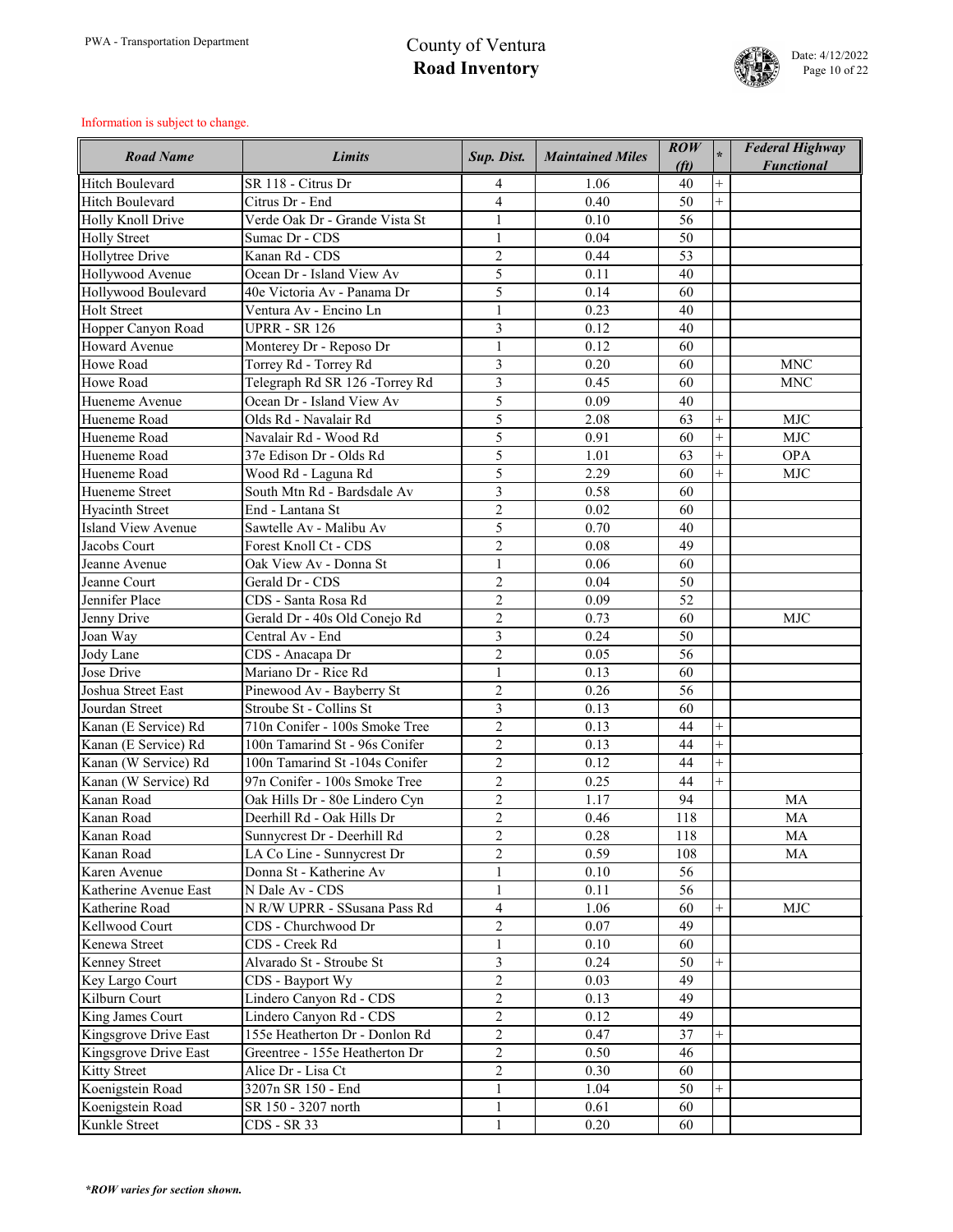

| <b>Road Name</b>          | <b>Limits</b>                   | Sup. Dist.     | <b>Maintained Miles</b> | $\mathbf{ROW}$<br>(f <sub>t</sub> ) |                | <b>Federal Highway</b><br><b>Functional</b> |
|---------------------------|---------------------------------|----------------|-------------------------|-------------------------------------|----------------|---------------------------------------------|
| <b>Hitch Boulevard</b>    | SR 118 - Citrus Dr              | 4              | 1.06                    | 40                                  | $^{+}$         |                                             |
| <b>Hitch Boulevard</b>    | Citrus Dr - End                 | $\overline{4}$ | 0.40                    | 50                                  | $^{+}$         |                                             |
| Holly Knoll Drive         | Verde Oak Dr - Grande Vista St  | $\mathbf{1}$   | 0.10                    | 56                                  |                |                                             |
| <b>Holly Street</b>       | Sumac Dr - CDS                  | $\mathbf{1}$   | 0.04                    | 50                                  |                |                                             |
| Hollytree Drive           | Kanan Rd - CDS                  | $\overline{2}$ | 0.44                    | 53                                  |                |                                             |
| Hollywood Avenue          | Ocean Dr - Island View Av       | 5              | 0.11                    | 40                                  |                |                                             |
| Hollywood Boulevard       | 40e Victoria Av - Panama Dr     | 5              | 0.14                    | 60                                  |                |                                             |
| <b>Holt Street</b>        | Ventura Av - Encino Ln          | $\mathbf{1}$   | 0.23                    | 40                                  |                |                                             |
| Hopper Canyon Road        | <b>UPRR - SR 126</b>            | $\overline{3}$ | 0.12                    | 40                                  |                |                                             |
| <b>Howard Avenue</b>      | Monterey Dr - Reposo Dr         | $\mathbf{1}$   | 0.12                    | 60                                  |                |                                             |
| Howe Road                 | Torrey Rd - Torrey Rd           | 3              | 0.20                    | 60                                  |                | <b>MNC</b>                                  |
| <b>Howe Road</b>          | Telegraph Rd SR 126 - Torrey Rd | 3              | 0.45                    | 60                                  |                | <b>MNC</b>                                  |
| Hueneme Avenue            | Ocean Dr - Island View Av       | 5              | 0.09                    | 40                                  |                |                                             |
| Hueneme Road              | Olds Rd - Navalair Rd           | 5              | 2.08                    | 63                                  | $^{+}$         | <b>MJC</b>                                  |
| Hueneme Road              | Navalair Rd - Wood Rd           | 5              | 0.91                    | 60                                  | $\overline{+}$ | <b>MJC</b>                                  |
| Hueneme Road              | 37e Edison Dr - Olds Rd         | 5              | 1.01                    | 63                                  | $^{+}$         | <b>OPA</b>                                  |
| Hueneme Road              | Wood Rd - Laguna Rd             | 5              | 2.29                    | 60                                  | $^{+}$         | <b>MJC</b>                                  |
| Hueneme Street            | South Mtn Rd - Bardsdale Av     | $\overline{3}$ | 0.58                    | 60                                  |                |                                             |
| <b>Hyacinth Street</b>    | End - Lantana St                | $\overline{2}$ | 0.02                    | 60                                  |                |                                             |
| <b>Island View Avenue</b> | Sawtelle Av - Malibu Av         | 5              | 0.70                    | 40                                  |                |                                             |
| Jacobs Court              | Forest Knoll Ct - CDS           | $\overline{2}$ | 0.08                    | 49                                  |                |                                             |
| Jeanne Avenue             | Oak View Av - Donna St          | $\mathbf{1}$   | 0.06                    | 60                                  |                |                                             |
| Jeanne Court              | Gerald Dr - CDS                 | $\overline{2}$ | 0.04                    | 50                                  |                |                                             |
| Jennifer Place            | CDS - Santa Rosa Rd             | $\overline{2}$ | 0.09                    | 52                                  |                |                                             |
| Jenny Drive               | Gerald Dr - 40s Old Conejo Rd   | $\overline{2}$ | 0.73                    | 60                                  |                | <b>MJC</b>                                  |
| Joan Way                  | Central Av - End                | $\overline{3}$ | 0.24                    | 50                                  |                |                                             |
| Jody Lane                 | CDS - Anacapa Dr                | $\overline{2}$ | 0.05                    | 56                                  |                |                                             |
| Jose Drive                | Mariano Dr - Rice Rd            |                | 0.13                    | 60                                  |                |                                             |
| Joshua Street East        | Pinewood Av - Bayberry St       | $\overline{2}$ | 0.26                    | 56                                  |                |                                             |
| Jourdan Street            | Stroube St - Collins St         | 3              | 0.13                    | 60                                  |                |                                             |
| Kanan (E Service) Rd      | 710n Conifer - 100s Smoke Tree  | $\overline{2}$ | 0.13                    | 44                                  | $\overline{+}$ |                                             |
| Kanan (E Service) Rd      | 100n Tamarind St - 96s Conifer  | $\overline{2}$ | 0.13                    | 44                                  |                |                                             |
| Kanan (W Service) Rd      | 100n Tamarind St -104s Conifer  | $\overline{2}$ | 0.12                    | 44                                  | $^{+}$         |                                             |
| Kanan (W Service) Rd      | 97n Conifer - 100s Smoke Tree   | $\overline{2}$ | 0.25                    | 44                                  | $^{+}$         |                                             |
| Kanan Road                | Oak Hills Dr - 80e Lindero Cyn  | $\overline{2}$ | 1.17                    | 94                                  |                | <b>MA</b>                                   |
| Kanan Road                | Deerhill Rd - Oak Hills Dr      | $\overline{2}$ | 0.46                    | 118                                 |                | MA                                          |
| Kanan Road                | Sunnycrest Dr - Deerhill Rd     | $\overline{2}$ | 0.28                    | 118                                 |                | MA                                          |
| Kanan Road                | LA Co Line - Sunnycrest Dr      | $\overline{2}$ | 0.59                    | 108                                 |                | <b>MA</b>                                   |
| Karen Avenue              | Donna St - Katherine Av         | $\mathbf{1}$   | 0.10                    | 56                                  |                |                                             |
| Katherine Avenue East     | N Dale Av - CDS                 | $\mathbf{1}$   | 0.11                    | 56                                  |                |                                             |
| Katherine Road            | N R/W UPRR - SSusana Pass Rd    | $\overline{4}$ | 1.06                    | 60                                  | $^{+}$         | <b>MJC</b>                                  |
| Kellwood Court            | CDS - Churchwood Dr             | $\overline{2}$ | 0.07                    | 49                                  |                |                                             |
| Kenewa Street             | CDS - Creek Rd                  | $\mathbf{1}$   | 0.10                    | 60                                  |                |                                             |
| <b>Kenney Street</b>      | Alvarado St - Stroube St        | $\overline{3}$ | 0.24                    | 50                                  | $^{+}$         |                                             |
| Key Largo Court           | CDS - Bayport Wy                | $\overline{2}$ | 0.03                    | 49                                  |                |                                             |
| Kilburn Court             | Lindero Canyon Rd - CDS         | $\overline{2}$ | 0.13                    | 49                                  |                |                                             |
| King James Court          | Lindero Canyon Rd - CDS         | $\overline{2}$ | 0.12                    | 49                                  |                |                                             |
| Kingsgrove Drive East     | 155e Heatherton Dr - Donlon Rd  | $\overline{2}$ | 0.47                    | 37                                  | $^{+}$         |                                             |
| Kingsgrove Drive East     | Greentree - 155e Heatherton Dr  | $\overline{2}$ | 0.50                    | 46                                  |                |                                             |
| <b>Kitty Street</b>       | Alice Dr - Lisa Ct              | $\overline{2}$ | 0.30                    | 60                                  |                |                                             |
| Koenigstein Road          | 3207n SR 150 - End              | $\mathbf{1}$   | 1.04                    | 50                                  | $^{+}$         |                                             |
| Koenigstein Road          | SR 150 - 3207 north             | $\mathbf{1}$   | 0.61                    | 60                                  |                |                                             |
| Kunkle Street             | CDS - SR 33                     | $\mathbf{1}$   | 0.20                    | 60                                  |                |                                             |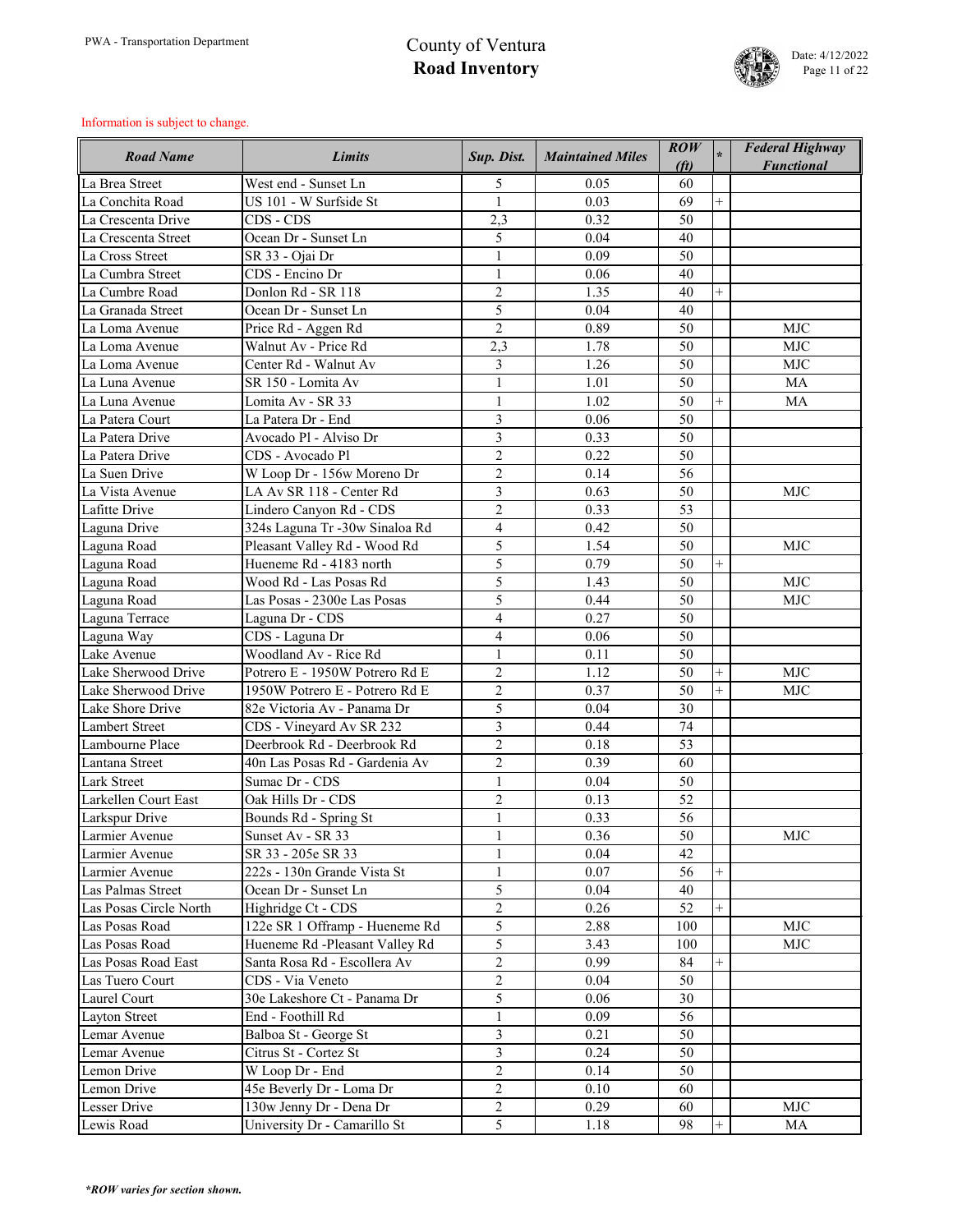

| <b>Road Name</b>       | <b>Limits</b>                  | Sup. Dist.     | <b>Maintained Miles</b> | $\mathbf{ROW}$<br>(f <sub>t</sub> ) |        | <b>Federal Highway</b><br><b>Functional</b> |
|------------------------|--------------------------------|----------------|-------------------------|-------------------------------------|--------|---------------------------------------------|
| La Brea Street         | West end - Sunset Ln           | 5              | 0.05                    | 60                                  |        |                                             |
| La Conchita Road       | US 101 - W Surfside St         | $\mathbf{1}$   | 0.03                    | 69                                  | $+$    |                                             |
| La Crescenta Drive     | CDS - CDS                      | 2,3            | 0.32                    | 50                                  |        |                                             |
| La Crescenta Street    | Ocean Dr - Sunset Ln           | 5              | 0.04                    | 40                                  |        |                                             |
| La Cross Street        | SR 33 - Ojai Dr                | $\mathbf{1}$   | 0.09                    | 50                                  |        |                                             |
| La Cumbra Street       | CDS - Encino Dr                | $\mathbf{1}$   | 0.06                    | 40                                  |        |                                             |
| La Cumbre Road         | Donlon Rd - SR 118             | $\overline{2}$ | 1.35                    | 40                                  | $^{+}$ |                                             |
| La Granada Street      | Ocean Dr - Sunset Ln           | 5              | 0.04                    | 40                                  |        |                                             |
| La Loma Avenue         | Price Rd - Aggen Rd            | $\overline{2}$ | 0.89                    | 50                                  |        | <b>MJC</b>                                  |
| La Loma Avenue         | Walnut Av - Price Rd           | 2,3            | 1.78                    | 50                                  |        | <b>MJC</b>                                  |
| La Loma Avenue         | Center Rd - Walnut Av          | 3              | 1.26                    | 50                                  |        | <b>MJC</b>                                  |
| La Luna Avenue         | SR 150 - Lomita Av             | $\mathbf{1}$   | 1.01                    | 50                                  |        | <b>MA</b>                                   |
| La Luna Avenue         | Lomita Av - SR 33              | $\mathbf{1}$   | 1.02                    | 50                                  | $^{+}$ | <b>MA</b>                                   |
| La Patera Court        | La Patera Dr - End             | 3              | 0.06                    | 50                                  |        |                                             |
| La Patera Drive        | Avocado Pl - Alviso Dr         | $\overline{3}$ | 0.33                    | 50                                  |        |                                             |
| La Patera Drive        | CDS - Avocado Pl               | $\overline{2}$ | 0.22                    | 50                                  |        |                                             |
| La Suen Drive          | W Loop Dr - 156w Moreno Dr     | $\overline{2}$ | 0.14                    | 56                                  |        |                                             |
| La Vista Avenue        | LA Av SR 118 - Center Rd       | $\overline{3}$ | 0.63                    | 50                                  |        | <b>MJC</b>                                  |
| Lafitte Drive          |                                | $\overline{2}$ | 0.33                    | 53                                  |        |                                             |
|                        | Lindero Canyon Rd - CDS        |                | 0.42                    | 50                                  |        |                                             |
| Laguna Drive           | 324s Laguna Tr -30w Sinaloa Rd | $\overline{4}$ |                         | 50                                  |        |                                             |
| Laguna Road            | Pleasant Valley Rd - Wood Rd   | 5<br>5         | 1.54                    |                                     |        | <b>MJC</b>                                  |
| Laguna Road            | Hueneme Rd - 4183 north        |                | 0.79                    | 50                                  | $^{+}$ |                                             |
| Laguna Road            | Wood Rd - Las Posas Rd         | 5              | 1.43                    | 50                                  |        | <b>MJC</b>                                  |
| Laguna Road            | Las Posas - 2300e Las Posas    | 5              | 0.44                    | 50                                  |        | <b>MJC</b>                                  |
| Laguna Terrace         | Laguna Dr - CDS                | $\overline{4}$ | 0.27                    | 50                                  |        |                                             |
| Laguna Way             | CDS - Laguna Dr                | $\overline{4}$ | 0.06                    | 50                                  |        |                                             |
| Lake Avenue            | Woodland Av - Rice Rd          |                | 0.11                    | 50                                  |        |                                             |
| Lake Sherwood Drive    | Potrero E - 1950W Potrero Rd E | $\overline{2}$ | 1.12                    | 50                                  | $^{+}$ | <b>MJC</b>                                  |
| Lake Sherwood Drive    | 1950W Potrero E - Potrero Rd E | $\overline{2}$ | 0.37                    | 50                                  | $+$    | <b>MJC</b>                                  |
| Lake Shore Drive       | 82e Victoria Av - Panama Dr    | 5              | 0.04                    | 30                                  |        |                                             |
| <b>Lambert Street</b>  | CDS - Vineyard Av SR 232       | $\overline{3}$ | 0.44                    | 74                                  |        |                                             |
| Lambourne Place        | Deerbrook Rd - Deerbrook Rd    | $\overline{2}$ | 0.18                    | 53                                  |        |                                             |
| Lantana Street         | 40n Las Posas Rd - Gardenia Av | $\overline{2}$ | 0.39                    | 60                                  |        |                                             |
| <b>Lark Street</b>     | Sumac Dr - CDS                 | $\mathbf{1}$   | 0.04                    | 50                                  |        |                                             |
| Larkellen Court East   | Oak Hills Dr - CDS             | $\overline{2}$ | 0.13                    | 52                                  |        |                                             |
| Larkspur Drive         | Bounds Rd - Spring St          | $\mathbf{1}$   | 0.33                    | 56                                  |        |                                             |
| Larmier Avenue         | Sunset Av - SR 33              | $\mathbf{1}$   | 0.36                    | 50                                  |        | <b>MJC</b>                                  |
| Larmier Avenue         | SR 33 - 205e SR 33             | $\mathbf{1}$   | 0.04                    | 42                                  |        |                                             |
| Larmier Avenue         | 222s - 130n Grande Vista St    | $\mathbf{1}$   | 0.07                    | 56                                  | $^{+}$ |                                             |
| Las Palmas Street      | Ocean Dr - Sunset Ln           | 5              | 0.04                    | 40                                  |        |                                             |
| Las Posas Circle North | Highridge Ct - CDS             | $\overline{2}$ | 0.26                    | 52                                  | $^{+}$ |                                             |
| Las Posas Road         | 122e SR 1 Offramp - Hueneme Rd | 5              | 2.88                    | 100                                 |        | <b>MJC</b>                                  |
| Las Posas Road         | Hueneme Rd -Pleasant Valley Rd | 5              | 3.43                    | 100                                 |        | <b>MJC</b>                                  |
| Las Posas Road East    | Santa Rosa Rd - Escollera Av   | $\overline{2}$ | 0.99                    | 84                                  |        |                                             |
| Las Tuero Court        | CDS - Via Veneto               | $\overline{2}$ | 0.04                    | 50                                  |        |                                             |
| Laurel Court           | 30e Lakeshore Ct - Panama Dr   | 5              | 0.06                    | 30                                  |        |                                             |
| <b>Layton Street</b>   | End - Foothill Rd              | $\mathbf{1}$   | 0.09                    | 56                                  |        |                                             |
| Lemar Avenue           | Balboa St - George St          | 3              | 0.21                    | 50                                  |        |                                             |
| Lemar Avenue           | Citrus St - Cortez St          | $\overline{3}$ | 0.24                    | 50                                  |        |                                             |
| Lemon Drive            | W Loop Dr - End                | $\overline{2}$ | 0.14                    | 50                                  |        |                                             |
| Lemon Drive            | 45e Beverly Dr - Loma Dr       | $\overline{2}$ | 0.10                    | 60                                  |        |                                             |
| <b>Lesser Drive</b>    | 130w Jenny Dr - Dena Dr        | $\overline{2}$ | 0.29                    | 60                                  |        | <b>MJC</b>                                  |
| Lewis Road             | University Dr - Camarillo St   | 5              | 1.18                    | 98                                  | $^{+}$ | MA                                          |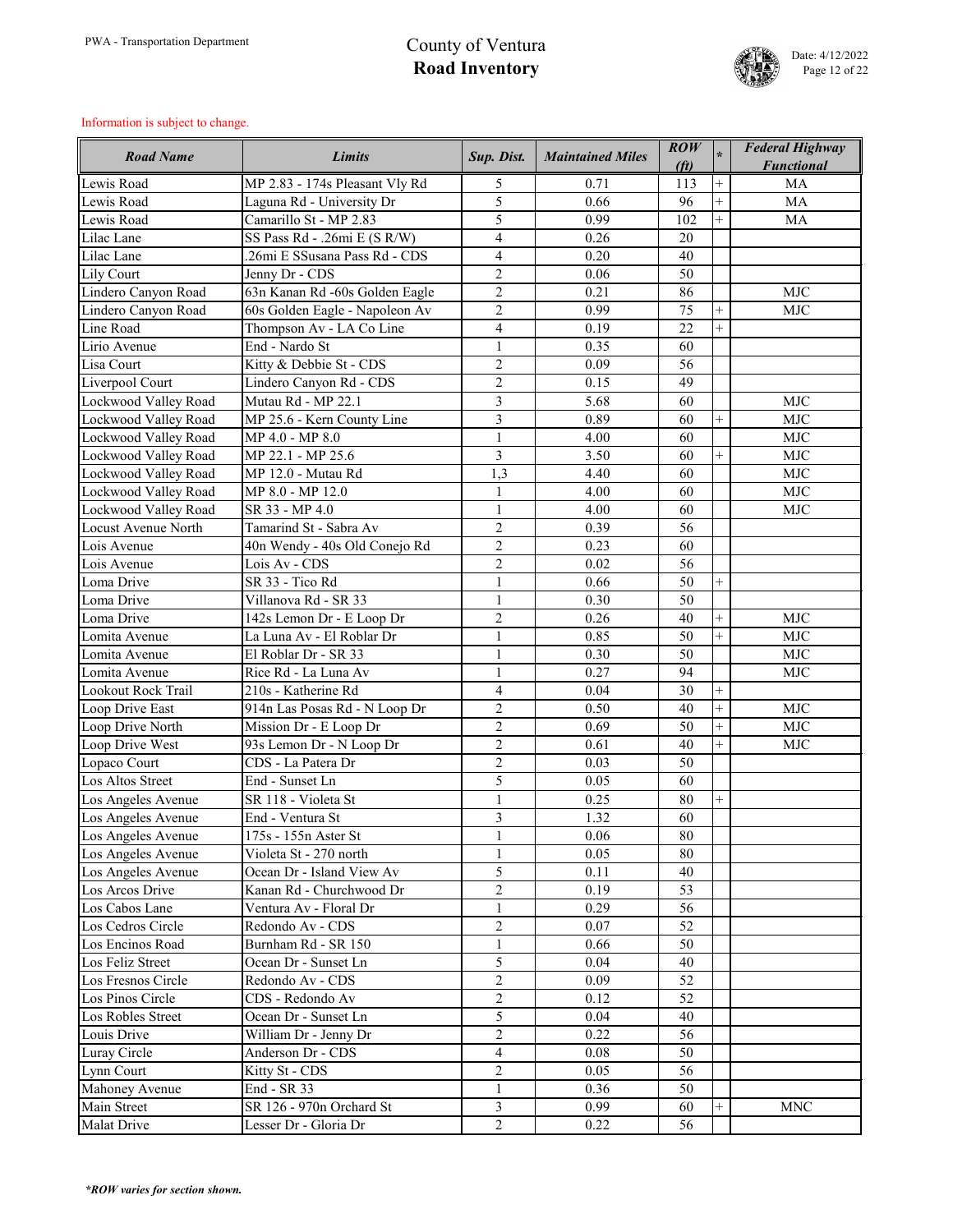

| <b>Road Name</b>     | <b>Limits</b>                               | Sup. Dist.        | <b>Maintained Miles</b> | $\mathbf{ROW}$<br>(f <sub>t</sub> ) | $\ast$         | <b>Federal Highway</b><br><b>Functional</b> |
|----------------------|---------------------------------------------|-------------------|-------------------------|-------------------------------------|----------------|---------------------------------------------|
| Lewis Road           | MP 2.83 - 174s Pleasant Vly Rd              | 5                 | 0.71                    | 113                                 | $^{+}$         | MA                                          |
| Lewis Road           | Laguna Rd - University Dr                   | 5                 | 0.66                    | 96                                  | $\ddot{}$      | <b>MA</b>                                   |
| Lewis Road           | Camarillo St - MP 2.83                      | 5                 | 0.99                    | 102                                 | $^{+}$         | <b>MA</b>                                   |
| Lilac Lane           | SS Pass Rd - .26mi E (S R/W)                | $\overline{4}$    | 0.26                    | 20                                  |                |                                             |
| Lilac Lane           | 26mi E SSusana Pass Rd - CDS                | $\overline{4}$    | 0.20                    | 40                                  |                |                                             |
| Lily Court           | Jenny Dr - CDS                              | $\overline{2}$    | 0.06                    | 50                                  |                |                                             |
| Lindero Canyon Road  | 63n Kanan Rd -60s Golden Eagle              | $\overline{2}$    | 0.21                    | 86                                  |                | <b>MJC</b>                                  |
| Lindero Canyon Road  | 60s Golden Eagle - Napoleon Av              | $\overline{2}$    | 0.99                    | 75                                  | $\overline{+}$ | <b>MJC</b>                                  |
| Line Road            | Thompson Av - LA Co Line                    | $\overline{4}$    | 0.19                    | 22                                  | $\ddot{}$      |                                             |
| Lirio Avenue         | End - Nardo St                              | $\mathbf{1}$      | 0.35                    | 60                                  |                |                                             |
| Lisa Court           | Kitty & Debbie St - CDS                     | $\overline{2}$    | 0.09                    | 56                                  |                |                                             |
| Liverpool Court      | Lindero Canyon Rd - CDS                     | $\overline{2}$    | 0.15                    | 49                                  |                |                                             |
| Lockwood Valley Road | Mutau Rd - MP 22.1                          | $\overline{3}$    | 5.68                    | 60                                  |                | <b>MJC</b>                                  |
| Lockwood Valley Road | MP 25.6 - Kern County Line                  | 3                 | 0.89                    | 60                                  | $^{+}$         | <b>MJC</b>                                  |
| Lockwood Valley Road | MP 4.0 - MP 8.0                             | $\mathbf{1}$      | 4.00                    | 60                                  |                | <b>MJC</b>                                  |
| Lockwood Valley Road | MP 22.1 - MP 25.6                           | 3                 | 3.50                    | 60                                  | $^{+}$         | <b>MJC</b>                                  |
| Lockwood Valley Road | MP 12.0 - Mutau Rd                          | 1,3               | 4.40                    | 60                                  |                | <b>MJC</b>                                  |
| Lockwood Valley Road | MP 8.0 - MP 12.0                            | $\mathbf{1}$      | 4.00                    | 60                                  |                | <b>MJC</b>                                  |
| Lockwood Valley Road | SR 33 - MP 4.0                              | $\mathbf{1}$      | 4.00                    | 60                                  |                | <b>MJC</b>                                  |
| Locust Avenue North  | Tamarind St - Sabra Av                      | $\overline{2}$    | 0.39                    | 56                                  |                |                                             |
| Lois Avenue          | 40n Wendy - 40s Old Conejo Rd               | $\overline{2}$    | 0.23                    | 60                                  |                |                                             |
| Lois Avenue          | Lois Av - CDS                               | $\overline{2}$    | 0.02                    | 56                                  |                |                                             |
| Loma Drive           | SR 33 - Tico Rd                             | $\mathbf{1}$      | 0.66                    | 50                                  | $\overline{+}$ |                                             |
| Loma Drive           | Villanova Rd - SR 33                        | $\mathbf{1}$      | 0.30                    | 50                                  |                |                                             |
| Loma Drive           | 142s Lemon Dr - E Loop Dr                   | $\overline{2}$    | 0.26                    | 40                                  | $^{+}$         | <b>MJC</b>                                  |
| Lomita Avenue        | La Luna Av - El Roblar Dr                   | $\mathbf{1}$      | 0.85                    | 50                                  | $^{+}$         | <b>MJC</b>                                  |
| Lomita Avenue        | El Roblar Dr - SR 33                        | 1<br>$\mathbf{r}$ | 0.30                    | 50                                  |                | <b>MJC</b>                                  |
| Lomita Avenue        | Rice Rd - La Luna Av                        |                   | 0.27                    | 94                                  |                | <b>MJC</b>                                  |
| Lookout Rock Trail   | 210s - Katherine Rd                         | $\overline{4}$    | 0.04                    | 30                                  | $^{+}$         |                                             |
| Loop Drive East      | 914n Las Posas Rd - N Loop Dr               | $\overline{2}$    | 0.50                    | 40                                  | $^{+}$         | <b>MJC</b>                                  |
| Loop Drive North     | Mission Dr - E Loop Dr                      | $\overline{2}$    | 0.69                    | 50                                  | $\ddot{}$      | <b>MJC</b>                                  |
| Loop Drive West      | 93s Lemon Dr - N Loop Dr                    | $\overline{2}$    | 0.61                    | 40                                  | $^{+}$         | <b>MJC</b>                                  |
| Lopaco Court         | CDS - La Patera Dr                          | $\overline{2}$    | 0.03                    | 50                                  |                |                                             |
| Los Altos Street     | End - Sunset Ln                             | 5                 | 0.05                    | 60                                  |                |                                             |
| Los Angeles Avenue   | SR 118 - Violeta St                         | $\mathbf{1}$      | 0.25                    | 80                                  | $^{+}$         |                                             |
| Los Angeles Avenue   | End - Ventura St                            | 3                 | 1.32                    | 60                                  |                |                                             |
| Los Angeles Avenue   | 175s - 155n Aster St                        |                   | 0.06                    | 80                                  |                |                                             |
| Los Angeles Avenue   | $\overline{\text{V}}$ ioleta St - 270 north | $\mathbf{1}$      | 0.05                    | 80                                  |                |                                             |
| Los Angeles Avenue   | Ocean Dr - Island View Av                   | 5                 | 0.11                    | 40                                  |                |                                             |
| Los Arcos Drive      | Kanan Rd - Churchwood Dr                    | $\sqrt{2}$        | 0.19                    | 53                                  |                |                                             |
| Los Cabos Lane       | Ventura Av - Floral Dr                      | $\mathbf{1}$      | 0.29                    | 56                                  |                |                                             |
| Los Cedros Circle    | Redondo Av - CDS                            | $\overline{2}$    | 0.07                    | 52                                  |                |                                             |
| Los Encinos Road     | Burnham Rd - SR 150                         | $\mathbf{1}$      | 0.66                    | 50                                  |                |                                             |
| Los Feliz Street     | Ocean Dr - Sunset Ln                        | 5                 | 0.04                    | 40                                  |                |                                             |
| Los Fresnos Circle   | Redondo Av - CDS                            | $\overline{2}$    | 0.09                    | 52                                  |                |                                             |
| Los Pinos Circle     | CDS - Redondo Av                            | $\overline{2}$    | 0.12                    | 52                                  |                |                                             |
| Los Robles Street    | Ocean Dr - Sunset Ln                        | 5                 | 0.04                    | 40                                  |                |                                             |
| Louis Drive          | William Dr - Jenny Dr                       | $\overline{2}$    | 0.22                    | 56                                  |                |                                             |
| Luray Circle         | Anderson Dr - CDS                           | $\overline{4}$    | 0.08                    | 50                                  |                |                                             |
| Lynn Court           | Kitty St - CDS                              | $\overline{2}$    | 0.05                    | 56                                  |                |                                             |
| Mahoney Avenue       | End - SR 33                                 | $\mathbf{1}$      | 0.36                    | 50                                  |                |                                             |
| <b>Main Street</b>   | SR 126 - 970n Orchard St                    | 3                 | 0.99                    | 60                                  | $^{+}$         | <b>MNC</b>                                  |
| <b>Malat Drive</b>   | Lesser Dr - Gloria Dr                       | $\overline{2}$    | 0.22                    | 56                                  |                |                                             |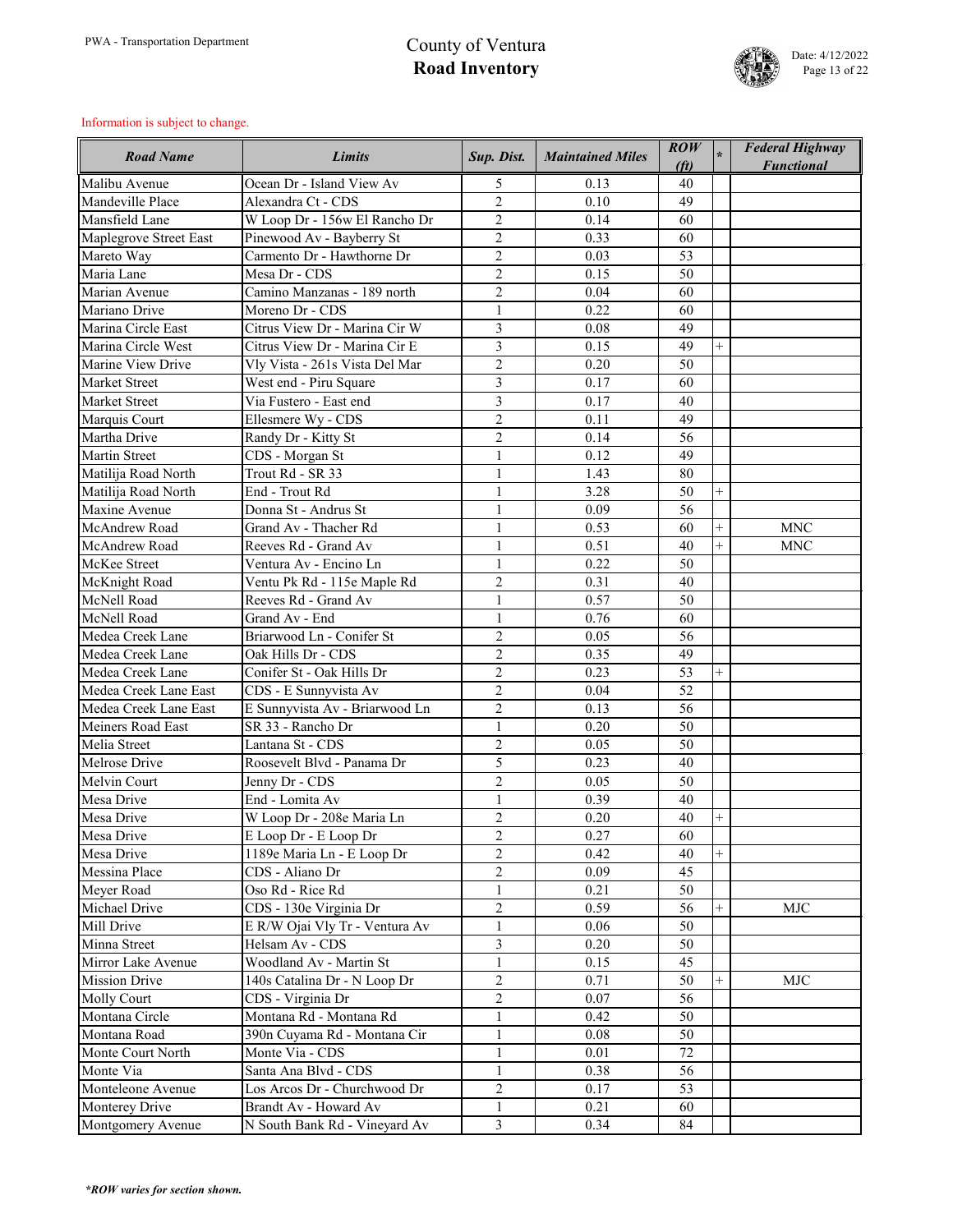

| <b>Road Name</b>         | <b>Limits</b>                  | Sup. Dist.     | <b>Maintained Miles</b> | $\mathbf{ROW}$<br>(f <sub>t</sub> ) | $\star$ | <b>Federal Highway</b><br><b>Functional</b> |
|--------------------------|--------------------------------|----------------|-------------------------|-------------------------------------|---------|---------------------------------------------|
| Malibu Avenue            | Ocean Dr - Island View Av      | 5              | 0.13                    | 40                                  |         |                                             |
| Mandeville Place         | Alexandra Ct - CDS             | $\overline{2}$ | 0.10                    | 49                                  |         |                                             |
| Mansfield Lane           | W Loop Dr - 156w El Rancho Dr  | $\overline{2}$ | 0.14                    | 60                                  |         |                                             |
| Maplegrove Street East   | Pinewood Av - Bayberry St      | $\overline{2}$ | 0.33                    | 60                                  |         |                                             |
| Mareto Way               | Carmento Dr - Hawthorne Dr     | $\overline{2}$ | 0.03                    | 53                                  |         |                                             |
| Maria Lane               | Mesa Dr - CDS                  | $\overline{2}$ | 0.15                    | 50                                  |         |                                             |
| Marian Avenue            | Camino Manzanas - 189 north    | $\overline{2}$ | 0.04                    | 60                                  |         |                                             |
| Mariano Drive            | Moreno Dr - CDS                |                | 0.22                    | 60                                  |         |                                             |
| Marina Circle East       | Citrus View Dr - Marina Cir W  | 3              | 0.08                    | 49                                  |         |                                             |
| Marina Circle West       | Citrus View Dr - Marina Cir E  | 3              | 0.15                    | 49                                  | $^{+}$  |                                             |
| Marine View Drive        | Vly Vista - 261s Vista Del Mar | $\overline{2}$ | 0.20                    | 50                                  |         |                                             |
| <b>Market Street</b>     | West end - Piru Square         | 3              | 0.17                    | 60                                  |         |                                             |
| <b>Market Street</b>     | Via Fustero - East end         | 3              | 0.17                    | 40                                  |         |                                             |
| Marquis Court            | Ellesmere Wy - CDS             | $\overline{2}$ | 0.11                    | 49                                  |         |                                             |
| Martha Drive             | Randy Dr - Kitty St            | $\overline{2}$ | 0.14                    | 56                                  |         |                                             |
| <b>Martin Street</b>     | CDS - Morgan St                | $\mathbf{1}$   | 0.12                    | 49                                  |         |                                             |
| Matilija Road North      | Trout Rd - SR 33               | 1              | 1.43                    | 80                                  |         |                                             |
| Matilija Road North      | End - Trout Rd                 | $\mathbf{1}$   | 3.28                    | 50                                  | $^{+}$  |                                             |
| Maxine Avenue            | Donna St - Andrus St           | 1              | 0.09                    | 56                                  |         |                                             |
| McAndrew Road            | Grand Av - Thacher Rd          | $\mathbf{1}$   | 0.53                    | 60                                  | $^{+}$  | <b>MNC</b>                                  |
| <b>McAndrew Road</b>     | Reeves Rd - Grand Av           | $\mathbf{1}$   | 0.51                    | 40                                  | $^{+}$  | <b>MNC</b>                                  |
| McKee Street             | Ventura Av - Encino Ln         | $\mathbf{1}$   | 0.22                    | 50                                  |         |                                             |
| McKnight Road            | Ventu Pk Rd - 115e Maple Rd    | $\overline{2}$ | 0.31                    | 40                                  |         |                                             |
| McNell Road              | Reeves Rd - Grand Av           | 1              | 0.57                    | 50                                  |         |                                             |
| McNell Road              | Grand Av - End                 | $\mathbf{1}$   | 0.76                    | 60                                  |         |                                             |
| Medea Creek Lane         | Briarwood Ln - Conifer St      | $\overline{2}$ | 0.05                    | 56                                  |         |                                             |
| Medea Creek Lane         | Oak Hills Dr - CDS             | $\overline{2}$ | 0.35                    | 49                                  |         |                                             |
| Medea Creek Lane         | Conifer St - Oak Hills Dr      | $\overline{2}$ | 0.23                    | 53                                  | $+$     |                                             |
| Medea Creek Lane East    | CDS - E Sunnyvista Av          | $\overline{2}$ | 0.04                    | 52                                  |         |                                             |
| Medea Creek Lane East    | E Sunnyvista Av - Briarwood Ln | $\overline{2}$ | 0.13                    | 56                                  |         |                                             |
| <b>Meiners Road East</b> | SR 33 - Rancho Dr              | $\mathbf{1}$   | 0.20                    | 50                                  |         |                                             |
| Melia Street             | Lantana St - CDS               | $\overline{2}$ | 0.05                    | 50                                  |         |                                             |
| Melrose Drive            | Roosevelt Blvd - Panama Dr     | 5              | 0.23                    | 40                                  |         |                                             |
| Melvin Court             | Jenny Dr - CDS                 | $\overline{2}$ | 0.05                    | 50                                  |         |                                             |
| Mesa Drive               | End - Lomita Av                | $\mathbf{1}$   | 0.39                    | 40                                  |         |                                             |
| Mesa Drive               | W Loop Dr - 208e Maria Ln      | $\overline{2}$ | 0.20                    | 40                                  | $^{+}$  |                                             |
| Mesa Drive               | E Loop Dr - E Loop Dr          | $\overline{2}$ | 0.27                    | 60                                  |         |                                             |
| Mesa Drive               | 1189e Maria Ln - E Loop Dr     | $\overline{2}$ | 0.42                    | 40                                  |         |                                             |
| Messina Place            | CDS - Aliano Dr                | $\overline{2}$ | 0.09                    | 45                                  |         |                                             |
| Meyer Road               | Oso Rd - Rice Rd               | $\mathbf{1}$   | 0.21                    | 50                                  |         |                                             |
| Michael Drive            | CDS - 130e Virginia Dr         | $\overline{2}$ | 0.59                    | 56                                  | $^{+}$  | <b>MJC</b>                                  |
| Mill Drive               | E R/W Ojai Vly Tr - Ventura Av | $\mathbf{1}$   | 0.06                    | 50                                  |         |                                             |
| Minna Street             | Helsam Av - CDS                | $\overline{3}$ | 0.20                    | 50                                  |         |                                             |
| Mirror Lake Avenue       | Woodland Av - Martin St        | $\mathbf{1}$   | 0.15                    | 45                                  |         |                                             |
| Mission Drive            | 140s Catalina Dr - N Loop Dr   | $\overline{2}$ | 0.71                    | 50                                  | $^{+}$  | <b>MJC</b>                                  |
| <b>Molly Court</b>       | CDS - Virginia Dr              | $\overline{2}$ | 0.07                    | 56                                  |         |                                             |
| Montana Circle           | Montana Rd - Montana Rd        |                | 0.42                    | 50                                  |         |                                             |
| Montana Road             | 390n Cuyama Rd - Montana Cir   | $\mathbf{1}$   | 0.08                    | 50                                  |         |                                             |
| Monte Court North        | Monte Via - CDS                | $\mathbf{1}$   | 0.01                    | 72                                  |         |                                             |
| Monte Via                | Santa Ana Blvd - CDS           | $\mathbf{1}$   | 0.38                    | 56                                  |         |                                             |
| Monteleone Avenue        | Los Arcos Dr - Churchwood Dr   | $\overline{2}$ | 0.17                    | 53                                  |         |                                             |
| Monterey Drive           | Brandt Av - Howard Av          | $\mathbf{1}$   | 0.21                    | 60                                  |         |                                             |
| Montgomery Avenue        | N South Bank Rd - Vineyard Av  | $\overline{3}$ | 0.34                    | 84                                  |         |                                             |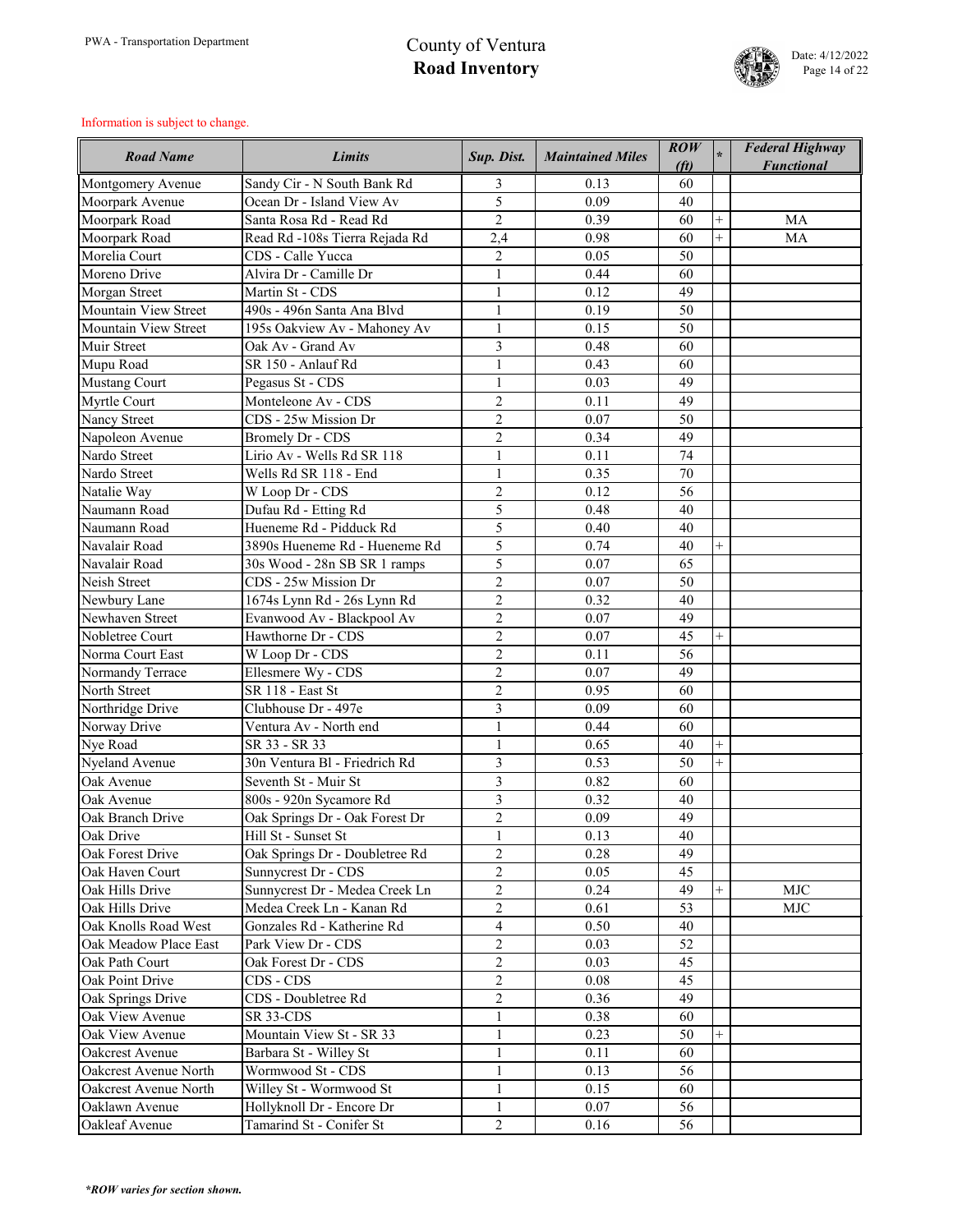

| <b>Road Name</b>            | <b>Limits</b>                  | Sup. Dist.     | <b>Maintained Miles</b> | $\mathbf{ROW}$<br>(f <sub>t</sub> ) |                | <b>Federal Highway</b><br><b>Functional</b> |
|-----------------------------|--------------------------------|----------------|-------------------------|-------------------------------------|----------------|---------------------------------------------|
| Montgomery Avenue           | Sandy Cir - N South Bank Rd    | 3              | 0.13                    | 60                                  |                |                                             |
| Moorpark Avenue             | Ocean Dr - Island View Av      | 5              | 0.09                    | 40                                  |                |                                             |
| Moorpark Road               | Santa Rosa Rd - Read Rd        | $\overline{2}$ | 0.39                    | 60                                  | $\overline{+}$ | <b>MA</b>                                   |
| Moorpark Road               | Read Rd -108s Tierra Rejada Rd | 2,4            | 0.98                    | 60                                  | $\overline{+}$ | <b>MA</b>                                   |
| Morelia Court               | CDS - Calle Yucca              | $\overline{2}$ | 0.05                    | 50                                  |                |                                             |
| Moreno Drive                | Alvira Dr - Camille Dr         | $\mathbf{1}$   | 0.44                    | 60                                  |                |                                             |
| Morgan Street               | Martin St - CDS                | $\mathbf{1}$   | 0.12                    | 49                                  |                |                                             |
| <b>Mountain View Street</b> | 490s - 496n Santa Ana Blvd     |                | 0.19                    | 50                                  |                |                                             |
| Mountain View Street        | 195s Oakview Av - Mahoney Av   |                | 0.15                    | 50                                  |                |                                             |
| Muir Street                 | Oak Av - Grand Av              | 3              | 0.48                    | 60                                  |                |                                             |
| Mupu Road                   | SR 150 - Anlauf Rd             | $\mathbf{1}$   | 0.43                    | 60                                  |                |                                             |
| <b>Mustang Court</b>        | Pegasus St - CDS               |                | 0.03                    | 49                                  |                |                                             |
| Myrtle Court                | Monteleone Av - CDS            | $\overline{2}$ | 0.11                    | 49                                  |                |                                             |
| <b>Nancy Street</b>         | CDS - 25w Mission Dr           | $\overline{2}$ | 0.07                    | 50                                  |                |                                             |
| Napoleon Avenue             | <b>Bromely Dr - CDS</b>        | $\overline{2}$ | 0.34                    | 49                                  |                |                                             |
| Nardo Street                | Lirio Av - Wells Rd SR 118     | 1              | 0.11                    | 74                                  |                |                                             |
| Nardo Street                | Wells Rd SR 118 - End          | $\mathbf{1}$   | 0.35                    | 70                                  |                |                                             |
| Natalie Way                 | W Loop Dr - CDS                | $\overline{2}$ | 0.12                    | 56                                  |                |                                             |
| Naumann Road                | Dufau Rd - Etting Rd           | 5              | 0.48                    | 40                                  |                |                                             |
| Naumann Road                | Hueneme Rd - Pidduck Rd        | 5              | 0.40                    | 40                                  |                |                                             |
| Navalair Road               | 3890s Hueneme Rd - Hueneme Rd  | 5              | 0.74                    | 40                                  | $^{+}$         |                                             |
| Navalair Road               | 30s Wood - 28n SB SR 1 ramps   | 5              | 0.07                    | 65                                  |                |                                             |
| Neish Street                | CDS - 25w Mission Dr           | $\overline{2}$ | 0.07                    | 50                                  |                |                                             |
| Newbury Lane                | 1674s Lynn Rd - 26s Lynn Rd    | $\overline{2}$ | 0.32                    | 40                                  |                |                                             |
| Newhaven Street             | Evanwood Av - Blackpool Av     | $\overline{2}$ | 0.07                    | 49                                  |                |                                             |
| Nobletree Court             | Hawthorne Dr - CDS             | $\overline{2}$ | 0.07                    | 45                                  | $^{+}$         |                                             |
| Norma Court East            | W Loop Dr - CDS                | $\overline{2}$ | 0.11                    | 56                                  |                |                                             |
| Normandy Terrace            | Ellesmere Wy - CDS             | $\overline{2}$ | 0.07                    | 49                                  |                |                                             |
| North Street                | <b>SR 118 - East St</b>        | $\overline{2}$ | 0.95                    | 60                                  |                |                                             |
| Northridge Drive            | Clubhouse Dr - 497e            | 3              | 0.09                    | 60                                  |                |                                             |
| Norway Drive                | Ventura Av - North end         |                | 0.44                    | 60                                  |                |                                             |
| Nye Road                    | SR 33 - SR 33                  |                | 0.65                    | 40                                  | $^{+}$         |                                             |
| Nyeland Avenue              | 30n Ventura Bl - Friedrich Rd  | $\overline{3}$ | 0.53                    | 50                                  | $^{+}$         |                                             |
| Oak Avenue                  | Seventh St - Muir St           | 3              | 0.82                    | 60                                  |                |                                             |
| Oak Avenue                  | 800s - 920n Sycamore Rd        | $\overline{3}$ | 0.32                    | 40                                  |                |                                             |
| Oak Branch Drive            | Oak Springs Dr - Oak Forest Dr | $\overline{2}$ | 0.09                    | 49                                  |                |                                             |
| Oak Drive                   | Hill St - Sunset St            | $\mathbf{1}$   | 0.13                    | 40                                  |                |                                             |
| Oak Forest Drive            | Oak Springs Dr - Doubletree Rd | $\overline{2}$ | 0.28                    | 49                                  |                |                                             |
| Oak Haven Court             | Sunnycrest Dr - CDS            | $\overline{2}$ | 0.05                    | 45                                  |                |                                             |
| Oak Hills Drive             | Sunnycrest Dr - Medea Creek Ln | $\overline{2}$ | 0.24                    | 49                                  | $^{+}$         | <b>MJC</b>                                  |
| Oak Hills Drive             | Medea Creek Ln - Kanan Rd      | $\overline{2}$ | 0.61                    | 53                                  |                | <b>MJC</b>                                  |
| Oak Knolls Road West        | Gonzales Rd - Katherine Rd     | $\overline{4}$ | 0.50                    | 40                                  |                |                                             |
| Oak Meadow Place East       | Park View Dr - CDS             | $\overline{2}$ | 0.03                    | 52                                  |                |                                             |
| Oak Path Court              | Oak Forest Dr - CDS            | $\overline{2}$ | 0.03                    | 45                                  |                |                                             |
| Oak Point Drive             | CDS - CDS                      | $\overline{2}$ | 0.08                    | 45                                  |                |                                             |
| Oak Springs Drive           | CDS - Doubletree Rd            | $\overline{2}$ | 0.36                    | 49                                  |                |                                             |
| Oak View Avenue             | SR 33-CDS                      | $\mathbf{1}$   | 0.38                    | 60                                  |                |                                             |
| Oak View Avenue             | Mountain View St - SR 33       | $\mathbf{1}$   | 0.23                    | 50                                  | $^{+}$         |                                             |
| Oakcrest Avenue             | Barbara St - Willey St         | $\mathbf{1}$   | 0.11                    | 60                                  |                |                                             |
| Oakcrest Avenue North       | Wormwood St - CDS              | $\mathbf{1}$   | 0.13                    | 56                                  |                |                                             |
| Oakcrest Avenue North       | Willey St - Wormwood St        | $\mathbf{1}$   | 0.15                    | 60                                  |                |                                             |
| Oaklawn Avenue              | Hollyknoll Dr - Encore Dr      | $\mathbf{1}$   | 0.07                    | 56                                  |                |                                             |
| Oakleaf Avenue              | Tamarind St - Conifer St       | $\overline{2}$ | 0.16                    | 56                                  |                |                                             |
|                             |                                |                |                         |                                     |                |                                             |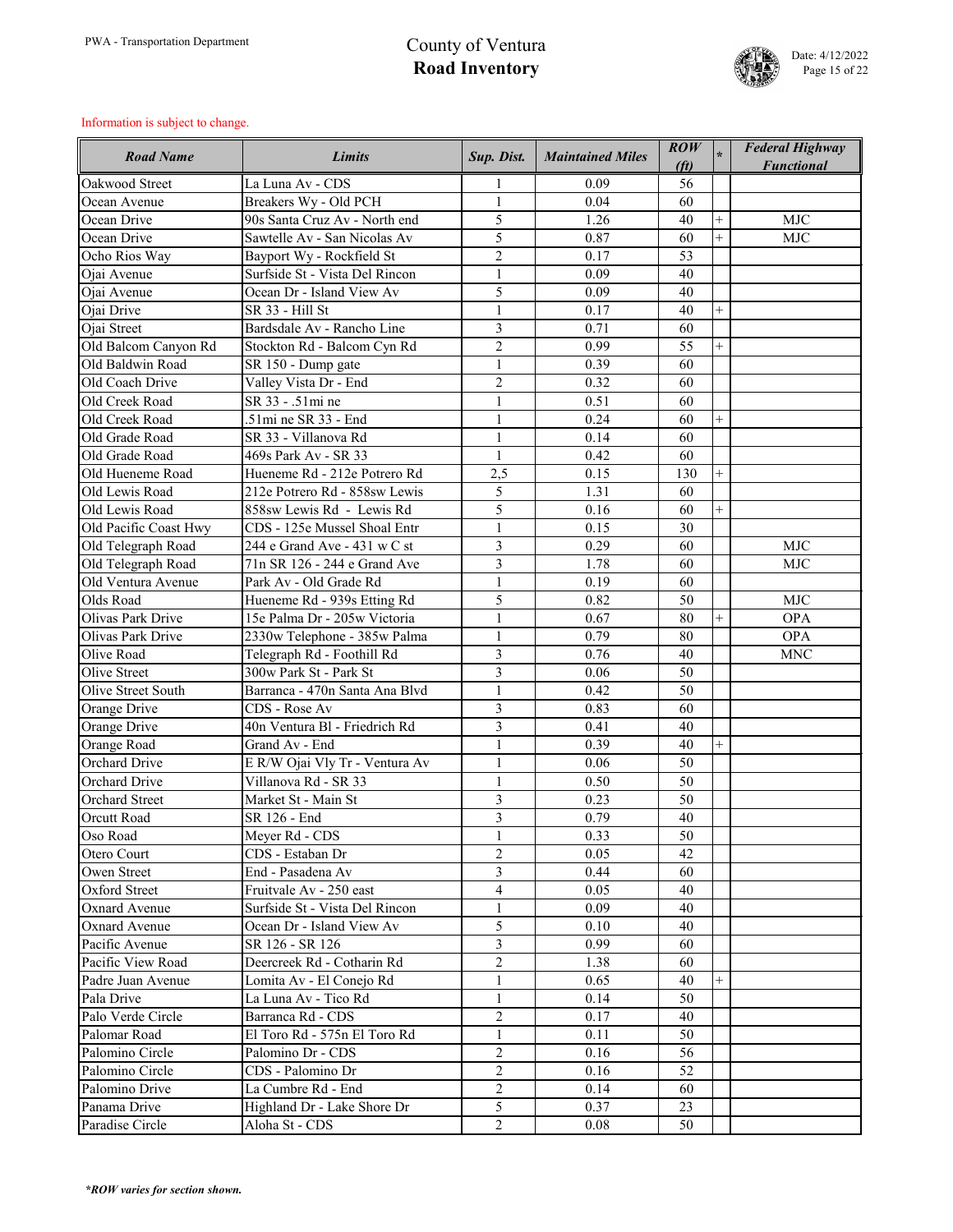

| <b>Road Name</b>          | <b>Limits</b>                  | Sup. Dist.     | <b>Maintained Miles</b> | $\mathbf{ROW}$<br>(f <sub>t</sub> ) |                | <b>Federal Highway</b><br><b>Functional</b> |
|---------------------------|--------------------------------|----------------|-------------------------|-------------------------------------|----------------|---------------------------------------------|
| Oakwood Street            | La Luna Av - CDS               |                | 0.09                    | 56                                  |                |                                             |
| Ocean Avenue              | Breakers Wy - Old PCH          | $\mathbf{1}$   | 0.04                    | 60                                  |                |                                             |
| Ocean Drive               | 90s Santa Cruz Av - North end  | 5              | 1.26                    | 40                                  | $^{+}$         | <b>MJC</b>                                  |
| Ocean Drive               | Sawtelle Av - San Nicolas Av   | 5              | 0.87                    | 60                                  | $\overline{+}$ | <b>MJC</b>                                  |
| Ocho Rios Way             | Bayport Wy - Rockfield St      | $\overline{2}$ | 0.17                    | 53                                  |                |                                             |
| Ojai Avenue               | Surfside St - Vista Del Rincon | $\mathbf{1}$   | 0.09                    | 40                                  |                |                                             |
| Ojai Avenue               | Ocean Dr - Island View Av      | 5              | 0.09                    | 40                                  |                |                                             |
| Ojai Drive                | SR 33 - Hill St                | $\mathbf{1}$   | 0.17                    | 40                                  | $^{+}$         |                                             |
| Ojai Street               | Bardsdale Av - Rancho Line     | $\overline{3}$ | 0.71                    | 60                                  |                |                                             |
| Old Balcom Canyon Rd      | Stockton Rd - Balcom Cyn Rd    | $\overline{2}$ | 0.99                    | 55                                  | $^{+}$         |                                             |
| Old Baldwin Road          | SR 150 - Dump gate             | $\mathbf{1}$   | 0.39                    | 60                                  |                |                                             |
| Old Coach Drive           | Valley Vista Dr - End          | $\overline{2}$ | 0.32                    | 60                                  |                |                                             |
| Old Creek Road            | SR 33 - .51mi ne               | $\mathbf{1}$   | 0.51                    | 60                                  |                |                                             |
| Old Creek Road            | .51mi ne SR 33 - End           | $\mathbf{1}$   | 0.24                    | 60                                  | $^{+}$         |                                             |
| Old Grade Road            | SR 33 - Villanova Rd           | $\mathbf{1}$   | 0.14                    | 60                                  |                |                                             |
| Old Grade Road            | 469s Park Av - SR 33           | $\mathbf{1}$   | 0.42                    | 60                                  |                |                                             |
| Old Hueneme Road          | Hueneme Rd - 212e Potrero Rd   | 2,5            | 0.15                    | 130                                 | $^{+}$         |                                             |
| Old Lewis Road            | 212e Potrero Rd - 858sw Lewis  | 5              | 1.31                    | 60                                  |                |                                             |
| Old Lewis Road            | 858sw Lewis Rd - Lewis Rd      | 5              | 0.16                    | 60                                  | $+$            |                                             |
| Old Pacific Coast Hwy     | CDS - 125e Mussel Shoal Entr   | $\mathbf{1}$   | 0.15                    | 30                                  |                |                                             |
| Old Telegraph Road        | 244 e Grand Ave - 431 w C st   | $\overline{3}$ | 0.29                    | 60                                  |                | <b>MJC</b>                                  |
| Old Telegraph Road        | 71n SR 126 - 244 e Grand Ave   | $\overline{3}$ | 1.78                    | 60                                  |                | <b>MJC</b>                                  |
| Old Ventura Avenue        | Park Av - Old Grade Rd         | $\mathbf{1}$   | 0.19                    | 60                                  |                |                                             |
| Olds Road                 | Hueneme Rd - 939s Etting Rd    | 5              | 0.82                    | 50                                  |                | <b>MJC</b>                                  |
| Olivas Park Drive         | 15e Palma Dr - 205w Victoria   | $\mathbf{1}$   | 0.67                    | 80                                  | $^{+}$         | <b>OPA</b>                                  |
| Olivas Park Drive         | 2330w Telephone - 385w Palma   |                | 0.79                    | 80                                  |                | <b>OPA</b>                                  |
| Olive Road                | Telegraph Rd - Foothill Rd     | 3              | 0.76                    | 40                                  |                | <b>MNC</b>                                  |
| Olive Street              | 300w Park St - Park St         | $\overline{3}$ | 0.06                    | 50                                  |                |                                             |
| <b>Olive Street South</b> | Barranca - 470n Santa Ana Blvd |                | 0.42                    | 50                                  |                |                                             |
| Orange Drive              | CDS - Rose Av                  | $\overline{3}$ | 0.83                    | 60                                  |                |                                             |
| Orange Drive              | 40n Ventura Bl - Friedrich Rd  | $\overline{3}$ | 0.41                    | 40                                  |                |                                             |
| Orange Road               | Grand Av - End                 |                | 0.39                    | 40                                  |                |                                             |
| <b>Orchard Drive</b>      | E R/W Ojai Vly Tr - Ventura Av | $\mathbf{1}$   | 0.06                    | 50                                  |                |                                             |
| <b>Orchard Drive</b>      | Villanova Rd - SR 33           |                | 0.50                    | 50                                  |                |                                             |
| <b>Orchard Street</b>     | Market St - Main St            | $\overline{3}$ | 0.23                    | 50                                  |                |                                             |
| <b>Orcutt Road</b>        | SR 126 - End                   | 3              | 0.79                    | 40                                  |                |                                             |
| Oso Road                  | Meyer Rd - CDS                 |                | 0.33                    | 50                                  |                |                                             |
| Otero Court               | CDS - Estaban Dr               | $\overline{2}$ | 0.05                    | 42                                  |                |                                             |
| Owen Street               | End - Pasadena Av              | $\overline{3}$ | 0.44                    | 60                                  |                |                                             |
| Oxford Street             | Fruitvale Av - 250 east        | $\overline{4}$ | 0.05                    | 40                                  |                |                                             |
| <b>Oxnard Avenue</b>      | Surfside St - Vista Del Rincon |                | 0.09                    | 40                                  |                |                                             |
| <b>Oxnard Avenue</b>      | Ocean Dr - Island View Av      | 5              | 0.10                    | 40                                  |                |                                             |
| Pacific Avenue            | SR 126 - SR 126                | $\overline{3}$ | 0.99                    | 60                                  |                |                                             |
| Pacific View Road         | Deercreek Rd - Cotharin Rd     | $\overline{2}$ | 1.38                    | 60                                  |                |                                             |
| Padre Juan Avenue         | Lomita Av - El Conejo Rd       | $\mathbf{1}$   | 0.65                    | 40                                  |                |                                             |
| Pala Drive                | La Luna Av - Tico Rd           | $\mathbf{1}$   | 0.14                    | 50                                  |                |                                             |
| Palo Verde Circle         | Barranca Rd - CDS              | $\overline{2}$ | 0.17                    | 40                                  |                |                                             |
| Palomar Road              | El Toro Rd - 575n El Toro Rd   | $\mathbf{1}$   | 0.11                    | 50                                  |                |                                             |
| Palomino Circle           | Palomino Dr - CDS              | $\overline{2}$ | 0.16                    | 56                                  |                |                                             |
| Palomino Circle           | CDS - Palomino Dr              | $\overline{2}$ | 0.16                    | 52                                  |                |                                             |
| Palomino Drive            | La Cumbre Rd - End             | $\overline{2}$ | 0.14                    | 60                                  |                |                                             |
| Panama Drive              | Highland Dr - Lake Shore Dr    | 5              | 0.37                    | 23                                  |                |                                             |
| Paradise Circle           | Aloha St - CDS                 | $\overline{2}$ | 0.08                    | 50                                  |                |                                             |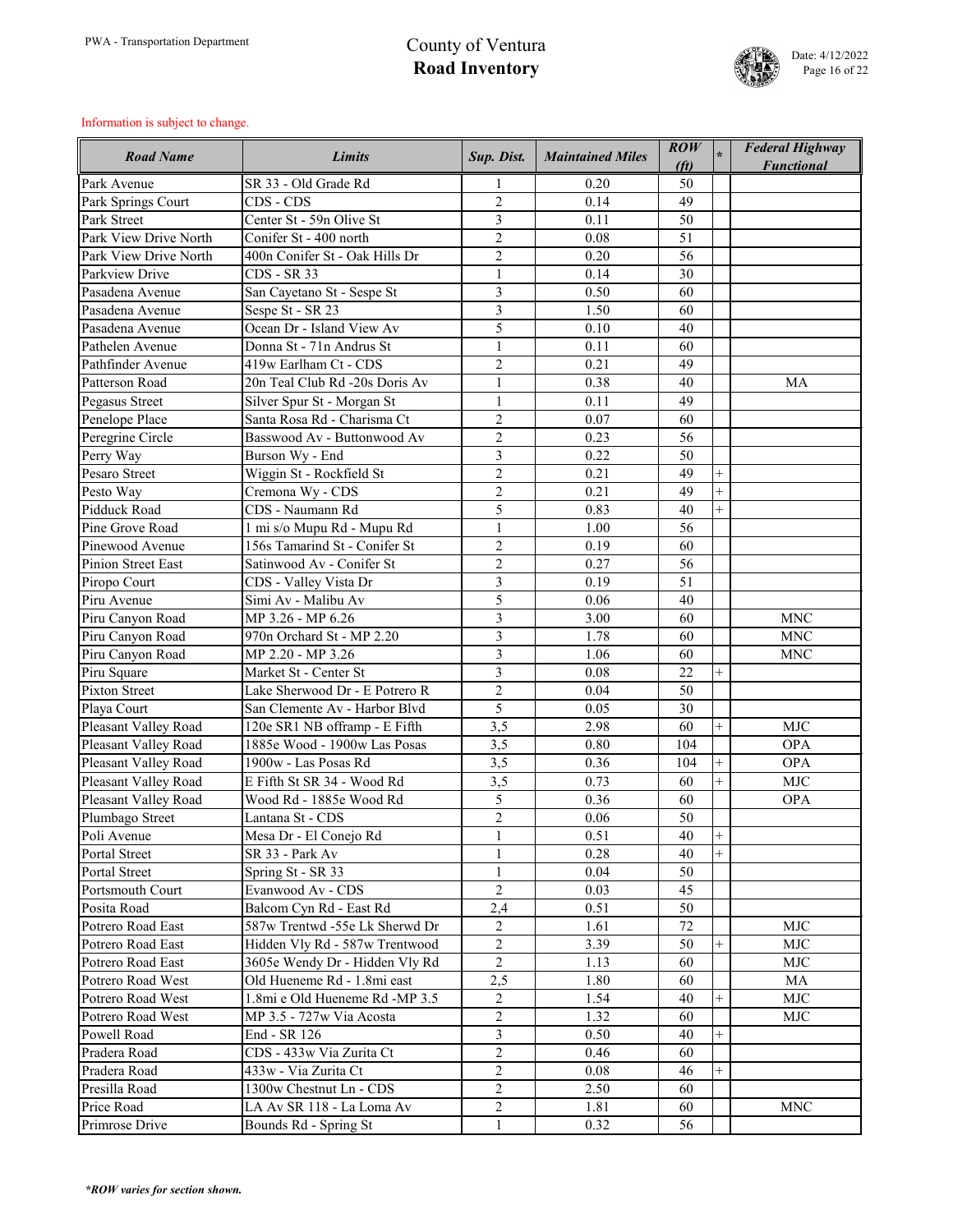

| <b>Road Name</b>          | <b>Limits</b>                  | Sup. Dist.                     | <b>Maintained Miles</b> | $\overline{ROW}$<br>(f <sub>t</sub> ) |                | <b>Federal Highway</b><br><b>Functional</b> |
|---------------------------|--------------------------------|--------------------------------|-------------------------|---------------------------------------|----------------|---------------------------------------------|
| Park Avenue               | SR 33 - Old Grade Rd           |                                | 0.20                    | 50                                    |                |                                             |
| Park Springs Court        | CDS - CDS                      | $\overline{2}$                 | 0.14                    | 49                                    |                |                                             |
| <b>Park Street</b>        | Center St - 59n Olive St       | 3                              | 0.11                    | 50                                    |                |                                             |
| Park View Drive North     | Conifer St - 400 north         | $\overline{2}$                 | 0.08                    | 51                                    |                |                                             |
| Park View Drive North     | 400n Conifer St - Oak Hills Dr | $\overline{2}$                 | 0.20                    | 56                                    |                |                                             |
| Parkview Drive            | <b>CDS</b> - SR 33             | $\mathbf{1}$                   | 0.14                    | 30                                    |                |                                             |
| Pasadena Avenue           | San Cayetano St - Sespe St     | 3                              | 0.50                    | 60                                    |                |                                             |
| Pasadena Avenue           | Sespe St - SR 23               | 3                              | 1.50                    | 60                                    |                |                                             |
| Pasadena Avenue           | Ocean Dr - Island View Av      | 5                              | 0.10                    | 40                                    |                |                                             |
| Pathelen Avenue           | Donna St - 71n Andrus St       | $\mathbf{1}$                   | 0.11                    | 60                                    |                |                                             |
| Pathfinder Avenue         | 419w Earlham Ct - CDS          | $\overline{2}$                 | 0.21                    | 49                                    |                |                                             |
| Patterson Road            | 20n Teal Club Rd -20s Doris Av | $\mathbf{1}$                   | 0.38                    | 40                                    |                | MA                                          |
| Pegasus Street            | Silver Spur St - Morgan St     | $\mathbf{1}$                   | 0.11                    | 49                                    |                |                                             |
| Penelope Place            | Santa Rosa Rd - Charisma Ct    | $\overline{2}$                 | 0.07                    | 60                                    |                |                                             |
| Peregrine Circle          | Basswood Av - Buttonwood Av    | $\overline{2}$                 | 0.23                    | 56                                    |                |                                             |
| Perry Way                 | Burson Wy - End                | 3                              | 0.22                    | 50                                    |                |                                             |
| Pesaro Street             | Wiggin St - Rockfield St       | $\overline{2}$                 | 0.21                    | 49                                    | $^{+}$         |                                             |
| Pesto Way                 | Cremona Wy - CDS               | $\sqrt{2}$                     | 0.21                    | 49                                    | $\ddot{}$      |                                             |
| Pidduck Road              | CDS - Naumann Rd               | 5                              | 0.83                    | 40                                    | $\overline{+}$ |                                             |
| Pine Grove Road           | 1 mi s/o Mupu Rd - Mupu Rd     | $\mathbf{1}$                   | 1.00                    | 56                                    |                |                                             |
| Pinewood Avenue           | 156s Tamarind St - Conifer St  | $\overline{2}$                 | 0.19                    | 60                                    |                |                                             |
| <b>Pinion Street East</b> | Satinwood Av - Conifer St      | $\overline{2}$                 | 0.27                    | 56                                    |                |                                             |
| Piropo Court              | CDS - Valley Vista Dr          | 3                              | 0.19                    | 51                                    |                |                                             |
| Piru Avenue               | Simi Av - Malibu Av            | 5                              | 0.06                    | 40                                    |                |                                             |
| Piru Canyon Road          | MP 3.26 - MP 6.26              | 3                              | 3.00                    | 60                                    |                | <b>MNC</b>                                  |
| Piru Canyon Road          | 970n Orchard St - MP 2.20      | 3                              | 1.78                    | 60                                    |                | <b>MNC</b>                                  |
| Piru Canyon Road          | MP 2.20 - MP 3.26              | 3                              | 1.06                    | 60                                    |                | <b>MNC</b>                                  |
| Piru Square               | Market St - Center St          | $\overline{3}$                 | 0.08                    | 22                                    | $+$            |                                             |
| <b>Pixton Street</b>      | Lake Sherwood Dr - E Potrero R | $\overline{2}$                 | 0.04                    | 50                                    |                |                                             |
| Playa Court               | San Clemente Av - Harbor Blvd  | 5                              | 0.05                    | 30                                    |                |                                             |
| Pleasant Valley Road      | 120e SR1 NB offramp - E Fifth  | 3,5                            | 2.98                    | 60                                    | $^{+}$         | <b>MJC</b>                                  |
| Pleasant Valley Road      | 1885e Wood - 1900w Las Posas   | 3,5                            | 0.80                    | 104                                   |                | <b>OPA</b>                                  |
| Pleasant Valley Road      | 1900w - Las Posas Rd           | 3,5                            | 0.36                    | 104                                   | $^{+}$         | <b>OPA</b>                                  |
| Pleasant Valley Road      | E Fifth St SR 34 - Wood Rd     | 3,5                            | 0.73                    | 60                                    | $^{+}$         | <b>MJC</b>                                  |
| Pleasant Valley Road      | Wood Rd - 1885e Wood Rd        | 5                              | 0.36                    | 60                                    |                | <b>OPA</b>                                  |
| Plumbago Street           | Lantana St - CDS               | $\overline{2}$                 | 0.06                    | 50                                    |                |                                             |
| Poli Avenue               | Mesa Dr - El Conejo Rd         | $\mathbf{1}$                   | 0.51                    | 40                                    | $^{+}$         |                                             |
| Portal Street             | SR 33 - Park Av                | $\mathbf{1}$                   | 0.28                    | 40                                    | $^{+}$         |                                             |
| Portal Street             | Spring St - SR 33              | $\mathbf{1}$                   | 0.04                    | 50                                    |                |                                             |
| <b>Portsmouth Court</b>   | Evanwood Av - CDS              | $\overline{2}$                 | 0.03                    | 45                                    |                |                                             |
| Posita Road               | Balcom Cyn Rd - East Rd        | 2,4                            | 0.51                    | 50                                    |                |                                             |
| Potrero Road East         | 587w Trentwd -55e Lk Sherwd Dr | $\overline{2}$                 | 1.61                    | 72                                    |                | <b>MJC</b>                                  |
| Potrero Road East         | Hidden Vly Rd - 587w Trentwood | $\overline{2}$                 | 3.39                    | 50                                    | $^{+}$         | <b>MJC</b>                                  |
| Potrero Road East         | 3605e Wendy Dr - Hidden Vly Rd | $\overline{2}$                 | 1.13                    | 60                                    |                | <b>MJC</b>                                  |
| Potrero Road West         | Old Hueneme Rd - 1.8mi east    | 2,5                            | 1.80                    | 60                                    |                | <b>MA</b>                                   |
| Potrero Road West         | 1.8mi e Old Hueneme Rd -MP 3.5 | $\overline{2}$                 | 1.54                    | 40                                    | $+$            | <b>MJC</b>                                  |
| Potrero Road West         | MP 3.5 - 727w Via Acosta       | $\overline{2}$                 | 1.32                    | 60                                    |                | <b>MJC</b>                                  |
| Powell Road               | End - SR 126                   | $\overline{3}$                 | 0.50                    | 40                                    | $^{+}$         |                                             |
| Pradera Road              | CDS - 433w Via Zurita Ct       | $\overline{2}$                 | 0.46                    | 60                                    |                |                                             |
| Pradera Road              | 433w - Via Zurita Ct           | $\overline{2}$                 | 0.08                    | 46                                    | $^{+}$         |                                             |
| Presilla Road             | 1300w Chestnut Ln - CDS        | $\overline{2}$                 | 2.50                    | 60                                    |                |                                             |
| Price Road                | LA Av SR 118 - La Loma Av      |                                | 1.81                    | 60                                    |                | <b>MNC</b>                                  |
| Primrose Drive            | Bounds Rd - Spring St          | $\overline{2}$<br>$\mathbf{1}$ | 0.32                    | 56                                    |                |                                             |
|                           |                                |                                |                         |                                       |                |                                             |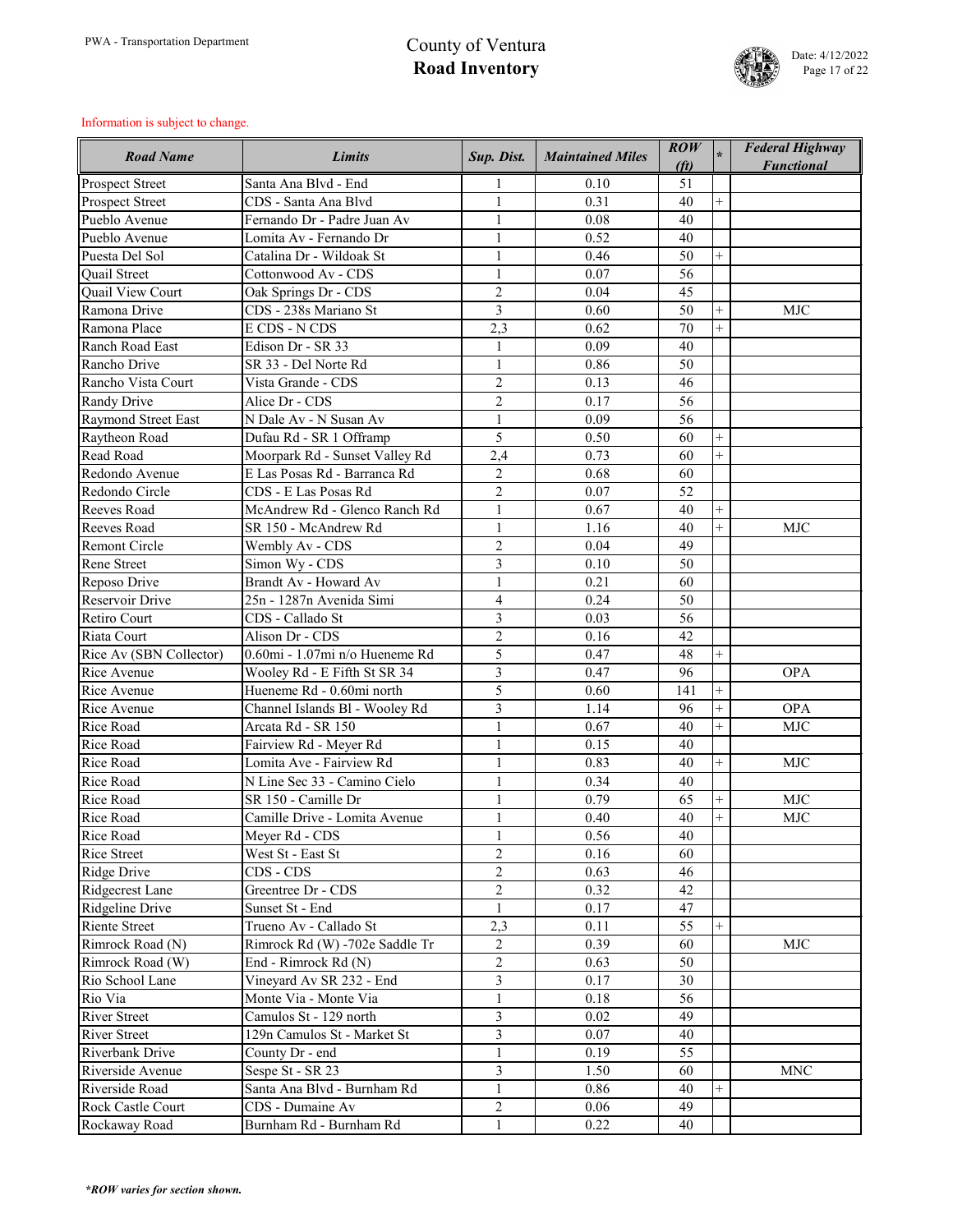

| <b>Road Name</b>           | <b>Limits</b>                  | Sup. Dist.     | <b>Maintained Miles</b> | ROW<br>(f <sub>t</sub> ) |           | <b>Federal Highway</b><br><b>Functional</b> |
|----------------------------|--------------------------------|----------------|-------------------------|--------------------------|-----------|---------------------------------------------|
| <b>Prospect Street</b>     | Santa Ana Blvd - End           |                | 0.10                    | 51                       |           |                                             |
| <b>Prospect Street</b>     | CDS - Santa Ana Blvd           |                | 0.31                    | 40                       |           |                                             |
| Pueblo Avenue              | Fernando Dr - Padre Juan Av    | $\mathbf{1}$   | 0.08                    | 40                       |           |                                             |
| Pueblo Avenue              | Lomita Av - Fernando Dr        | $\mathbf{1}$   | 0.52                    | 40                       |           |                                             |
| Puesta Del Sol             | Catalina Dr - Wildoak St       |                | 0.46                    | 50                       |           |                                             |
| <b>Ouail Street</b>        | Cottonwood Av - CDS            |                | 0.07                    | 56                       |           |                                             |
| <b>Quail View Court</b>    | Oak Springs Dr - CDS           | $\overline{2}$ | 0.04                    | 45                       |           |                                             |
| Ramona Drive               | CDS - 238s Mariano St          | 3              | 0.60                    | 50                       | $^{+}$    | <b>MJC</b>                                  |
| Ramona Place               | E CDS - N CDS                  | 2,3            | 0.62                    | 70                       |           |                                             |
| Ranch Road East            | Edison Dr - SR 33              |                | 0.09                    | 40                       |           |                                             |
| Rancho Drive               | SR 33 - Del Norte Rd           | $\mathbf{1}$   | 0.86                    | 50                       |           |                                             |
| Rancho Vista Court         | Vista Grande - CDS             | $\overline{2}$ | 0.13                    | 46                       |           |                                             |
| <b>Randy Drive</b>         | Alice Dr - CDS                 | $\overline{2}$ | 0.17                    | 56                       |           |                                             |
| <b>Raymond Street East</b> | N Dale Av - N Susan Av         | $\mathbf{1}$   | 0.09                    | 56                       |           |                                             |
| Raytheon Road              | Dufau Rd - SR 1 Offramp        | 5              | 0.50                    | 60                       |           |                                             |
| Read Road                  | Moorpark Rd - Sunset Valley Rd | 2,4            | 0.73                    | 60                       | $+$       |                                             |
| Redondo Avenue             | E Las Posas Rd - Barranca Rd   | $\overline{2}$ | 0.68                    | 60                       |           |                                             |
| Redondo Circle             | CDS - E Las Posas Rd           | $\overline{2}$ | 0.07                    | 52                       |           |                                             |
| <b>Reeves Road</b>         | McAndrew Rd - Glenco Ranch Rd  | $\mathbf{1}$   | 0.67                    | 40                       |           |                                             |
| Reeves Road                | SR 150 - McAndrew Rd           | $\mathbf{1}$   | 1.16                    | 40                       | $^{+}$    | <b>MJC</b>                                  |
| <b>Remont Circle</b>       | Wembly Av - CDS                | $\overline{2}$ | 0.04                    | 49                       |           |                                             |
| <b>Rene Street</b>         | Simon Wy - CDS                 | 3              | 0.10                    | 50                       |           |                                             |
| Reposo Drive               | Brandt Av - Howard Av          | $\mathbf{1}$   | 0.21                    | 60                       |           |                                             |
| <b>Reservoir Drive</b>     | 25n - 1287n Avenida Simi       | $\overline{4}$ | 0.24                    | 50                       |           |                                             |
| <b>Retiro Court</b>        | CDS - Callado St               | 3              | 0.03                    | 56                       |           |                                             |
| Riata Court                | Alison Dr - CDS                | $\overline{2}$ | 0.16                    | 42                       |           |                                             |
| Rice Av (SBN Collector)    | 0.60mi - 1.07mi n/o Hueneme Rd | 5              | 0.47                    | 48                       | $^{+}$    |                                             |
| Rice Avenue                | Wooley Rd - E Fifth St SR 34   | $\overline{3}$ | 0.47                    | 96                       |           | <b>OPA</b>                                  |
| Rice Avenue                | Hueneme Rd - 0.60mi north      | 5              | 0.60                    | 141                      |           |                                             |
| Rice Avenue                | Channel Islands B1 - Wooley Rd | 3              | 1.14                    | 96                       | $\ddot{}$ | <b>OPA</b>                                  |
| <b>Rice Road</b>           | Arcata Rd - SR 150             | $\mathbf{1}$   | 0.67                    | 40                       | $^{+}$    | <b>MJC</b>                                  |
| Rice Road                  | Fairview Rd - Meyer Rd         | $\mathbf{1}$   | 0.15                    | 40                       |           |                                             |
| Rice Road                  | Lomita Ave - Fairview Rd       | $\mathbf{1}$   | 0.83                    | 40                       | $^{+}$    | <b>MJC</b>                                  |
| Rice Road                  | N Line Sec 33 - Camino Cielo   | $\mathbf{1}$   | 0.34                    | 40                       |           |                                             |
| <b>Rice Road</b>           | SR 150 - Camille Dr            | $\mathbf{1}$   | 0.79                    | 65                       | $^{+}$    | <b>MJC</b>                                  |
| Rice Road                  | Camille Drive - Lomita Avenue  | $\mathbf{1}$   | 0.40                    | 40                       | $+$       | <b>MJC</b>                                  |
| Rice Road                  | Meyer Rd - CDS                 | $\mathbf{1}$   | 0.56                    | 40                       |           |                                             |
| <b>Rice Street</b>         | West St - East St              | $\overline{2}$ | 0.16                    | 60                       |           |                                             |
| <b>Ridge Drive</b>         | CDS - CDS                      | $\overline{2}$ | 0.63                    | 46                       |           |                                             |
| Ridgecrest Lane            | Greentree Dr - CDS             | $\overline{2}$ | 0.32                    | 42                       |           |                                             |
| Ridgeline Drive            | Sunset St - End                | $\mathbf{1}$   | 0.17                    | 47                       |           |                                             |
| <b>Riente Street</b>       | Trueno Av - Callado St         | 2,3            | 0.11                    | 55                       | $^{+}$    |                                             |
| Rimrock Road (N)           | Rimrock Rd (W) -702e Saddle Tr | $\overline{2}$ | 0.39                    | 60                       |           | <b>MJC</b>                                  |
| Rimrock Road (W)           | End - Rimrock Rd (N)           | $\overline{2}$ | 0.63                    | 50                       |           |                                             |
| Rio School Lane            | Vineyard Av SR 232 - End       | $\overline{3}$ | 0.17                    | 30                       |           |                                             |
| Rio Via                    | Monte Via - Monte Via          | $\mathbf{1}$   | 0.18                    | 56                       |           |                                             |
| <b>River Street</b>        | Camulos St - 129 north         | $\overline{3}$ | 0.02                    | 49                       |           |                                             |
| <b>River Street</b>        | 129n Camulos St - Market St    | $\overline{3}$ | 0.07                    | 40                       |           |                                             |
| <b>Riverbank Drive</b>     | County Dr - end                | $\mathbf{1}$   | 0.19                    | 55                       |           |                                             |
| Riverside Avenue           | Sespe St - SR 23               | $\overline{3}$ | 1.50                    | 60                       |           | <b>MNC</b>                                  |
| Riverside Road             | Santa Ana Blvd - Burnham Rd    | $\mathbf{1}$   | 0.86                    | 40                       |           |                                             |
| <b>Rock Castle Court</b>   | CDS - Dumaine Av               | $\overline{2}$ | 0.06                    | 49                       |           |                                             |
| Rockaway Road              | Burnham Rd - Burnham Rd        | $\mathbf{1}$   | 0.22                    | 40                       |           |                                             |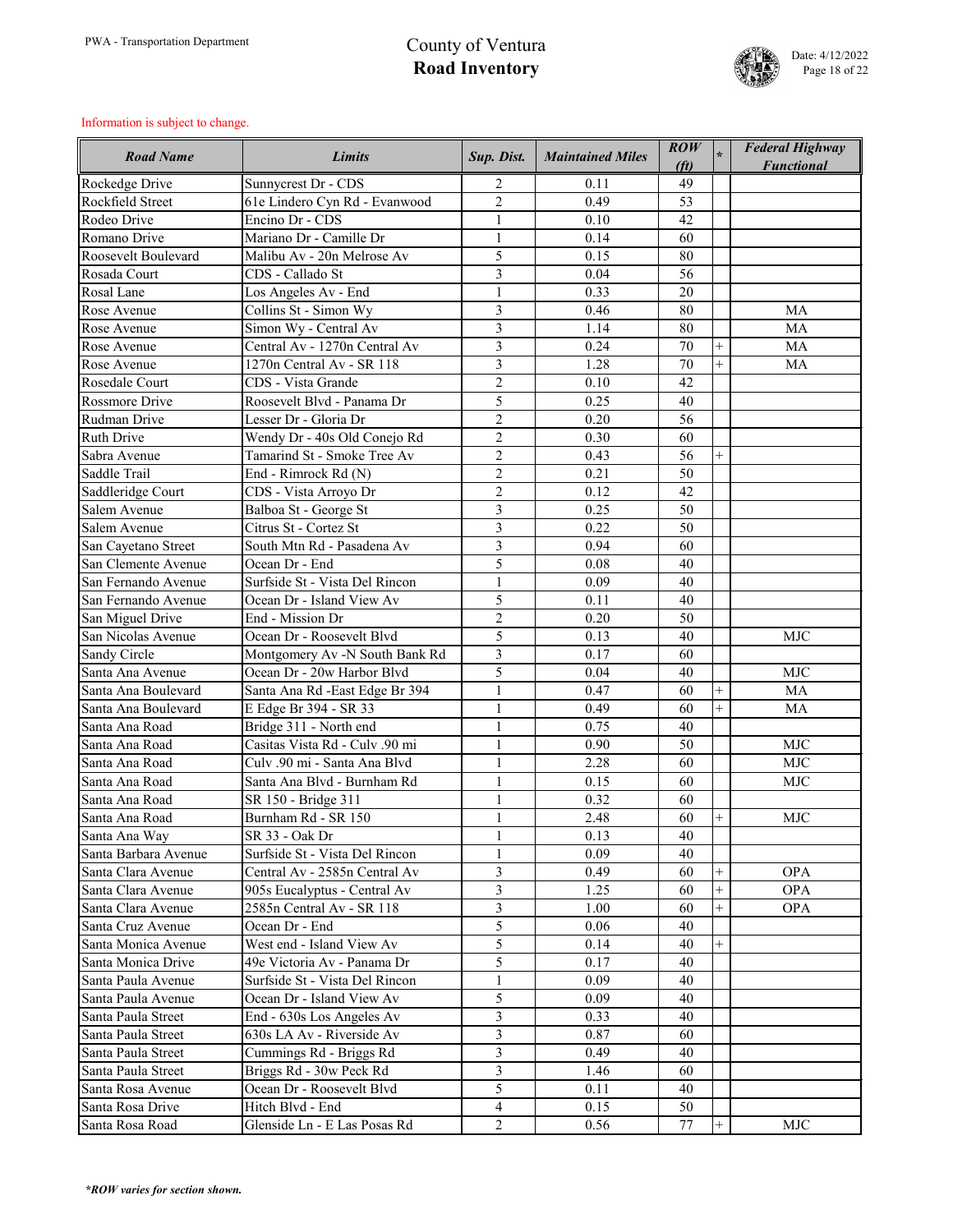

| <b>Road Name</b>                         | Limits                                                       | Sup. Dist.                       | <b>Maintained Miles</b> | $\mathbf{ROW}$<br>(f <sub>t</sub> ) |                | <b>Federal Highway</b><br><b>Functional</b> |
|------------------------------------------|--------------------------------------------------------------|----------------------------------|-------------------------|-------------------------------------|----------------|---------------------------------------------|
| Rockedge Drive                           | Sunnycrest Dr - CDS                                          | $\overline{2}$                   | 0.11                    | 49                                  |                |                                             |
| Rockfield Street                         | 61e Lindero Cyn Rd - Evanwood                                | $\overline{2}$                   | 0.49                    | 53                                  |                |                                             |
| Rodeo Drive                              | Encino Dr - CDS                                              | $\mathbf{1}$                     | 0.10                    | 42                                  |                |                                             |
| Romano Drive                             | Mariano Dr - Camille Dr                                      | $\mathbf{1}$                     | 0.14                    | 60                                  |                |                                             |
| Roosevelt Boulevard                      | Malibu Av - 20n Melrose Av                                   | 5                                | 0.15                    | 80                                  |                |                                             |
| Rosada Court                             | CDS - Callado St                                             | 3                                | 0.04                    | 56                                  |                |                                             |
| Rosal Lane                               | Los Angeles Av - End                                         | $\mathbf{1}$                     | 0.33                    | 20                                  |                |                                             |
| Rose Avenue                              | Collins St - Simon Wy                                        | 3                                | 0.46                    | 80                                  |                | MA                                          |
| Rose Avenue                              | Simon Wy - Central Av                                        | $\overline{3}$                   | 1.14                    | 80                                  |                | MA                                          |
| Rose Avenue                              | Central Av - 1270n Central Av                                | $\overline{3}$                   | 0.24                    | 70                                  | $^{+}$         | MA                                          |
| Rose Avenue                              | 1270n Central Av - SR 118                                    | $\overline{3}$                   | 1.28                    | 70                                  | $\ddot{}$      | <b>MA</b>                                   |
| Rosedale Court                           | CDS - Vista Grande                                           | $\overline{2}$                   | 0.10                    | 42                                  |                |                                             |
| <b>Rossmore Drive</b>                    | Roosevelt Blvd - Panama Dr                                   | 5                                | 0.25                    | 40                                  |                |                                             |
| Rudman Drive                             | Lesser Dr - Gloria Dr                                        | $\overline{2}$                   | 0.20                    | 56                                  |                |                                             |
| <b>Ruth Drive</b>                        | Wendy Dr - 40s Old Conejo Rd                                 | $\overline{2}$                   | 0.30                    | 60                                  |                |                                             |
| Sabra Avenue                             | Tamarind St - Smoke Tree Av                                  | $\overline{2}$                   | 0.43                    | 56                                  | $^{+}$         |                                             |
| Saddle Trail                             | End - Rimrock Rd (N)                                         | $\overline{2}$                   | 0.21                    | 50                                  |                |                                             |
| Saddleridge Court                        | CDS - Vista Arroyo Dr                                        | $\overline{2}$                   | 0.12                    | 42                                  |                |                                             |
| Salem Avenue                             | Balboa St - George St                                        | 3                                | 0.25                    | 50                                  |                |                                             |
| Salem Avenue                             | Citrus St - Cortez St                                        | $\overline{3}$                   | 0.22                    | 50                                  |                |                                             |
| San Cayetano Street                      | South Mtn Rd - Pasadena Av                                   | $\overline{3}$                   | 0.94                    | 60                                  |                |                                             |
| San Clemente Avenue                      | Ocean Dr - End                                               | 5                                | 0.08                    | 40                                  |                |                                             |
| San Fernando Avenue                      | Surfside St - Vista Del Rincon                               | $\mathbf{1}$                     | 0.09                    | 40                                  |                |                                             |
| San Fernando Avenue                      | Ocean Dr - Island View Av                                    | 5                                | 0.11                    | 40                                  |                |                                             |
|                                          | End - Mission Dr                                             | $\overline{2}$                   | 0.20                    | 50                                  |                |                                             |
| San Miguel Drive<br>San Nicolas Avenue   | Ocean Dr - Roosevelt Blvd                                    | 5                                | 0.13                    | 40                                  |                | <b>MJC</b>                                  |
| Sandy Circle                             |                                                              | 3                                | 0.17                    | 60                                  |                |                                             |
| Santa Ana Avenue                         | Montgomery Av -N South Bank Rd<br>Ocean Dr - 20w Harbor Blvd | 5                                | 0.04                    | 40                                  |                | <b>MJC</b>                                  |
| Santa Ana Boulevard                      |                                                              |                                  | 0.47                    | 60                                  | $\! +$         | <b>MA</b>                                   |
| Santa Ana Boulevard                      | Santa Ana Rd -East Edge Br 394<br>E Edge Br 394 - SR 33      | $\mathbf{1}$                     | 0.49                    | 60                                  | $\ddot{}$      | <b>MA</b>                                   |
| Santa Ana Road                           | Bridge 311 - North end                                       | $\mathbf{1}$                     | 0.75                    | 40                                  |                |                                             |
| Santa Ana Road                           | Casitas Vista Rd - Culv .90 mi                               | $\mathbf{1}$                     | 0.90                    | 50                                  |                | <b>MJC</b>                                  |
| Santa Ana Road                           | Culv .90 mi - Santa Ana Blvd                                 | $\mathbf{1}$                     | 2.28                    | 60                                  |                | <b>MJC</b>                                  |
| Santa Ana Road                           | Santa Ana Blvd - Burnham Rd                                  |                                  | 0.15                    | 60                                  |                | <b>MJC</b>                                  |
| Santa Ana Road                           | SR 150 - Bridge 311                                          | $\mathbf{1}$                     | 0.32                    | 60                                  |                |                                             |
| Santa Ana Road                           | Burnham Rd - SR 150                                          | $\mathbf{1}$                     | 2.48                    | 60                                  | $\overline{+}$ | <b>MJC</b>                                  |
| Santa Ana Way                            | SR 33 - Oak Dr                                               | $\mathbf{1}$                     | 0.13                    | 40                                  |                |                                             |
| Santa Barbara Avenue                     | Surfside St - Vista Del Rincon                               | $\mathbf{1}$                     | 0.09                    | 40                                  |                |                                             |
| Santa Clara Avenue                       | Central Av - 2585n Central Av                                | 3                                | 0.49                    | 60                                  | $^{+}$         | <b>OPA</b>                                  |
| Santa Clara Avenue                       | 905s Eucalyptus - Central Av                                 | $\overline{3}$                   | 1.25                    | 60                                  | $^{+}$         | <b>OPA</b>                                  |
| Santa Clara Avenue                       | 2585n Central Av - SR 118                                    | $\overline{3}$                   | 1.00                    | 60                                  |                | <b>OPA</b>                                  |
| Santa Cruz Avenue                        | Ocean Dr - End                                               | 5                                | 0.06                    | 40                                  |                |                                             |
| Santa Monica Avenue                      | West end - Island View Av                                    | 5                                | 0.14                    | 40                                  | $^{+}$         |                                             |
| Santa Monica Drive                       | 49e Victoria Av - Panama Dr                                  | 5                                | 0.17                    | 40                                  |                |                                             |
| Santa Paula Avenue                       | Surfside St - Vista Del Rincon                               | $\mathbf{1}$                     | 0.09                    | 40                                  |                |                                             |
| Santa Paula Avenue                       | Ocean Dr - Island View Av                                    | 5                                | 0.09                    | 40                                  |                |                                             |
| Santa Paula Street                       |                                                              | 3                                | 0.33                    | 40                                  |                |                                             |
|                                          | End - 630s Los Angeles Av                                    |                                  |                         |                                     |                |                                             |
| Santa Paula Street<br>Santa Paula Street | 630s LA Av - Riverside Av                                    | 3<br>$\overline{3}$              | 0.87                    | 60<br>40                            |                |                                             |
|                                          | Cummings Rd - Briggs Rd                                      |                                  | 0.49                    |                                     |                |                                             |
| Santa Paula Street                       | Briggs Rd - 30w Peck Rd                                      | 3                                | 1.46                    | 60                                  |                |                                             |
| Santa Rosa Avenue                        | Ocean Dr - Roosevelt Blvd<br>Hitch Blvd - End                | 5                                | 0.11                    | 40                                  |                |                                             |
| Santa Rosa Drive                         | Glenside Ln - E Las Posas Rd                                 | $\overline{4}$<br>$\overline{2}$ | 0.15                    | 50                                  | $^{+}$         | <b>MJC</b>                                  |
| Santa Rosa Road                          |                                                              |                                  | 0.56                    | 77                                  |                |                                             |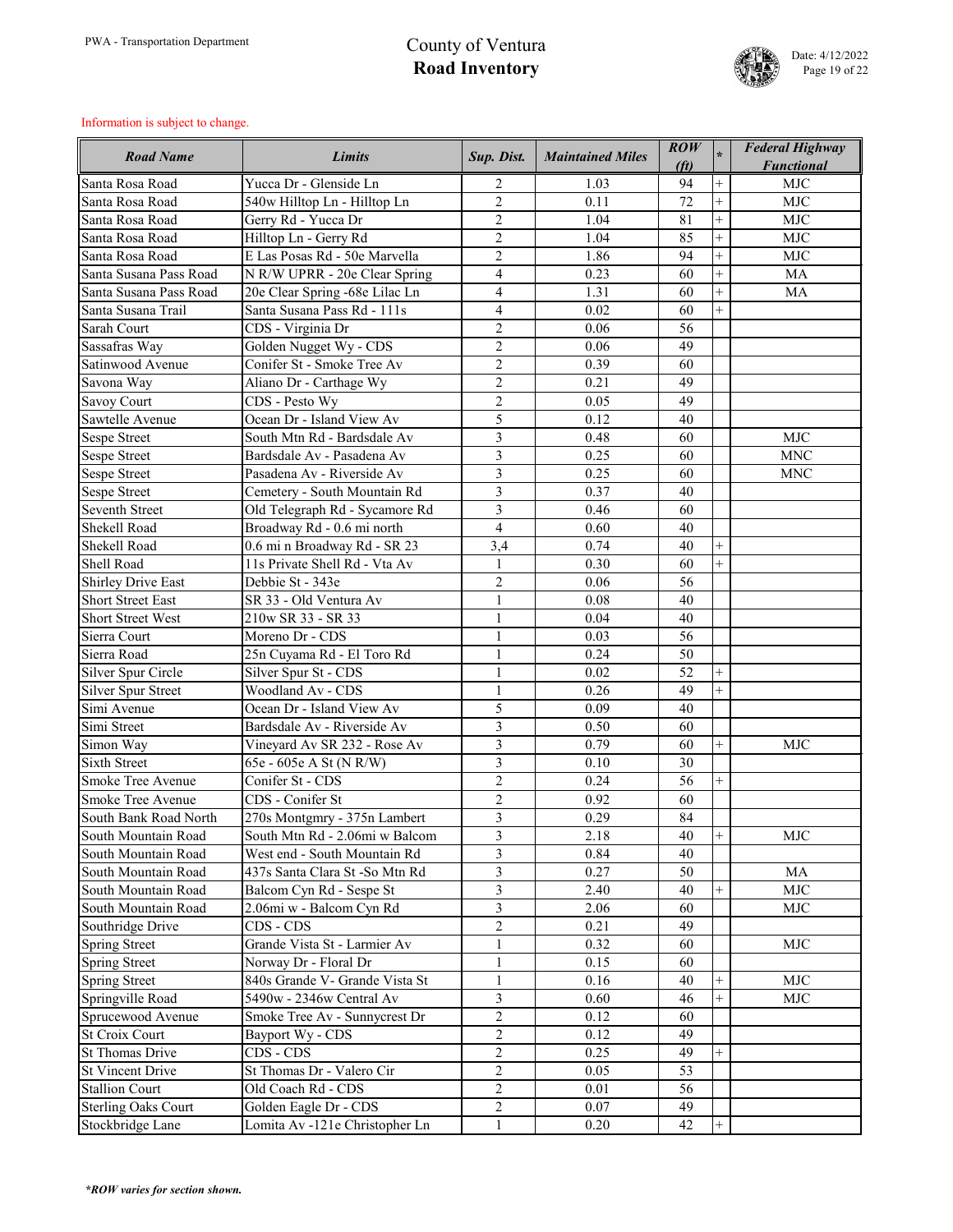

| <b>Road Name</b>           | <b>Limits</b>                  | Sup. Dist.     | <b>Maintained Miles</b> | $\mathbf{ROW}$<br>(f <sub>t</sub> ) |           | <b>Federal Highway</b><br><b>Functional</b> |
|----------------------------|--------------------------------|----------------|-------------------------|-------------------------------------|-----------|---------------------------------------------|
| Santa Rosa Road            | Yucca Dr - Glenside Ln         | $\overline{2}$ | 1.03                    | 94                                  | $^{+}$    | <b>MJC</b>                                  |
| Santa Rosa Road            | 540w Hilltop Ln - Hilltop Ln   | $\overline{2}$ | 0.11                    | 72                                  | $^{+}$    | <b>MJC</b>                                  |
| Santa Rosa Road            | Gerry Rd - Yucca Dr            | $\overline{2}$ | 1.04                    | 81                                  | $^{+}$    | <b>MJC</b>                                  |
| Santa Rosa Road            | Hilltop Ln - Gerry Rd          | $\overline{2}$ | 1.04                    | 85                                  | $^{+}$    | <b>MJC</b>                                  |
| Santa Rosa Road            | E Las Posas Rd - 50e Marvella  | $\overline{2}$ | 1.86                    | 94                                  | $^{+}$    | <b>MJC</b>                                  |
| Santa Susana Pass Road     | N R/W UPRR - 20e Clear Spring  | $\overline{4}$ | 0.23                    | 60                                  | $^{+}$    | <b>MA</b>                                   |
| Santa Susana Pass Road     | 20e Clear Spring -68e Lilac Ln | $\overline{4}$ | 1.31                    | 60                                  | $^{+}$    | <b>MA</b>                                   |
| Santa Susana Trail         | Santa Susana Pass Rd - 111s    | $\overline{4}$ | 0.02                    | 60                                  | $^{+}$    |                                             |
| Sarah Court                | CDS - Virginia Dr              | $\overline{2}$ | 0.06                    | 56                                  |           |                                             |
| Sassafras Way              | Golden Nugget Wy - CDS         | $\overline{2}$ | 0.06                    | 49                                  |           |                                             |
| Satinwood Avenue           | Conifer St - Smoke Tree Av     | $\overline{2}$ | 0.39                    | 60                                  |           |                                             |
| Savona Way                 | Aliano Dr - Carthage Wy        | $\overline{2}$ | 0.21                    | 49                                  |           |                                             |
| <b>Savoy Court</b>         | CDS - Pesto Wy                 | $\overline{2}$ | 0.05                    | 49                                  |           |                                             |
| Sawtelle Avenue            | Ocean Dr - Island View Av      | 5              | 0.12                    | 40                                  |           |                                             |
| <b>Sespe Street</b>        | South Mtn Rd - Bardsdale Av    | $\overline{3}$ | 0.48                    | 60                                  |           | <b>MJC</b>                                  |
| <b>Sespe Street</b>        | Bardsdale Av - Pasadena Av     | 3              | 0.25                    | 60                                  |           | <b>MNC</b>                                  |
| <b>Sespe Street</b>        | Pasadena Av - Riverside Av     | 3              | 0.25                    | 60                                  |           | <b>MNC</b>                                  |
| <b>Sespe Street</b>        | Cemetery - South Mountain Rd   | 3              | 0.37                    | 40                                  |           |                                             |
| <b>Seventh Street</b>      | Old Telegraph Rd - Sycamore Rd | 3              | 0.46                    | 60                                  |           |                                             |
| Shekell Road               | Broadway Rd - 0.6 mi north     | $\overline{4}$ | 0.60                    | 40                                  |           |                                             |
| Shekell Road               | 0.6 mi n Broadway Rd - SR 23   | 3,4            | 0.74                    | 40                                  | $^{+}$    |                                             |
| Shell Road                 | 11s Private Shell Rd - Vta Av  | 1              | 0.30                    | 60                                  |           |                                             |
| <b>Shirley Drive East</b>  | Debbie St - 343e               | $\sqrt{2}$     | 0.06                    | 56                                  |           |                                             |
| <b>Short Street East</b>   | SR 33 - Old Ventura Av         | $\mathbf{1}$   | 0.08                    | 40                                  |           |                                             |
| <b>Short Street West</b>   | 210w SR 33 - SR 33             | $\mathbf{1}$   | 0.04                    | 40                                  |           |                                             |
| Sierra Court               | Moreno Dr - CDS                | $\mathbf{1}$   | 0.03                    | 56                                  |           |                                             |
| Sierra Road                | 25n Cuyama Rd - El Toro Rd     |                | 0.24                    | 50                                  |           |                                             |
| Silver Spur Circle         | Silver Spur St - CDS           | $\mathbf{1}$   | 0.02                    | 52                                  | $\ddot{}$ |                                             |
| <b>Silver Spur Street</b>  | <b>Woodland Av - CDS</b>       | $\mathbf{1}$   | 0.26                    | 49                                  | $^{+}$    |                                             |
| Simi Avenue                | Ocean Dr - Island View Av      | 5              | 0.09                    | 40                                  |           |                                             |
| Simi Street                | Bardsdale Av - Riverside Av    | $\overline{3}$ | 0.50                    | 60                                  |           |                                             |
| Simon Way                  | Vineyard Av SR 232 - Rose Av   | $\overline{3}$ | 0.79                    | 60                                  | $^{+}$    | <b>MJC</b>                                  |
| <b>Sixth Street</b>        | 65e - 605e A St (N R/W)        | $\overline{3}$ | 0.10                    | 30                                  |           |                                             |
| <b>Smoke Tree Avenue</b>   | Conifer St - CDS               | $\overline{2}$ | 0.24                    | 56                                  | $^{+}$    |                                             |
| Smoke Tree Avenue          | CDS - Conifer St               | $\overline{2}$ | 0.92                    | 60                                  |           |                                             |
| South Bank Road North      | 270s Montgmry - 375n Lambert   | $\overline{3}$ | 0.29                    | 84                                  |           |                                             |
| South Mountain Road        | South Mtn Rd - 2.06mi w Balcom | $\overline{3}$ | 2.18                    | 40                                  | $^{+}$    | <b>MJC</b>                                  |
| South Mountain Road        | West end - South Mountain Rd   | $\overline{3}$ | 0.84                    | 40                                  |           |                                             |
| South Mountain Road        | 437s Santa Clara St-So Mtn Rd  | $\overline{3}$ | 0.27                    | 50                                  |           | <b>MA</b>                                   |
| South Mountain Road        | Balcom Cyn Rd - Sespe St       | $\overline{3}$ | 2.40                    | 40                                  | $^{+}$    | <b>MJC</b>                                  |
| South Mountain Road        | 2.06mi w - Balcom Cyn Rd       | $\overline{3}$ | 2.06                    | 60                                  |           | <b>MJC</b>                                  |
| Southridge Drive           | CDS - CDS                      | $\overline{2}$ | 0.21                    | 49                                  |           |                                             |
| Spring Street              | Grande Vista St - Larmier Av   | $\mathbf{1}$   | 0.32                    | 60                                  |           | <b>MJC</b>                                  |
| <b>Spring Street</b>       | Norway Dr - Floral Dr          | $\mathbf{1}$   | 0.15                    | 60                                  |           |                                             |
| <b>Spring Street</b>       | 840s Grande V- Grande Vista St | $\mathbf{1}$   | 0.16                    | 40                                  | $^{+}$    | <b>MJC</b>                                  |
| Springville Road           | 5490w - 2346w Central Av       | 3              | 0.60                    | 46                                  | $^{+}$    | <b>MJC</b>                                  |
| Sprucewood Avenue          | Smoke Tree Av - Sunnycrest Dr  | $\overline{2}$ | 0.12                    | 60                                  |           |                                             |
| <b>St Croix Court</b>      | Bayport Wy - CDS               | $\overline{2}$ | 0.12                    | 49                                  |           |                                             |
| <b>St Thomas Drive</b>     | CDS - CDS                      | $\overline{2}$ | 0.25                    | 49                                  | $^{+}$    |                                             |
| <b>St Vincent Drive</b>    | St Thomas Dr - Valero Cir      | $\overline{2}$ | 0.05                    | 53                                  |           |                                             |
| <b>Stallion Court</b>      | Old Coach Rd - CDS             | $\overline{2}$ | 0.01                    | 56                                  |           |                                             |
| <b>Sterling Oaks Court</b> | Golden Eagle Dr - CDS          | $\overline{2}$ | 0.07                    | 49                                  |           |                                             |
| Stockbridge Lane           | Lomita Av -121e Christopher Ln | $\mathbf{1}$   | 0.20                    | 42                                  | $^{+}$    |                                             |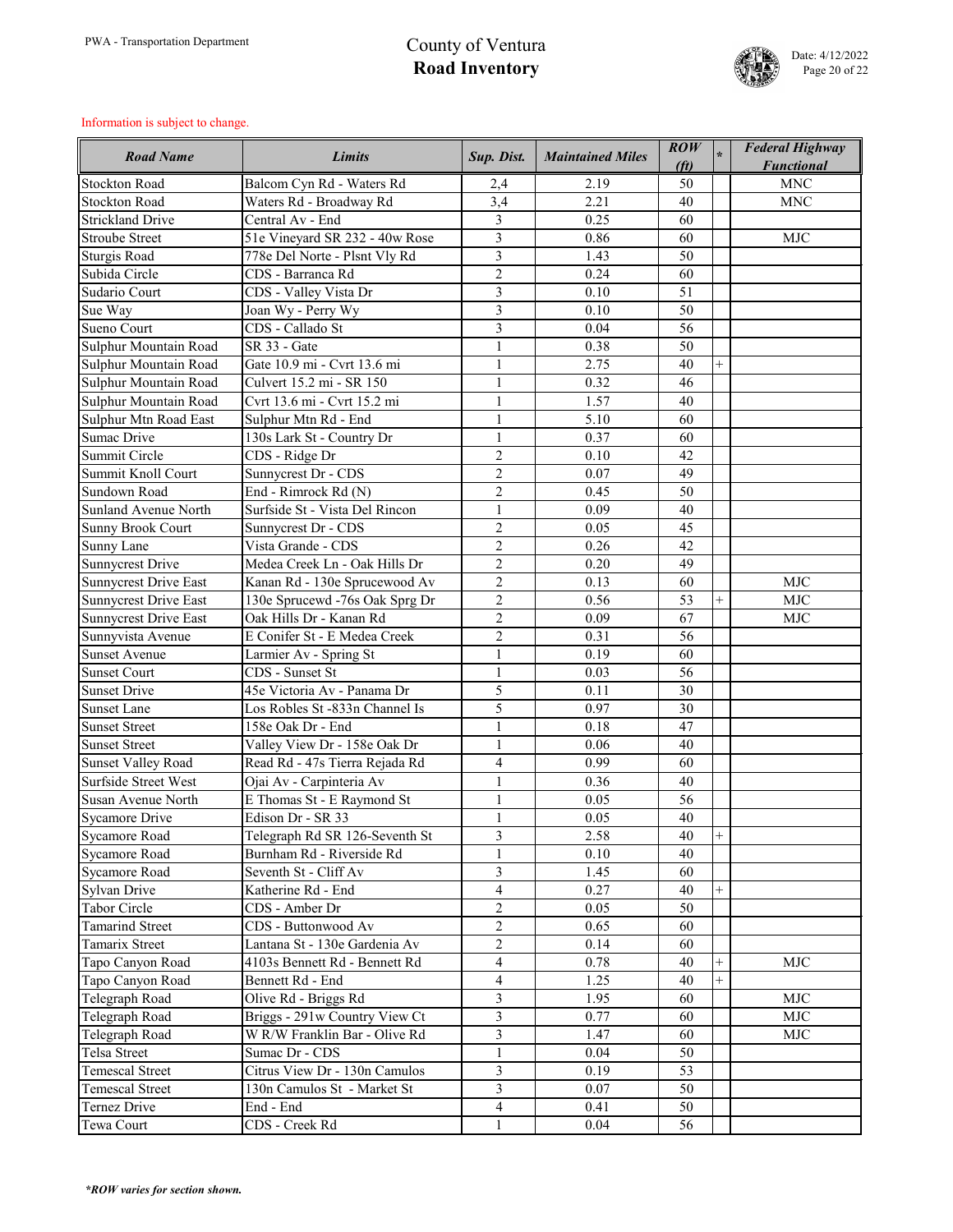

| <b>Road Name</b>             | <b>Limits</b>                  | Sup. Dist.     | <b>Maintained Miles</b> | $\overline{ROW}$<br>(f <sub>t</sub> ) |        | <b>Federal Highway</b><br><b>Functional</b> |
|------------------------------|--------------------------------|----------------|-------------------------|---------------------------------------|--------|---------------------------------------------|
| <b>Stockton Road</b>         | Balcom Cyn Rd - Waters Rd      | 2,4            | 2.19                    | 50                                    |        | <b>MNC</b>                                  |
| <b>Stockton Road</b>         | Waters Rd - Broadway Rd        | 3,4            | 2.21                    | 40                                    |        | <b>MNC</b>                                  |
| <b>Strickland Drive</b>      | Central Av - End               | $\overline{3}$ | 0.25                    | 60                                    |        |                                             |
| <b>Stroube Street</b>        | 51e Vineyard SR 232 - 40w Rose | 3              | 0.86                    | 60                                    |        | <b>MJC</b>                                  |
| <b>Sturgis Road</b>          | 778e Del Norte - Plsnt Vly Rd  | 3              | 1.43                    | 50                                    |        |                                             |
| Subida Circle                | CDS - Barranca Rd              | $\overline{2}$ | 0.24                    | 60                                    |        |                                             |
| Sudario Court                | CDS - Valley Vista Dr          | 3              | 0.10                    | 51                                    |        |                                             |
| Sue Way                      | Joan Wy - Perry Wy             | 3              | 0.10                    | 50                                    |        |                                             |
| Sueno Court                  | CDS - Callado St               | $\overline{3}$ | 0.04                    | 56                                    |        |                                             |
| Sulphur Mountain Road        | SR 33 - Gate                   |                | 0.38                    | 50                                    |        |                                             |
| Sulphur Mountain Road        | Gate 10.9 mi - Cvrt 13.6 mi    | $\mathbf{1}$   | 2.75                    | 40                                    | $+$    |                                             |
| Sulphur Mountain Road        | Culvert 15.2 mi - SR 150       |                | 0.32                    | 46                                    |        |                                             |
| Sulphur Mountain Road        | Cvrt 13.6 mi - Cvrt 15.2 mi    | 1              | 1.57                    | 40                                    |        |                                             |
| Sulphur Mtn Road East        | Sulphur Mtn Rd - End           | 1              | 5.10                    | 60                                    |        |                                             |
| <b>Sumac Drive</b>           | 130s Lark St - Country Dr      | 1              | 0.37                    | 60                                    |        |                                             |
| Summit Circle                | CDS - Ridge Dr                 | $\overline{2}$ | 0.10                    | 42                                    |        |                                             |
| Summit Knoll Court           | Sunnycrest Dr - CDS            | $\overline{2}$ | 0.07                    | 49                                    |        |                                             |
| Sundown Road                 | End - Rimrock Rd (N)           | $\overline{2}$ | 0.45                    | 50                                    |        |                                             |
| <b>Sunland Avenue North</b>  | Surfside St - Vista Del Rincon | 1              | 0.09                    | 40                                    |        |                                             |
| <b>Sunny Brook Court</b>     | Sunnycrest Dr - CDS            | $\overline{2}$ | 0.05                    | 45                                    |        |                                             |
| Sunny Lane                   | Vista Grande - CDS             | $\overline{2}$ | 0.26                    | 42                                    |        |                                             |
| <b>Sunnycrest Drive</b>      | Medea Creek Ln - Oak Hills Dr  | $\overline{2}$ | 0.20                    | 49                                    |        |                                             |
| <b>Sunnycrest Drive East</b> | Kanan Rd - 130e Sprucewood Av  | $\overline{2}$ | 0.13                    | 60                                    |        | <b>MJC</b>                                  |
| <b>Sunnycrest Drive East</b> | 130e Sprucewd -76s Oak Sprg Dr | $\overline{2}$ | 0.56                    | 53                                    | $^{+}$ | <b>MJC</b>                                  |
| <b>Sunnycrest Drive East</b> | Oak Hills Dr - Kanan Rd        | $\overline{2}$ | 0.09                    | 67                                    |        | <b>MJC</b>                                  |
| Sunnyvista Avenue            | E Conifer St - E Medea Creek   | $\overline{2}$ | 0.31                    | 56                                    |        |                                             |
| <b>Sunset Avenue</b>         | Larmier Av - Spring St         |                | 0.19                    | 60                                    |        |                                             |
| <b>Sunset Court</b>          | CDS - Sunset St                |                | 0.03                    | 56                                    |        |                                             |
| <b>Sunset Drive</b>          | 45e Victoria Av - Panama Dr    | 5              | 0.11                    | 30                                    |        |                                             |
| <b>Sunset Lane</b>           | Los Robles St -833n Channel Is | 5              | 0.97                    | 30                                    |        |                                             |
| <b>Sunset Street</b>         | 158e Oak Dr - End              |                | 0.18                    | 47                                    |        |                                             |
| <b>Sunset Street</b>         | Valley View Dr - 158e Oak Dr   | $\mathbf{1}$   | 0.06                    | 40                                    |        |                                             |
| <b>Sunset Valley Road</b>    | Read Rd - 47s Tierra Rejada Rd | $\overline{4}$ | 0.99                    | 60                                    |        |                                             |
| <b>Surfside Street West</b>  | Ojai Av - Carpinteria Av       |                | 0.36                    | 40                                    |        |                                             |
| Susan Avenue North           | E Thomas St - E Raymond St     | $\mathbf{1}$   | 0.05                    | 56                                    |        |                                             |
| <b>Sycamore Drive</b>        | Edison Dr - SR 33              | $\mathbf{1}$   | 0.05                    | 40                                    |        |                                             |
| <b>Sycamore Road</b>         | Telegraph Rd SR 126-Seventh St | 3              | 2.58                    | 40                                    | $+$    |                                             |
| <b>Sycamore Road</b>         | Burnham Rd - Riverside Rd      |                | 0.10                    | 40                                    |        |                                             |
| <b>Sycamore Road</b>         | Seventh St - Cliff Av          | 3              | 1.45                    | 60                                    |        |                                             |
| <b>Sylvan Drive</b>          | Katherine Rd - End             | $\overline{4}$ | 0.27                    | 40                                    | $^{+}$ |                                             |
| <b>Tabor Circle</b>          | CDS - Amber Dr                 | $\overline{2}$ | 0.05                    | 50                                    |        |                                             |
| <b>Tamarind Street</b>       | CDS - Buttonwood Av            | $\overline{2}$ | 0.65                    | 60                                    |        |                                             |
| <b>Tamarix Street</b>        | Lantana St - 130e Gardenia Av  | $\overline{2}$ | 0.14                    | 60                                    |        |                                             |
| Tapo Canyon Road             | 4103s Bennett Rd - Bennett Rd  | $\overline{4}$ | 0.78                    | 40                                    | $+$    | <b>MJC</b>                                  |
| Tapo Canyon Road             | Bennett Rd - End               | $\overline{4}$ | 1.25                    | 40                                    | $^{+}$ |                                             |
| Telegraph Road               | Olive Rd - Briggs Rd           | 3              | 1.95                    | 60                                    |        | <b>MJC</b>                                  |
| Telegraph Road               | Briggs - 291w Country View Ct  | $\overline{3}$ | 0.77                    | 60                                    |        | <b>MJC</b>                                  |
| Telegraph Road               | W R/W Franklin Bar - Olive Rd  | $\overline{3}$ | 1.47                    | 60                                    |        | <b>MJC</b>                                  |
| Telsa Street                 | Sumac Dr - CDS                 | $\mathbf{1}$   | 0.04                    | 50                                    |        |                                             |
| <b>Temescal Street</b>       | Citrus View Dr - 130n Camulos  | $\overline{3}$ | 0.19                    | 53                                    |        |                                             |
| <b>Temescal Street</b>       | 130n Camulos St - Market St    | $\overline{3}$ | 0.07                    | 50                                    |        |                                             |
| <b>Ternez Drive</b>          | End - End                      | $\overline{4}$ | 0.41                    | 50                                    |        |                                             |
| Tewa Court                   | CDS - Creek Rd                 | $\mathbf{1}$   | 0.04                    | 56                                    |        |                                             |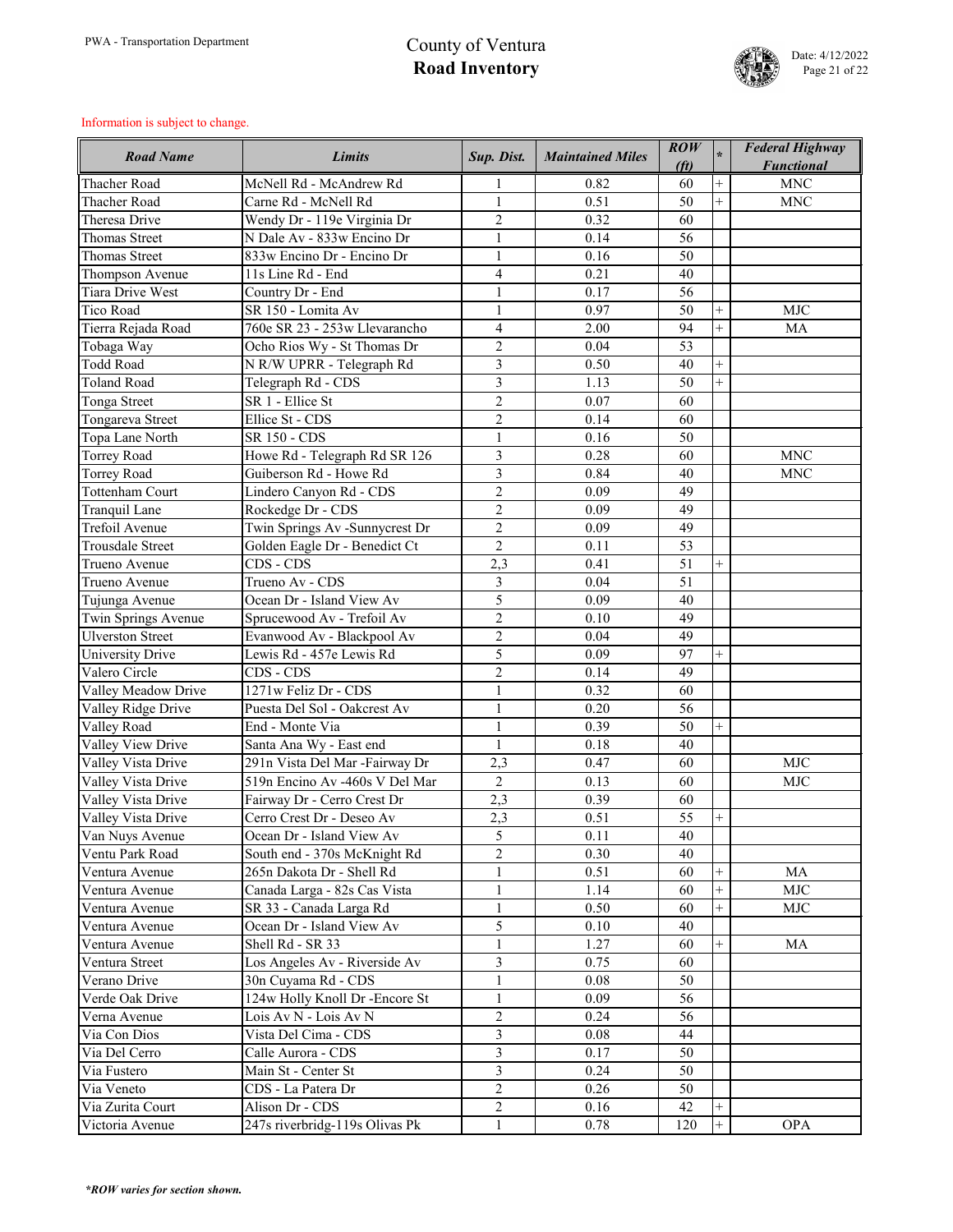

| <b>Road Name</b>        | <b>Limits</b>                  | Sup. Dist.     | <b>Maintained Miles</b> | $\mathbf{ROW}$<br>(f <sub>t</sub> ) | $\ast$         | <b>Federal Highway</b><br><b>Functional</b> |
|-------------------------|--------------------------------|----------------|-------------------------|-------------------------------------|----------------|---------------------------------------------|
| <b>Thacher Road</b>     | McNell Rd - McAndrew Rd        |                | 0.82                    | 60                                  |                | <b>MNC</b>                                  |
| <b>Thacher Road</b>     | Carne Rd - McNell Rd           | $\mathbf{1}$   | 0.51                    | 50                                  | $\overline{+}$ | <b>MNC</b>                                  |
| Theresa Drive           | Wendy Dr - 119e Virginia Dr    | $\overline{2}$ | 0.32                    | 60                                  |                |                                             |
| <b>Thomas Street</b>    | N Dale Av - 833w Encino Dr     | $\mathbf{1}$   | 0.14                    | 56                                  |                |                                             |
| <b>Thomas Street</b>    | 833w Encino Dr - Encino Dr     | $\mathbf{1}$   | 0.16                    | 50                                  |                |                                             |
| Thompson Avenue         | 11s Line Rd - End              | $\overline{4}$ | 0.21                    | 40                                  |                |                                             |
| <b>Tiara Drive West</b> | Country Dr - End               | 1              | 0.17                    | 56                                  |                |                                             |
| <b>Tico Road</b>        | SR 150 - Lomita Av             |                | 0.97                    | 50                                  |                | <b>MJC</b>                                  |
| Tierra Rejada Road      | 760e SR 23 - 253w Llevarancho  | $\overline{4}$ | 2.00                    | 94                                  | $^{+}$         | <b>MA</b>                                   |
| Tobaga Way              | Ocho Rios Wy - St Thomas Dr    | $\overline{2}$ | 0.04                    | 53                                  |                |                                             |
| <b>Todd Road</b>        | N R/W UPRR - Telegraph Rd      | 3              | 0.50                    | 40                                  | $^{+}$         |                                             |
| <b>Toland Road</b>      | Telegraph Rd - CDS             | 3              | 1.13                    | 50                                  | $\overline{+}$ |                                             |
| <b>Tonga Street</b>     | SR 1 - Ellice St               | $\overline{2}$ | 0.07                    | 60                                  |                |                                             |
| Tongareva Street        | Ellice St - CDS                | $\overline{2}$ | 0.14                    | 60                                  |                |                                             |
| Topa Lane North         | SR 150 - CDS                   | $\mathbf{1}$   | 0.16                    | 50                                  |                |                                             |
| <b>Torrey Road</b>      | Howe Rd - Telegraph Rd SR 126  | 3              | 0.28                    | 60                                  |                | <b>MNC</b>                                  |
| <b>Torrey Road</b>      | Guiberson Rd - Howe Rd         | 3              | 0.84                    | 40                                  |                | <b>MNC</b>                                  |
| <b>Tottenham Court</b>  | Lindero Canyon Rd - CDS        | $\overline{2}$ | 0.09                    | 49                                  |                |                                             |
| Tranquil Lane           | Rockedge Dr - CDS              | $\overline{2}$ | 0.09                    | 49                                  |                |                                             |
| Trefoil Avenue          | Twin Springs Av -Sunnycrest Dr | $\overline{2}$ | 0.09                    | 49                                  |                |                                             |
| <b>Trousdale Street</b> | Golden Eagle Dr - Benedict Ct  | $\overline{2}$ | 0.11                    | 53                                  |                |                                             |
| Trueno Avenue           | CDS - CDS                      | 2,3            | 0.41                    | 51                                  | $\overline{+}$ |                                             |
| Trueno Avenue           | Trueno Av - CDS                | $\overline{3}$ | 0.04                    | 51                                  |                |                                             |
| Tujunga Avenue          | Ocean Dr - Island View Av      | 5              | 0.09                    | 40                                  |                |                                             |
| Twin Springs Avenue     | Sprucewood Av - Trefoil Av     | $\overline{2}$ | 0.10                    | 49                                  |                |                                             |
| <b>Ulverston Street</b> | Evanwood Av - Blackpool Av     | $\overline{2}$ | 0.04                    | 49                                  |                |                                             |
| University Drive        | Lewis Rd - 457e Lewis Rd       | 5              | 0.09                    | 97                                  | $\pm$          |                                             |
| Valero Circle           | CDS - CDS                      | $\overline{2}$ | 0.14                    | 49                                  |                |                                             |
| Valley Meadow Drive     | 1271w Feliz Dr - CDS           | $\mathbf{1}$   | 0.32                    | 60                                  |                |                                             |
| Valley Ridge Drive      | Puesta Del Sol - Oakcrest Av   | $\mathbf{1}$   | 0.20                    | 56                                  |                |                                             |
| Valley Road             | End - Monte Via                | $\mathbf{1}$   | 0.39                    | 50                                  |                |                                             |
| Valley View Drive       | Santa Ana Wy - East end        | $\mathbf{1}$   | 0.18                    | 40                                  |                |                                             |
| Valley Vista Drive      | 291n Vista Del Mar -Fairway Dr | 2,3            | 0.47                    | 60                                  |                | <b>MJC</b>                                  |
| Valley Vista Drive      | 519n Encino Av -460s V Del Mar | $\overline{2}$ | 0.13                    | 60                                  |                | <b>MJC</b>                                  |
| Valley Vista Drive      | Fairway Dr - Cerro Crest Dr    | 2,3            | 0.39                    | 60                                  |                |                                             |
| Valley Vista Drive      | Cerro Crest Dr - Deseo Av      | 2,3            | 0.51                    | 55                                  | $\overline{+}$ |                                             |
| Van Nuys Avenue         | Ocean Dr - Island View Av      | 5              | 0.11                    | 40                                  |                |                                             |
| Ventu Park Road         | South end - 370s McKnight Rd   | $\mathbf{2}$   | 0.30                    | 40                                  |                |                                             |
| Ventura Avenue          | 265n Dakota Dr - Shell Rd      | $\mathbf{1}$   | 0.51                    | 60                                  | $\overline{+}$ | MA                                          |
| Ventura Avenue          | Canada Larga - 82s Cas Vista   | $\mathbf{1}$   | 1.14                    | 60                                  | $^{+}$         | <b>MJC</b>                                  |
| Ventura Avenue          | SR 33 - Canada Larga Rd        | $\mathbf{1}$   | 0.50                    | 60                                  | $^{+}$         | <b>MJC</b>                                  |
| Ventura Avenue          | Ocean Dr - Island View Av      | 5              | 0.10                    | 40                                  |                |                                             |
| Ventura Avenue          | Shell Rd - SR 33               | $\mathbf{1}$   | 1.27                    | 60                                  | $\overline{+}$ | MA                                          |
| Ventura Street          | Los Angeles Av - Riverside Av  | 3              | 0.75                    | 60                                  |                |                                             |
| Verano Drive            | 30n Cuyama Rd - CDS            | $\mathbf{1}$   | 0.08                    | 50                                  |                |                                             |
| Verde Oak Drive         | 124w Holly Knoll Dr -Encore St | $\mathbf{1}$   | 0.09                    | 56                                  |                |                                             |
| Verna Avenue            | Lois Av N - Lois Av N          | $\overline{2}$ | 0.24                    | 56                                  |                |                                             |
| Via Con Dios            | Vista Del Cima - CDS           | $\overline{3}$ | 0.08                    | 44                                  |                |                                             |
| Via Del Cerro           | Calle Aurora - CDS             | $\overline{3}$ | 0.17                    | 50                                  |                |                                             |
| Via Fustero             | Main St - Center St            | $\overline{3}$ | 0.24                    | 50                                  |                |                                             |
| Via Veneto              | CDS - La Patera Dr             | $\overline{2}$ | 0.26                    | 50                                  |                |                                             |
| Via Zurita Court        | Alison Dr - CDS                | $\overline{2}$ | 0.16                    | 42                                  |                |                                             |
| Victoria Avenue         | 247s riverbridg-119s Olivas Pk | $\mathbf{1}$   | 0.78                    | 120                                 |                | <b>OPA</b>                                  |